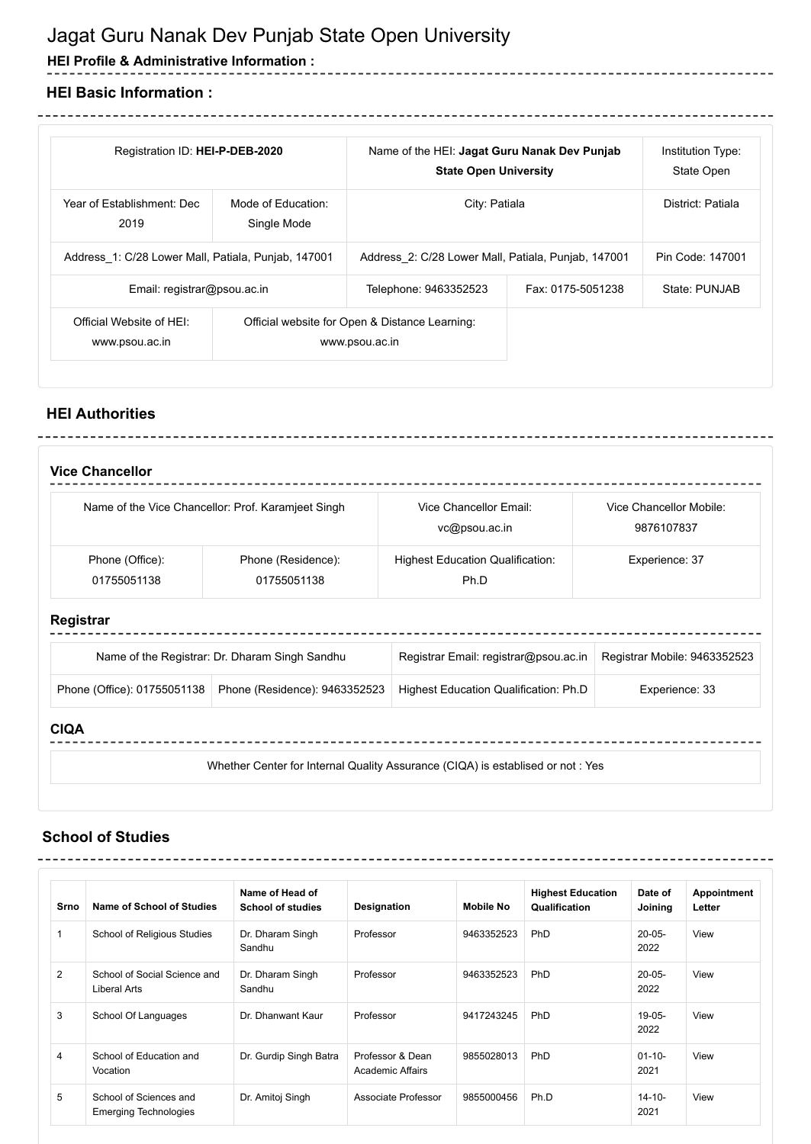# Jagat Guru Nanak Dev Punjab State Open University

**HEI Profile & Administrative Information :**

### **HEI Basic Information :**

| Registration ID: HEI-P-DEB-2020                     |                                   | Name of the HEI: Jagat Guru Nanak Dev Punjab<br><b>State Open University</b> |                   | Institution Type:<br>State Open |
|-----------------------------------------------------|-----------------------------------|------------------------------------------------------------------------------|-------------------|---------------------------------|
| Year of Establishment: Dec<br>2019                  | Mode of Education:<br>Single Mode | City: Patiala                                                                |                   | District: Patiala               |
| Address 1: C/28 Lower Mall, Patiala, Punjab, 147001 |                                   | Address 2: C/28 Lower Mall, Patiala, Punjab, 147001                          |                   | Pin Code: 147001                |
| Email: registrar@psou.ac.in                         |                                   | Telephone: 9463352523                                                        | Fax: 0175-5051238 | State: PUNJAB                   |
| Official Website of HFI:<br>www.psou.ac.in          |                                   | Official website for Open & Distance Learning:<br>www.psou.ac.in             |                   |                                 |

-----------------------------------

## **HEI Authorities**

|                                | Name of the Vice Chancellor: Prof. Karamjeet Singh | Vice Chancellor Email:<br>vc@psou.ac.in         | Vice Chancellor Mobile:<br>9876107837 |
|--------------------------------|----------------------------------------------------|-------------------------------------------------|---------------------------------------|
| Phone (Office):<br>01755051138 | Phone (Residence):<br>01755051138                  | <b>Highest Education Qualification:</b><br>Ph.D | Experience: 37                        |
| Registrar                      |                                                    |                                                 |                                       |
|                                | Name of the Registrar: Dr. Dharam Singh Sandhu     | Registrar Email: registrar@psou.ac.in           | Registrar Mobile: 9463352523          |
| Phone (Office): 01755051138    | Phone (Residence): 9463352523                      | Highest Education Qualification: Ph.D           | Experience: 33                        |
|                                |                                                    |                                                 |                                       |

## **School of Studies**

| Srno           | Name of School of Studies                              | Name of Head of<br><b>School of studies</b> | Designation                          | <b>Mobile No</b> | <b>Highest Education</b><br>Qualification | Date of<br>Joining  | Appointment<br>Letter |
|----------------|--------------------------------------------------------|---------------------------------------------|--------------------------------------|------------------|-------------------------------------------|---------------------|-----------------------|
| 1              | School of Religious Studies                            | Dr. Dharam Singh<br>Sandhu                  | Professor                            | 9463352523       | <b>PhD</b>                                | $20 - 05 -$<br>2022 | View                  |
| 2              | School of Social Science and<br>Liberal Arts           | Dr. Dharam Singh<br>Sandhu                  | Professor                            | 9463352523       | <b>PhD</b>                                | $20 - 05 -$<br>2022 | View                  |
| 3              | School Of Languages                                    | Dr. Dhanwant Kaur                           | Professor                            | 9417243245       | PhD                                       | $19 - 05 -$<br>2022 | View                  |
| $\overline{4}$ | School of Education and<br>Vocation                    | Dr. Gurdip Singh Batra                      | Professor & Dean<br>Academic Affairs | 9855028013       | <b>PhD</b>                                | $01 - 10 -$<br>2021 | View                  |
| 5              | School of Sciences and<br><b>Emerging Technologies</b> | Dr. Amitoj Singh                            | Associate Professor                  | 9855000456       | Ph.D                                      | $14 - 10 -$<br>2021 | View                  |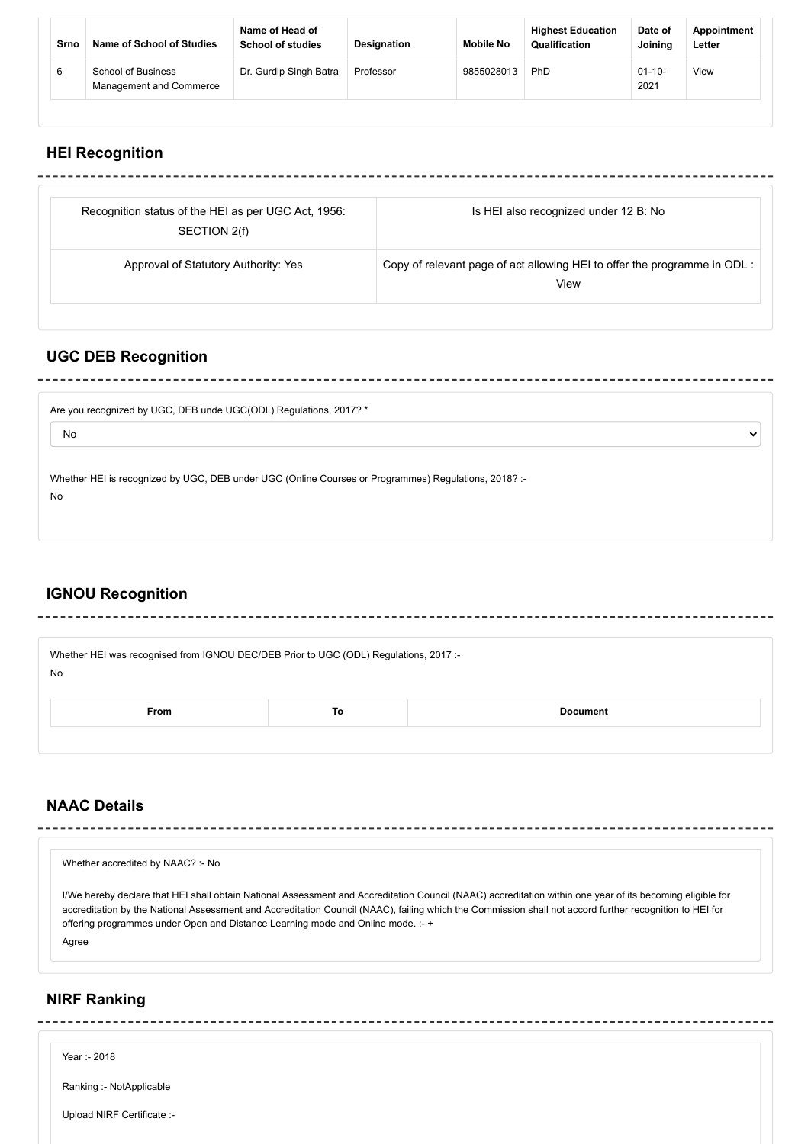| Srno | Name of School of Studies                     | Name of Head of<br><b>School of studies</b> | Designation | <b>Mobile No</b> | <b>Highest Education</b><br><b>Qualification</b> | Date of<br>Joining  | Appointment<br>Letter |
|------|-----------------------------------------------|---------------------------------------------|-------------|------------------|--------------------------------------------------|---------------------|-----------------------|
| 6    | School of Business<br>Management and Commerce | Dr. Gurdip Singh Batra                      | Professor   | 9855028013       | PhD                                              | $01 - 10 -$<br>2021 | View                  |

### **HEI Recognition**

| Recognition status of the HEI as per UGC Act, 1956: | Is HEI also recognized under 12 B: No                                     |
|-----------------------------------------------------|---------------------------------------------------------------------------|
| SECTION 2(f)                                        |                                                                           |
| Approval of Statutory Authority: Yes                | Copy of relevant page of act allowing HEI to offer the programme in ODL : |
|                                                     | View                                                                      |

 $\ddot{\phantom{0}}$ 

### **UGC DEB Recognition**

Are you recognized by UGC, DEB unde UGC(ODL) Regulations, 2017? \*

No

Whether HEI is recognized by UGC, DEB under UGC (Online Courses or Programmes) Regulations, 2018? :-No

## **IGNOU Recognition**

\_\_\_\_\_\_\_\_\_\_\_\_\_\_

Whether HEI was recognised from IGNOU DEC/DEB Prior to UGC (ODL) Regulations, 2017 :-

----------------------------

No

| rom<br>. | $\sim$ | . |
|----------|--------|---|
|          |        |   |

## **NAAC Details**

| Whether accredited by NAAC? :- No                                                                                                                                                                                                                                                                                                                                                                                |
|------------------------------------------------------------------------------------------------------------------------------------------------------------------------------------------------------------------------------------------------------------------------------------------------------------------------------------------------------------------------------------------------------------------|
| I/We hereby declare that HEI shall obtain National Assessment and Accreditation Council (NAAC) accreditation within one year of its becoming eligible for<br>accreditation by the National Assessment and Accreditation Council (NAAC), failing which the Commission shall not accord further recognition to HEI for<br>offering programmes under Open and Distance Learning mode and Online mode. :- +<br>Agree |
|                                                                                                                                                                                                                                                                                                                                                                                                                  |

#### **NIRF Ranking**

Year :- 2018

Ranking :- NotApplicable

Upload NIRF Certificate :-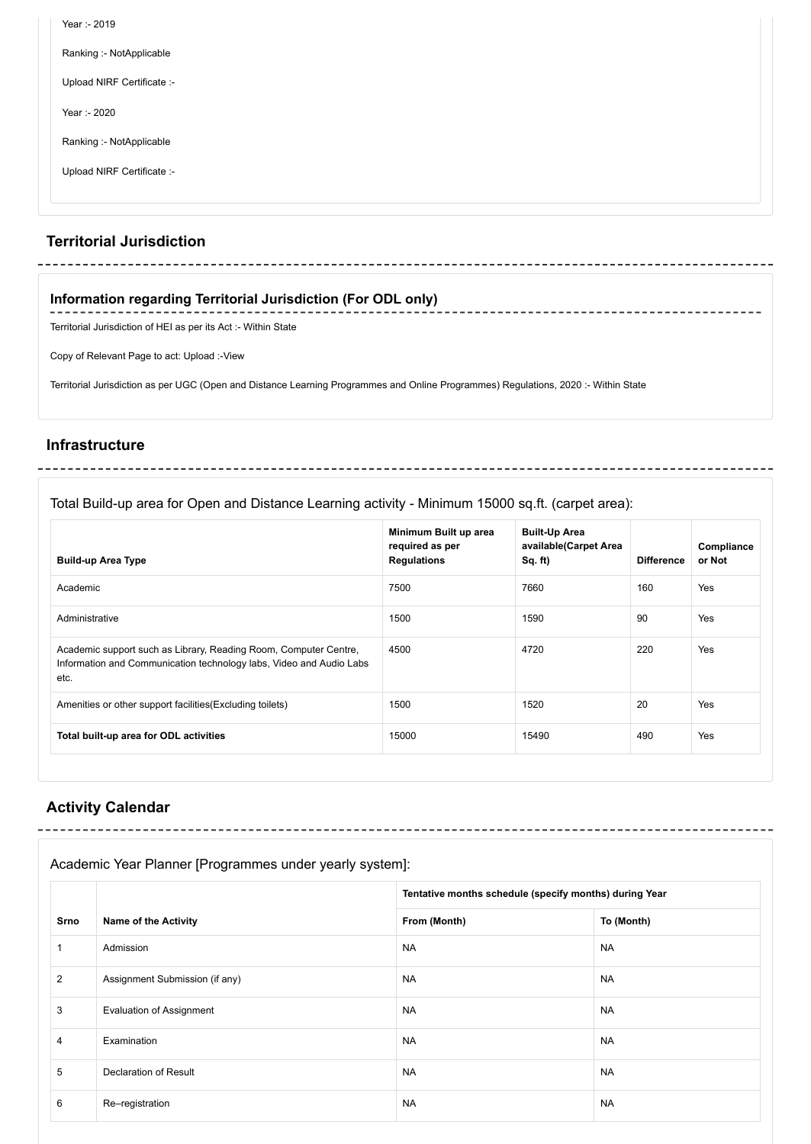| Year :- 2019               |  |
|----------------------------|--|
| Ranking :- NotApplicable   |  |
| Upload NIRF Certificate :- |  |
| Year :- 2020               |  |
| Ranking :- NotApplicable   |  |
| Upload NIRF Certificate :- |  |
|                            |  |

## **Territorial Jurisdiction**

#### **Information regarding Territorial Jurisdiction (For ODL only)**

Territorial Jurisdiction of HEI as per its Act :- Within State

-------------------------------------

Copy of Relevant Page to act: Upload :-View

Territorial Jurisdiction as per UGC (Open and Distance Learning Programmes and Online Programmes) Regulations, 2020 :- Within State

#### **Infrastructure**

#### Total Build-up area for Open and Distance Learning activity - Minimum 15000 sq.ft. (carpet area):

| <b>Build-up Area Type</b>                                                                                                                       | Minimum Built up area<br>required as per<br><b>Regulations</b> | <b>Built-Up Area</b><br>available(Carpet Area<br>Sq. ft) | <b>Difference</b> | Compliance<br>or Not |
|-------------------------------------------------------------------------------------------------------------------------------------------------|----------------------------------------------------------------|----------------------------------------------------------|-------------------|----------------------|
| Academic                                                                                                                                        | 7500                                                           | 7660                                                     | 160               | Yes                  |
| Administrative                                                                                                                                  | 1500                                                           | 1590                                                     | 90                | Yes                  |
| Academic support such as Library, Reading Room, Computer Centre,<br>Information and Communication technology labs, Video and Audio Labs<br>etc. | 4500                                                           | 4720                                                     | 220               | Yes                  |
| Amenities or other support facilities (Excluding toilets)                                                                                       | 1500                                                           | 1520                                                     | 20                | Yes                  |
| Total built-up area for ODL activities                                                                                                          | 15000                                                          | 15490                                                    | 490               | Yes                  |

\_\_\_\_\_\_\_\_\_\_\_\_\_\_\_\_\_

## **Activity Calendar**

## Academic Year Planner [Programmes under yearly system]:

|      |                                 | Tentative months schedule (specify months) during Year |            |  |
|------|---------------------------------|--------------------------------------------------------|------------|--|
| Srno | <b>Name of the Activity</b>     | From (Month)                                           | To (Month) |  |
|      | Admission                       | <b>NA</b>                                              | <b>NA</b>  |  |
| 2    | Assignment Submission (if any)  | <b>NA</b>                                              | <b>NA</b>  |  |
| 3    | <b>Evaluation of Assignment</b> | <b>NA</b>                                              | <b>NA</b>  |  |
| 4    | Examination                     | <b>NA</b>                                              | <b>NA</b>  |  |
| 5    | <b>Declaration of Result</b>    | <b>NA</b>                                              | <b>NA</b>  |  |
| 6    | Re-registration                 | <b>NA</b>                                              | <b>NA</b>  |  |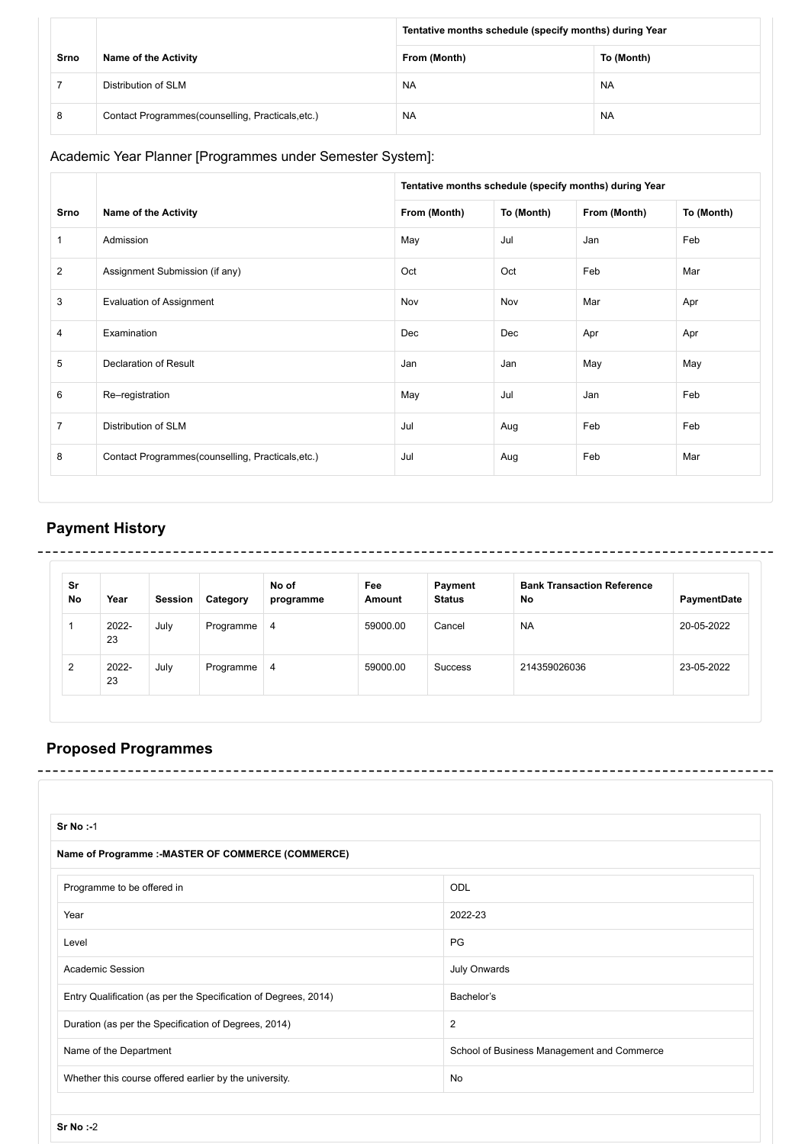|      |                                                    |              | Tentative months schedule (specify months) during Year |  |  |
|------|----------------------------------------------------|--------------|--------------------------------------------------------|--|--|
| Srno | <b>Name of the Activity</b>                        | From (Month) | To (Month)                                             |  |  |
|      | Distribution of SLM                                | <b>NA</b>    | <b>NA</b>                                              |  |  |
| 8    | Contact Programmes (counselling, Practicals, etc.) | <b>NA</b>    | <b>NA</b>                                              |  |  |

Academic Year Planner [Programmes under Semester System]:

|                |                                                   |              | Tentative months schedule (specify months) during Year |              |            |  |
|----------------|---------------------------------------------------|--------------|--------------------------------------------------------|--------------|------------|--|
| Srno           | <b>Name of the Activity</b>                       | From (Month) | To (Month)                                             | From (Month) | To (Month) |  |
| $\mathbf{1}$   | Admission                                         | May          | Jul                                                    | Jan          | Feb        |  |
| $\overline{2}$ | Assignment Submission (if any)                    | Oct          | Oct                                                    | Feb          | Mar        |  |
| 3              | <b>Evaluation of Assignment</b>                   | Nov          | Nov                                                    | Mar          | Apr        |  |
| 4              | Examination                                       | Dec          | Dec                                                    | Apr          | Apr        |  |
| 5              | Declaration of Result                             | Jan          | Jan                                                    | May          | May        |  |
| 6              | Re-registration                                   | May          | Jul                                                    | Jan          | Feb        |  |
| $\overline{7}$ | Distribution of SLM                               | Jul          | Aug                                                    | Feb          | Feb        |  |
| 8              | Contact Programmes(counselling, Practicals, etc.) | Jul          | Aug                                                    | Feb          | Mar        |  |

# **Payment History**

| Sr<br>No | Year        | <b>Session</b> | Category  | No of<br>programme | Fee<br>Amount | Payment<br><b>Status</b> | <b>Bank Transaction Reference</b><br>No | PaymentDate |
|----------|-------------|----------------|-----------|--------------------|---------------|--------------------------|-----------------------------------------|-------------|
|          | 2022-<br>23 | July           | Programme | 4                  | 59000.00      | Cancel                   | <b>NA</b>                               | 20-05-2022  |
| 2        | 2022-<br>23 | July           | Programme | 4                  | 59000.00      | <b>Success</b>           | 214359026036                            | 23-05-2022  |

## **Proposed Programmes**

| Sr No : 1                                                       |                                            |
|-----------------------------------------------------------------|--------------------------------------------|
| Name of Programme :- MASTER OF COMMERCE (COMMERCE)              |                                            |
| Programme to be offered in                                      | ODL                                        |
| Year                                                            | 2022-23                                    |
| Level                                                           | PG                                         |
| <b>Academic Session</b>                                         | <b>July Onwards</b>                        |
| Entry Qualification (as per the Specification of Degrees, 2014) | Bachelor's                                 |
| Duration (as per the Specification of Degrees, 2014)            | 2                                          |
| Name of the Department                                          | School of Business Management and Commerce |
| Whether this course offered earlier by the university.          | No                                         |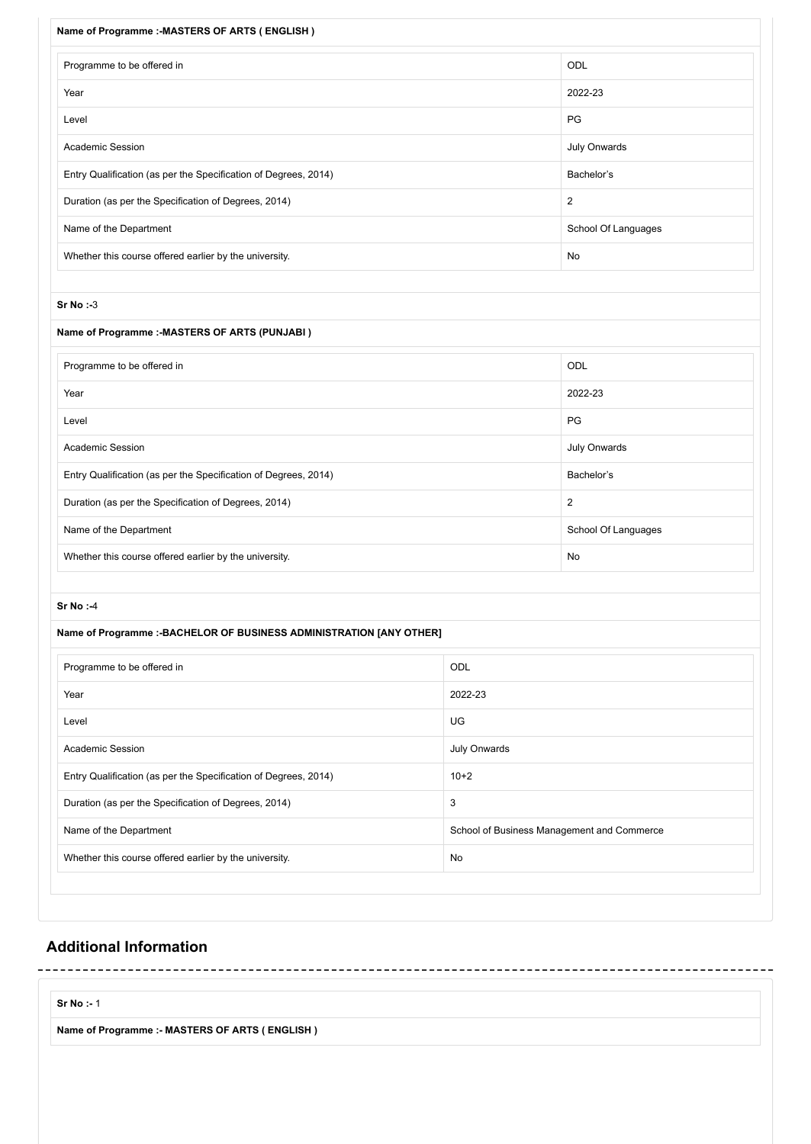| Name of Programme :- MASTERS OF ARTS (ENGLISH)                       |                     |
|----------------------------------------------------------------------|---------------------|
| Programme to be offered in                                           | ODL                 |
| Year                                                                 | 2022-23             |
| Level                                                                | PG                  |
| <b>Academic Session</b>                                              | July Onwards        |
| Entry Qualification (as per the Specification of Degrees, 2014)      | Bachelor's          |
| Duration (as per the Specification of Degrees, 2014)                 | $\overline{2}$      |
| Name of the Department                                               | School Of Languages |
| Whether this course offered earlier by the university.               | No                  |
|                                                                      |                     |
| Sr No : 3                                                            |                     |
| Name of Programme :- MASTERS OF ARTS (PUNJABI)                       |                     |
| Programme to be offered in                                           | ODL                 |
| Year                                                                 | 2022-23             |
| Level                                                                | PG                  |
| <b>Academic Session</b>                                              | July Onwards        |
| Entry Qualification (as per the Specification of Degrees, 2014)      | Bachelor's          |
| Duration (as per the Specification of Degrees, 2014)                 | 2                   |
| Name of the Department                                               | School Of Languages |
| Whether this course offered earlier by the university.               | No                  |
|                                                                      |                     |
| Sr No:4                                                              |                     |
| Name of Programme :- BACHELOR OF BUSINESS ADMINISTRATION [ANY OTHER] |                     |

| Programme to be offered in                                      | ODL                                        |
|-----------------------------------------------------------------|--------------------------------------------|
| Year                                                            | 2022-23                                    |
| Level                                                           | UG                                         |
| <b>Academic Session</b>                                         | July Onwards                               |
| Entry Qualification (as per the Specification of Degrees, 2014) | $10+2$                                     |
| Duration (as per the Specification of Degrees, 2014)            | 3                                          |
| Name of the Department                                          | School of Business Management and Commerce |
| Whether this course offered earlier by the university.          | No                                         |
|                                                                 |                                            |

 $\sim$   $\sim$ 

### **Additional Information**

**Sr No :-** 1

**Name of Programme :- MASTERS OF ARTS ( ENGLISH )**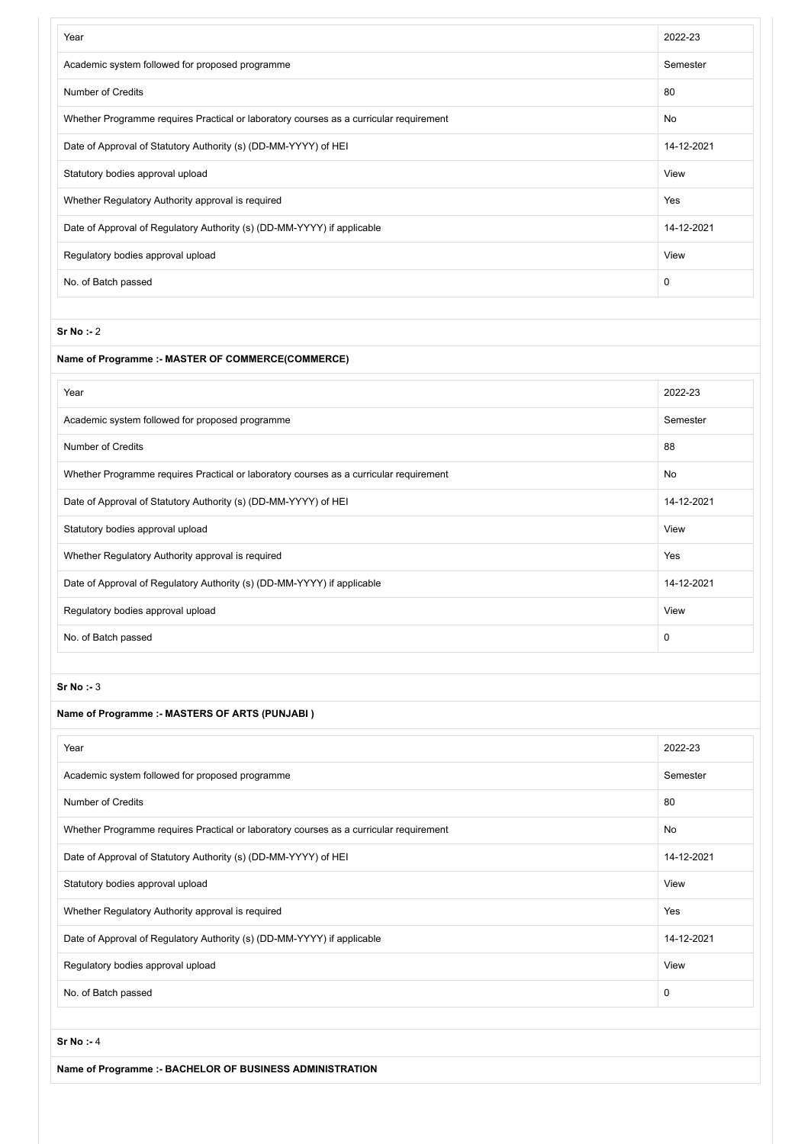| Year                                                                                   | 2022-23     |
|----------------------------------------------------------------------------------------|-------------|
| Academic system followed for proposed programme                                        | Semester    |
| <b>Number of Credits</b>                                                               | 80          |
| Whether Programme requires Practical or laboratory courses as a curricular requirement | No          |
| Date of Approval of Statutory Authority (s) (DD-MM-YYYY) of HEI                        | 14-12-2021  |
| Statutory bodies approval upload                                                       | View        |
| Whether Regulatory Authority approval is required                                      | Yes         |
| Date of Approval of Regulatory Authority (s) (DD-MM-YYYY) if applicable                | 14-12-2021  |
| Regulatory bodies approval upload                                                      | View        |
| No. of Batch passed                                                                    | $\mathbf 0$ |

#### **Sr No :-** 2

#### **Name of Programme :- MASTER OF COMMERCE(COMMERCE)**

| Year                                                                                   | 2022-23     |
|----------------------------------------------------------------------------------------|-------------|
| Academic system followed for proposed programme                                        | Semester    |
| Number of Credits                                                                      | 88          |
| Whether Programme requires Practical or laboratory courses as a curricular requirement | No          |
| Date of Approval of Statutory Authority (s) (DD-MM-YYYY) of HEI                        | 14-12-2021  |
| Statutory bodies approval upload                                                       | View        |
| Whether Regulatory Authority approval is required                                      | Yes         |
| Date of Approval of Regulatory Authority (s) (DD-MM-YYYY) if applicable                | 14-12-2021  |
| Regulatory bodies approval upload                                                      | View        |
| No. of Batch passed                                                                    | $\mathbf 0$ |

#### **Sr No :-** 3

#### **Name of Programme :- MASTERS OF ARTS (PUNJABI )**

| Year                                                                                   | 2022-23    |
|----------------------------------------------------------------------------------------|------------|
| Academic system followed for proposed programme                                        | Semester   |
| Number of Credits                                                                      | 80         |
| Whether Programme requires Practical or laboratory courses as a curricular requirement | No         |
| Date of Approval of Statutory Authority (s) (DD-MM-YYYY) of HEI                        | 14-12-2021 |
| Statutory bodies approval upload                                                       | View       |
| Whether Regulatory Authority approval is required                                      | Yes        |
| Date of Approval of Regulatory Authority (s) (DD-MM-YYYY) if applicable                | 14-12-2021 |
| Regulatory bodies approval upload                                                      | View       |
| No. of Batch passed                                                                    | 0          |

#### **Sr No :-** 4

**Name of Programme :- BACHELOR OF BUSINESS ADMINISTRATION**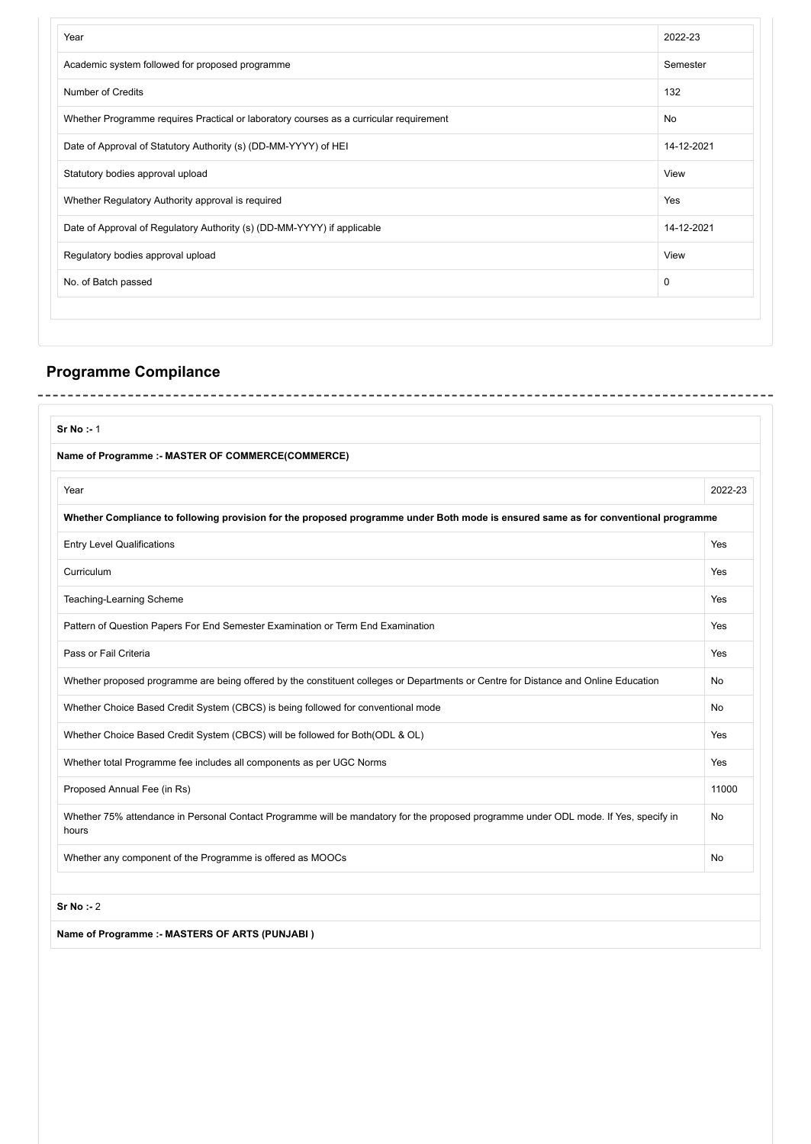| Academic system followed for proposed programme<br>Number of Credits<br>Whether Programme requires Practical or laboratory courses as a curricular requirement | Semester<br>132 |
|----------------------------------------------------------------------------------------------------------------------------------------------------------------|-----------------|
|                                                                                                                                                                |                 |
|                                                                                                                                                                |                 |
|                                                                                                                                                                | No              |
| Date of Approval of Statutory Authority (s) (DD-MM-YYYY) of HEI                                                                                                | 14-12-2021      |
| Statutory bodies approval upload                                                                                                                               | View            |
| Whether Regulatory Authority approval is required                                                                                                              | Yes             |
| Date of Approval of Regulatory Authority (s) (DD-MM-YYYY) if applicable                                                                                        | 14-12-2021      |
| Regulatory bodies approval upload                                                                                                                              | View            |
| No. of Batch passed                                                                                                                                            | $\mathbf 0$     |

 $\sim$   $-$ 

### **Programme Compilance** ------------------

| Sr No : 1                                                                                                                                     |         |  |
|-----------------------------------------------------------------------------------------------------------------------------------------------|---------|--|
| Name of Programme :- MASTER OF COMMERCE(COMMERCE)                                                                                             |         |  |
| Year                                                                                                                                          | 2022-23 |  |
| Whether Compliance to following provision for the proposed programme under Both mode is ensured same as for conventional programme            |         |  |
| <b>Entry Level Qualifications</b>                                                                                                             | Yes     |  |
| Curriculum                                                                                                                                    | Yes     |  |
| Teaching-Learning Scheme                                                                                                                      | Yes     |  |
| Pattern of Question Papers For End Semester Examination or Term End Examination                                                               | Yes     |  |
| Pass or Fail Criteria                                                                                                                         | Yes     |  |
| Whether proposed programme are being offered by the constituent colleges or Departments or Centre for Distance and Online Education           | No      |  |
| Whether Choice Based Credit System (CBCS) is being followed for conventional mode                                                             | No      |  |
| Whether Choice Based Credit System (CBCS) will be followed for Both(ODL & OL)                                                                 | Yes     |  |
| Whether total Programme fee includes all components as per UGC Norms                                                                          | Yes     |  |
| Proposed Annual Fee (in Rs)                                                                                                                   | 11000   |  |
| Whether 75% attendance in Personal Contact Programme will be mandatory for the proposed programme under ODL mode. If Yes, specify in<br>hours | No      |  |
| Whether any component of the Programme is offered as MOOCs                                                                                    | No      |  |

**Sr No :-** 2

**Name of Programme :- MASTERS OF ARTS (PUNJABI )**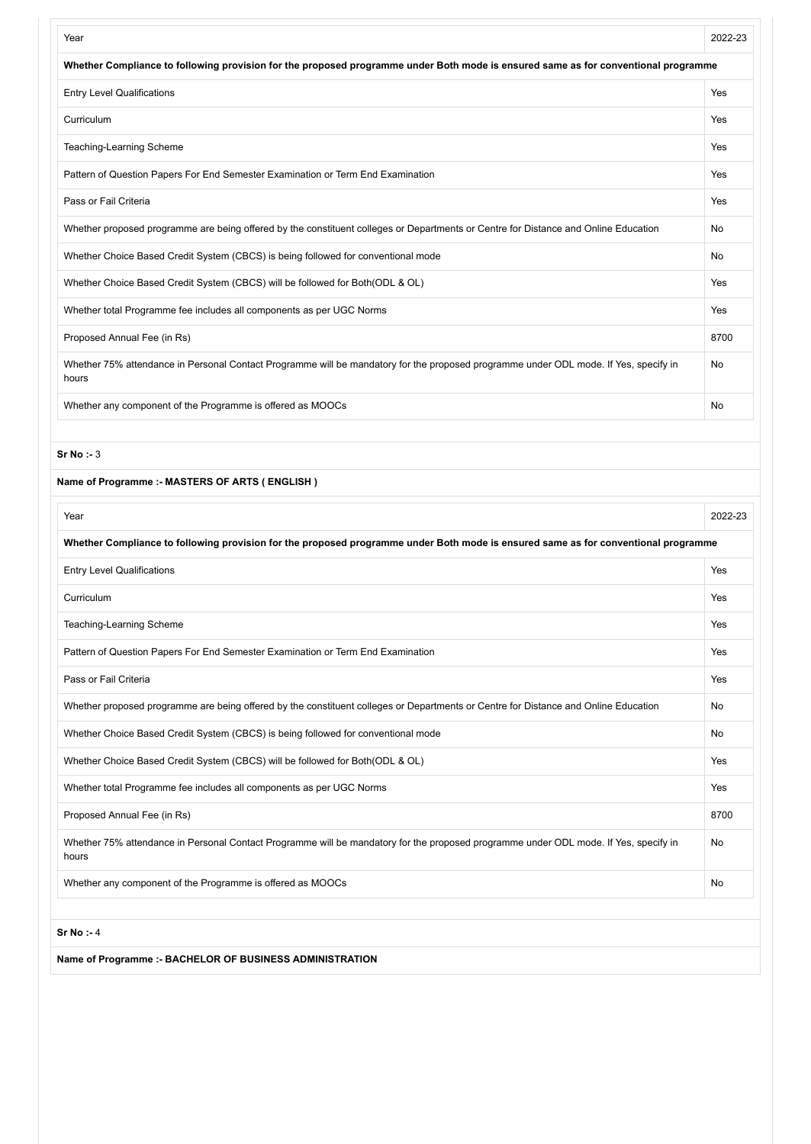| Year                                                                                                                                          | 2022-23 |
|-----------------------------------------------------------------------------------------------------------------------------------------------|---------|
| Whether Compliance to following provision for the proposed programme under Both mode is ensured same as for conventional programme            |         |
| <b>Entry Level Qualifications</b>                                                                                                             | Yes     |
| Curriculum                                                                                                                                    | Yes     |
| Teaching-Learning Scheme                                                                                                                      | Yes     |
| Pattern of Question Papers For End Semester Examination or Term End Examination                                                               | Yes     |
| Pass or Fail Criteria                                                                                                                         | Yes     |
| Whether proposed programme are being offered by the constituent colleges or Departments or Centre for Distance and Online Education           | No      |
| Whether Choice Based Credit System (CBCS) is being followed for conventional mode                                                             | No      |
| Whether Choice Based Credit System (CBCS) will be followed for Both(ODL & OL)                                                                 | Yes     |
| Whether total Programme fee includes all components as per UGC Norms                                                                          | Yes     |
| Proposed Annual Fee (in Rs)                                                                                                                   | 8700    |
| Whether 75% attendance in Personal Contact Programme will be mandatory for the proposed programme under ODL mode. If Yes, specify in<br>hours | No      |
| Whether any component of the Programme is offered as MOOCs                                                                                    | No      |
|                                                                                                                                               |         |
| Sr No : 3                                                                                                                                     |         |
| Name of Programme :- MASTERS OF ARTS (ENGLISH)                                                                                                |         |
| Year                                                                                                                                          | 2022-23 |
| Whether Compliance to following provision for the proposed programme under Both mode is ensured same as for conventional programme            |         |
| <b>Entry Level Qualifications</b>                                                                                                             | Yes     |
| Curriculum                                                                                                                                    | Yes     |
| Teaching-Learning Scheme                                                                                                                      | Yes     |
| Pattern of Question Papers For End Semester Examination or Term End Examination                                                               | Yes     |
| Pass or Fail Criteria                                                                                                                         | Yes     |
| Whether proposed programme are being offered by the constituent colleges or Departments or Centre for Distance and Online Education           | No      |
| Whether Choice Based Credit System (CBCS) is being followed for conventional mode                                                             | No      |
| Whether Choice Based Credit System (CBCS) will be followed for Both(ODL & OL)                                                                 | Yes     |
| Whether total Programme fee includes all components as per UGC Norms                                                                          | Yes     |
| Proposed Annual Fee (in Rs)                                                                                                                   | 8700    |
| Whether 75% attendance in Personal Contact Programme will be mandatory for the proposed programme under ODL mode. If Yes, specify in<br>hours | No      |
| Whether any component of the Programme is offered as MOOCs                                                                                    | No      |

**Sr No :-** 4

**Name of Programme :- BACHELOR OF BUSINESS ADMINISTRATION**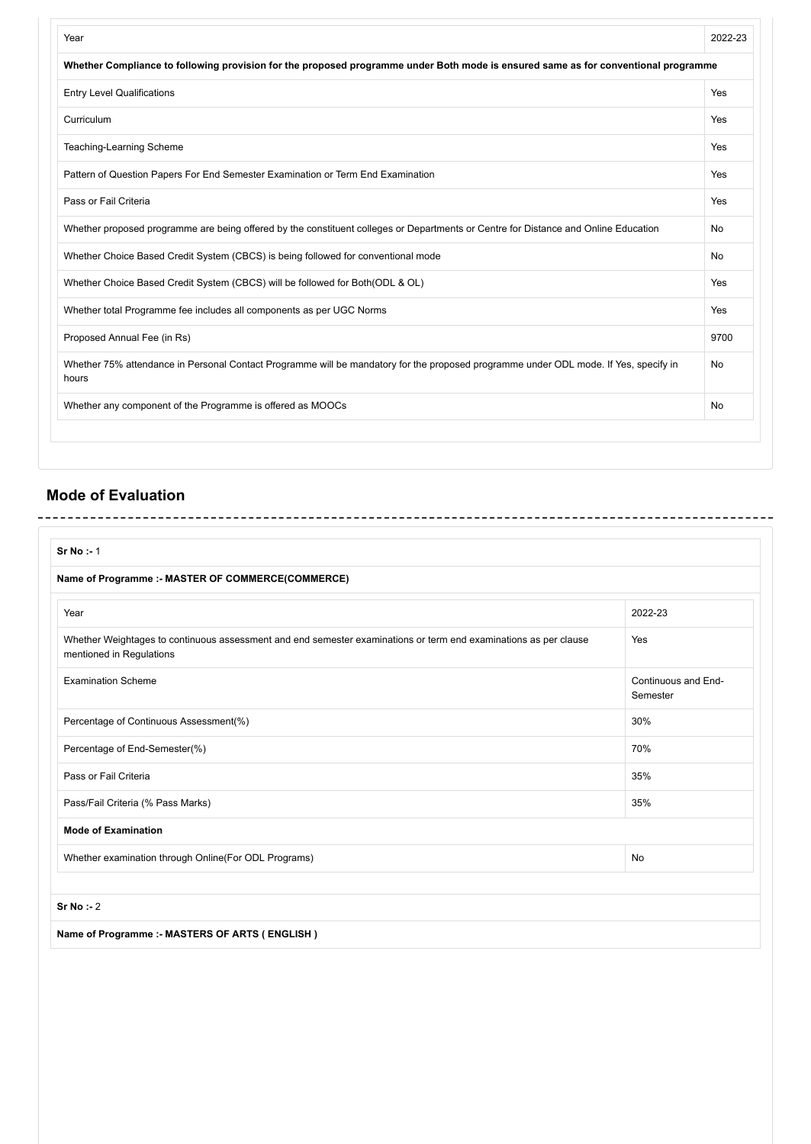| Year                                                                                                                                          | 2022-23 |
|-----------------------------------------------------------------------------------------------------------------------------------------------|---------|
| Whether Compliance to following provision for the proposed programme under Both mode is ensured same as for conventional programme            |         |
| <b>Entry Level Qualifications</b>                                                                                                             | Yes     |
| Curriculum                                                                                                                                    | Yes     |
| Teaching-Learning Scheme                                                                                                                      | Yes     |
| Pattern of Question Papers For End Semester Examination or Term End Examination                                                               | Yes     |
| Pass or Fail Criteria                                                                                                                         | Yes     |
| Whether proposed programme are being offered by the constituent colleges or Departments or Centre for Distance and Online Education           | No      |
| Whether Choice Based Credit System (CBCS) is being followed for conventional mode                                                             | No      |
| Whether Choice Based Credit System (CBCS) will be followed for Both (ODL & OL)                                                                | Yes     |
| Whether total Programme fee includes all components as per UGC Norms                                                                          | Yes     |
| Proposed Annual Fee (in Rs)                                                                                                                   | 9700    |
| Whether 75% attendance in Personal Contact Programme will be mandatory for the proposed programme under ODL mode. If Yes, specify in<br>hours | No      |
| Whether any component of the Programme is offered as MOOCs                                                                                    | No      |

## **Mode of Evaluation**

| Sr No: 1                                                                                                                                     |                                 |
|----------------------------------------------------------------------------------------------------------------------------------------------|---------------------------------|
| Name of Programme :- MASTER OF COMMERCE(COMMERCE)                                                                                            |                                 |
| Year                                                                                                                                         | 2022-23                         |
| Whether Weightages to continuous assessment and end semester examinations or term end examinations as per clause<br>mentioned in Regulations | Yes                             |
| <b>Examination Scheme</b>                                                                                                                    | Continuous and End-<br>Semester |
| Percentage of Continuous Assessment(%)                                                                                                       | 30%                             |
| Percentage of End-Semester(%)                                                                                                                | 70%                             |
| Pass or Fail Criteria                                                                                                                        | 35%                             |
| Pass/Fail Criteria (% Pass Marks)                                                                                                            | 35%                             |
| <b>Mode of Examination</b>                                                                                                                   |                                 |
| Whether examination through Online(For ODL Programs)                                                                                         | No                              |

**Sr No :-** 2

**Name of Programme :- MASTERS OF ARTS ( ENGLISH )**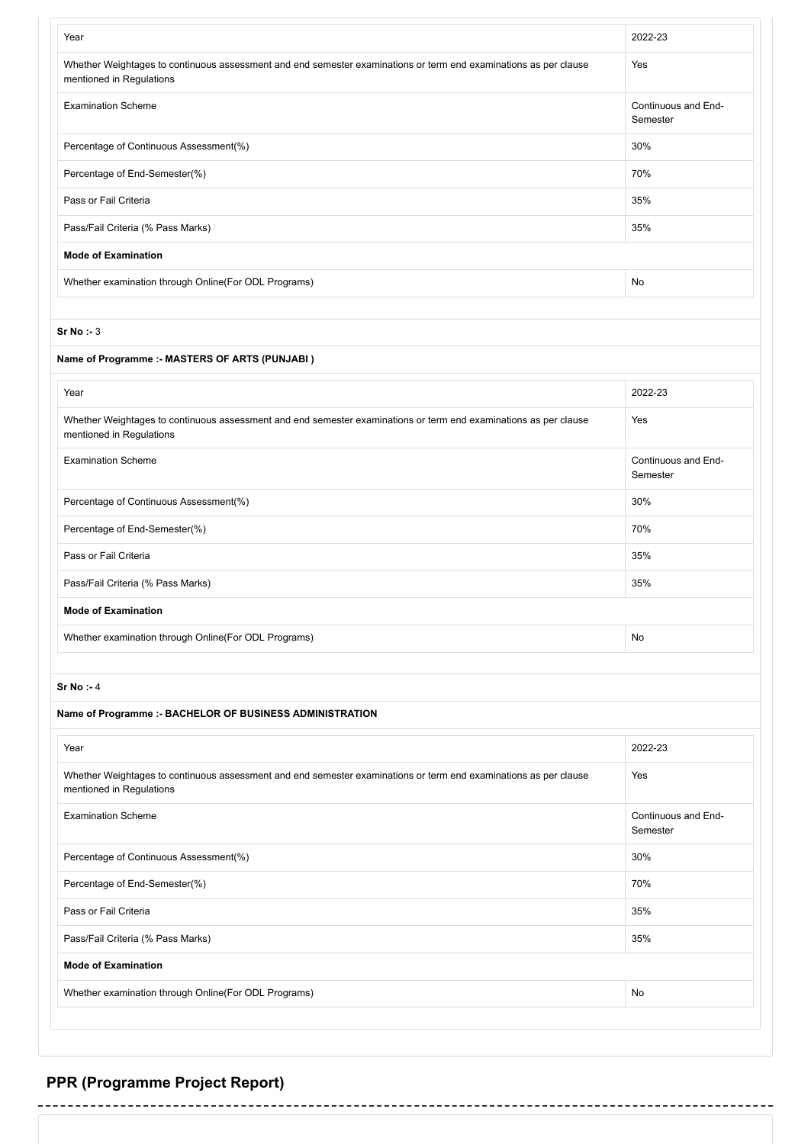| Year                                                                                                                                         | 2022-23                         |
|----------------------------------------------------------------------------------------------------------------------------------------------|---------------------------------|
| Whether Weightages to continuous assessment and end semester examinations or term end examinations as per clause<br>mentioned in Regulations | Yes                             |
| <b>Examination Scheme</b>                                                                                                                    | Continuous and End-<br>Semester |
| Percentage of Continuous Assessment(%)                                                                                                       | 30%                             |
| Percentage of End-Semester(%)                                                                                                                | 70%                             |
| Pass or Fail Criteria                                                                                                                        | 35%                             |
| Pass/Fail Criteria (% Pass Marks)                                                                                                            | 35%                             |
| <b>Mode of Examination</b>                                                                                                                   |                                 |
| Whether examination through Online (For ODL Programs)                                                                                        | No                              |

#### **Sr No :-** 3

#### **Name of Programme :- MASTERS OF ARTS (PUNJABI )**

| Year                                                                                                                                         | 2022-23                         |
|----------------------------------------------------------------------------------------------------------------------------------------------|---------------------------------|
| Whether Weightages to continuous assessment and end semester examinations or term end examinations as per clause<br>mentioned in Regulations | Yes                             |
| <b>Examination Scheme</b>                                                                                                                    | Continuous and End-<br>Semester |
| Percentage of Continuous Assessment(%)                                                                                                       | 30%                             |
| Percentage of End-Semester(%)                                                                                                                | 70%                             |
| Pass or Fail Criteria                                                                                                                        | 35%                             |
| Pass/Fail Criteria (% Pass Marks)                                                                                                            | 35%                             |
| <b>Mode of Examination</b>                                                                                                                   |                                 |
| Whether examination through Online (For ODL Programs)                                                                                        | No                              |

#### **Sr No :-** 4

#### **Name of Programme :- BACHELOR OF BUSINESS ADMINISTRATION**

| Year                                                                                                                                         | 2022-23                         |
|----------------------------------------------------------------------------------------------------------------------------------------------|---------------------------------|
| Whether Weightages to continuous assessment and end semester examinations or term end examinations as per clause<br>mentioned in Regulations | Yes                             |
| <b>Examination Scheme</b>                                                                                                                    | Continuous and End-<br>Semester |
| Percentage of Continuous Assessment(%)                                                                                                       | 30%                             |
| Percentage of End-Semester(%)                                                                                                                | 70%                             |
| Pass or Fail Criteria                                                                                                                        | 35%                             |
| Pass/Fail Criteria (% Pass Marks)                                                                                                            | 35%                             |
| <b>Mode of Examination</b>                                                                                                                   |                                 |
| Whether examination through Online (For ODL Programs)                                                                                        | No                              |

# **PPR (Programme Project Report)**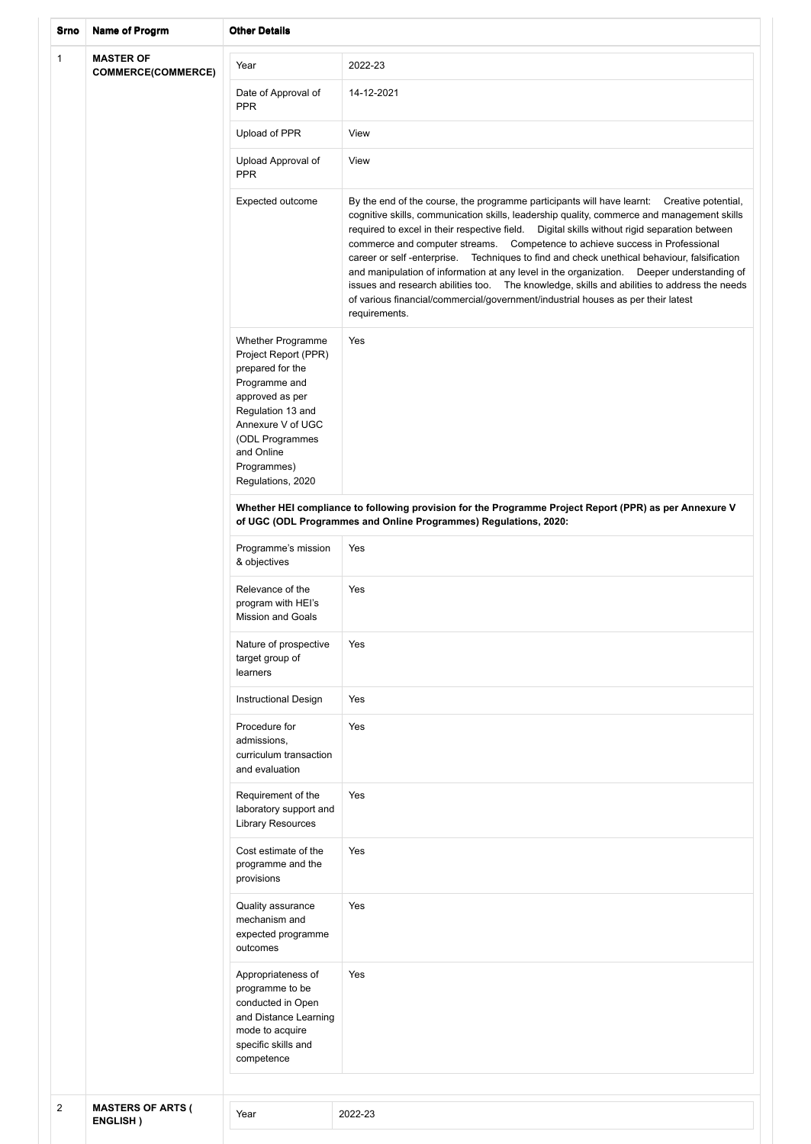| Srno           | <b>Name of Progrm</b>                         | <b>Other Details</b>                                                                                                                                                                                                    |                                                                                                                                                                                                                                                                                                                                                                                                                                                                                                                                                                                                                                                                                                                                                                               |  |  |
|----------------|-----------------------------------------------|-------------------------------------------------------------------------------------------------------------------------------------------------------------------------------------------------------------------------|-------------------------------------------------------------------------------------------------------------------------------------------------------------------------------------------------------------------------------------------------------------------------------------------------------------------------------------------------------------------------------------------------------------------------------------------------------------------------------------------------------------------------------------------------------------------------------------------------------------------------------------------------------------------------------------------------------------------------------------------------------------------------------|--|--|
| $\mathbf{1}$   | <b>MASTER OF</b><br><b>COMMERCE(COMMERCE)</b> | Year                                                                                                                                                                                                                    | 2022-23                                                                                                                                                                                                                                                                                                                                                                                                                                                                                                                                                                                                                                                                                                                                                                       |  |  |
|                |                                               | Date of Approval of<br><b>PPR</b>                                                                                                                                                                                       | 14-12-2021                                                                                                                                                                                                                                                                                                                                                                                                                                                                                                                                                                                                                                                                                                                                                                    |  |  |
|                |                                               | Upload of PPR                                                                                                                                                                                                           | View                                                                                                                                                                                                                                                                                                                                                                                                                                                                                                                                                                                                                                                                                                                                                                          |  |  |
|                |                                               | Upload Approval of<br><b>PPR</b>                                                                                                                                                                                        | View                                                                                                                                                                                                                                                                                                                                                                                                                                                                                                                                                                                                                                                                                                                                                                          |  |  |
|                |                                               | Expected outcome                                                                                                                                                                                                        | By the end of the course, the programme participants will have learnt: Creative potential,<br>cognitive skills, communication skills, leadership quality, commerce and management skills<br>required to excel in their respective field.  Digital skills without rigid separation between<br>commerce and computer streams. Competence to achieve success in Professional<br>Techniques to find and check unethical behaviour, falsification<br>career or self-enterprise.<br>and manipulation of information at any level in the organization.  Deeper understanding of<br>issues and research abilities too.  The knowledge, skills and abilities to address the needs<br>of various financial/commercial/government/industrial houses as per their latest<br>requirements. |  |  |
|                |                                               | <b>Whether Programme</b><br>Project Report (PPR)<br>prepared for the<br>Programme and<br>approved as per<br>Regulation 13 and<br>Annexure V of UGC<br>(ODL Programmes<br>and Online<br>Programmes)<br>Regulations, 2020 | Yes                                                                                                                                                                                                                                                                                                                                                                                                                                                                                                                                                                                                                                                                                                                                                                           |  |  |
|                |                                               |                                                                                                                                                                                                                         | Whether HEI compliance to following provision for the Programme Project Report (PPR) as per Annexure V<br>of UGC (ODL Programmes and Online Programmes) Regulations, 2020:                                                                                                                                                                                                                                                                                                                                                                                                                                                                                                                                                                                                    |  |  |
|                |                                               | Programme's mission<br>& objectives                                                                                                                                                                                     | Yes                                                                                                                                                                                                                                                                                                                                                                                                                                                                                                                                                                                                                                                                                                                                                                           |  |  |
|                |                                               | Relevance of the<br>program with HEI's<br><b>Mission and Goals</b>                                                                                                                                                      | Yes                                                                                                                                                                                                                                                                                                                                                                                                                                                                                                                                                                                                                                                                                                                                                                           |  |  |
|                |                                               | Nature of prospective<br>target group of<br>learners                                                                                                                                                                    | Yes                                                                                                                                                                                                                                                                                                                                                                                                                                                                                                                                                                                                                                                                                                                                                                           |  |  |
|                |                                               | <b>Instructional Design</b>                                                                                                                                                                                             | Yes                                                                                                                                                                                                                                                                                                                                                                                                                                                                                                                                                                                                                                                                                                                                                                           |  |  |
|                |                                               | Procedure for<br>admissions,<br>curriculum transaction<br>and evaluation                                                                                                                                                | Yes                                                                                                                                                                                                                                                                                                                                                                                                                                                                                                                                                                                                                                                                                                                                                                           |  |  |
|                |                                               | Requirement of the<br>laboratory support and<br><b>Library Resources</b>                                                                                                                                                | Yes                                                                                                                                                                                                                                                                                                                                                                                                                                                                                                                                                                                                                                                                                                                                                                           |  |  |
|                |                                               | Cost estimate of the<br>programme and the<br>provisions                                                                                                                                                                 | Yes                                                                                                                                                                                                                                                                                                                                                                                                                                                                                                                                                                                                                                                                                                                                                                           |  |  |
|                |                                               | Quality assurance<br>mechanism and<br>expected programme<br>outcomes                                                                                                                                                    | Yes                                                                                                                                                                                                                                                                                                                                                                                                                                                                                                                                                                                                                                                                                                                                                                           |  |  |
|                |                                               | Appropriateness of<br>programme to be<br>conducted in Open<br>and Distance Learning<br>mode to acquire<br>specific skills and<br>competence                                                                             | Yes                                                                                                                                                                                                                                                                                                                                                                                                                                                                                                                                                                                                                                                                                                                                                                           |  |  |
|                |                                               |                                                                                                                                                                                                                         |                                                                                                                                                                                                                                                                                                                                                                                                                                                                                                                                                                                                                                                                                                                                                                               |  |  |
| $\overline{2}$ | <b>MASTERS OF ARTS (</b><br>ENGLISH)          | Year                                                                                                                                                                                                                    | 2022-23                                                                                                                                                                                                                                                                                                                                                                                                                                                                                                                                                                                                                                                                                                                                                                       |  |  |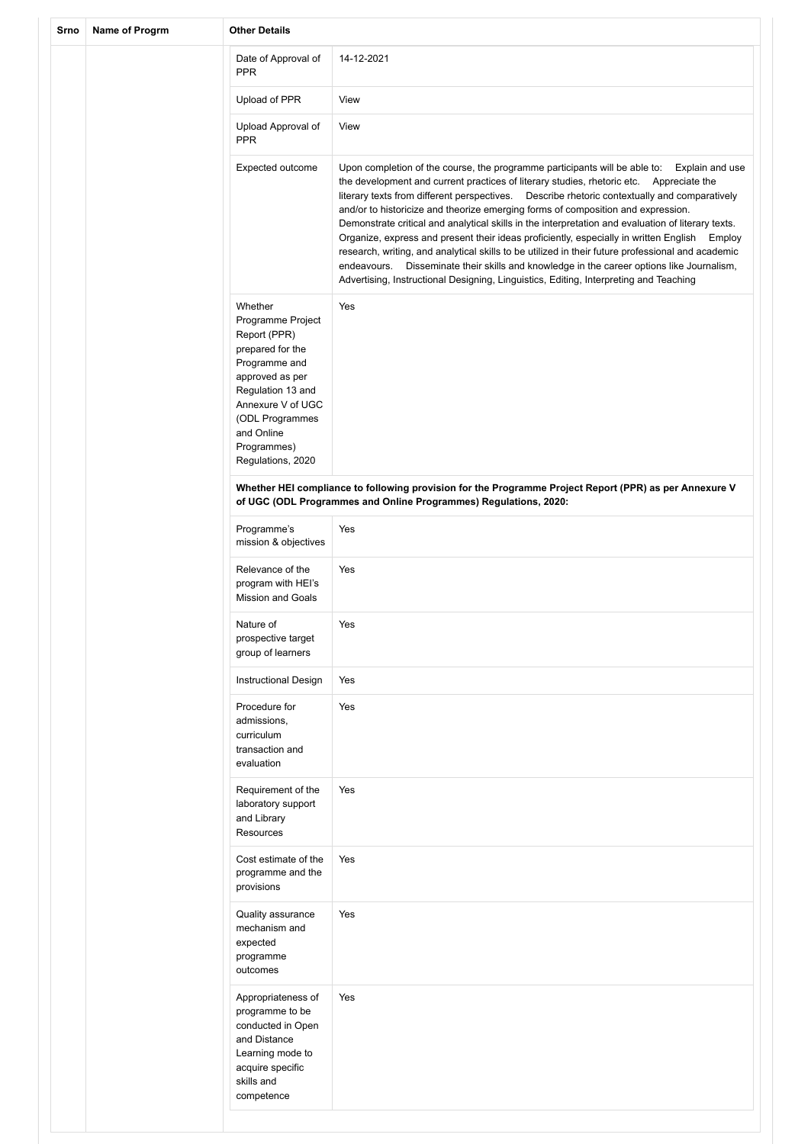| Srno | Name of Progrm | <b>Other Details</b>                                                                                                                                                                                                |                                                                                                                                                                                                                                                                                                                                                                                                                                                                                                                                                                                                                                                                                                                                                                                                                                                                                   |
|------|----------------|---------------------------------------------------------------------------------------------------------------------------------------------------------------------------------------------------------------------|-----------------------------------------------------------------------------------------------------------------------------------------------------------------------------------------------------------------------------------------------------------------------------------------------------------------------------------------------------------------------------------------------------------------------------------------------------------------------------------------------------------------------------------------------------------------------------------------------------------------------------------------------------------------------------------------------------------------------------------------------------------------------------------------------------------------------------------------------------------------------------------|
|      |                | Date of Approval of<br><b>PPR</b>                                                                                                                                                                                   | 14-12-2021                                                                                                                                                                                                                                                                                                                                                                                                                                                                                                                                                                                                                                                                                                                                                                                                                                                                        |
|      |                | Upload of PPR                                                                                                                                                                                                       | View                                                                                                                                                                                                                                                                                                                                                                                                                                                                                                                                                                                                                                                                                                                                                                                                                                                                              |
|      |                | Upload Approval of<br><b>PPR</b>                                                                                                                                                                                    | View                                                                                                                                                                                                                                                                                                                                                                                                                                                                                                                                                                                                                                                                                                                                                                                                                                                                              |
|      |                | Expected outcome                                                                                                                                                                                                    | Upon completion of the course, the programme participants will be able to:<br>Explain and use<br>the development and current practices of literary studies, rhetoric etc. Appreciate the<br>literary texts from different perspectives.  Describe rhetoric contextually and comparatively<br>and/or to historicize and theorize emerging forms of composition and expression.<br>Demonstrate critical and analytical skills in the interpretation and evaluation of literary texts.<br>Organize, express and present their ideas proficiently, especially in written English Employ<br>research, writing, and analytical skills to be utilized in their future professional and academic<br>Disseminate their skills and knowledge in the career options like Journalism,<br>endeavours.<br>Advertising, Instructional Designing, Linguistics, Editing, Interpreting and Teaching |
|      |                | Whether<br>Programme Project<br>Report (PPR)<br>prepared for the<br>Programme and<br>approved as per<br>Regulation 13 and<br>Annexure V of UGC<br>(ODL Programmes<br>and Online<br>Programmes)<br>Regulations, 2020 | Yes                                                                                                                                                                                                                                                                                                                                                                                                                                                                                                                                                                                                                                                                                                                                                                                                                                                                               |
|      |                |                                                                                                                                                                                                                     | Whether HEI compliance to following provision for the Programme Project Report (PPR) as per Annexure V<br>of UGC (ODL Programmes and Online Programmes) Regulations, 2020:                                                                                                                                                                                                                                                                                                                                                                                                                                                                                                                                                                                                                                                                                                        |
|      |                | Programme's<br>mission & objectives                                                                                                                                                                                 | Yes                                                                                                                                                                                                                                                                                                                                                                                                                                                                                                                                                                                                                                                                                                                                                                                                                                                                               |
|      |                | Relevance of the<br>program with HEI's<br><b>Mission and Goals</b>                                                                                                                                                  | Yes                                                                                                                                                                                                                                                                                                                                                                                                                                                                                                                                                                                                                                                                                                                                                                                                                                                                               |
|      |                | Nature of<br>prospective target<br>group of learners                                                                                                                                                                | Yes                                                                                                                                                                                                                                                                                                                                                                                                                                                                                                                                                                                                                                                                                                                                                                                                                                                                               |
|      |                | <b>Instructional Design</b>                                                                                                                                                                                         | Yes                                                                                                                                                                                                                                                                                                                                                                                                                                                                                                                                                                                                                                                                                                                                                                                                                                                                               |
|      |                | Procedure for<br>admissions,<br>curriculum<br>transaction and<br>evaluation                                                                                                                                         | Yes                                                                                                                                                                                                                                                                                                                                                                                                                                                                                                                                                                                                                                                                                                                                                                                                                                                                               |
|      |                | Requirement of the<br>laboratory support<br>and Library<br><b>Resources</b>                                                                                                                                         | Yes                                                                                                                                                                                                                                                                                                                                                                                                                                                                                                                                                                                                                                                                                                                                                                                                                                                                               |
|      |                | Cost estimate of the<br>programme and the<br>provisions                                                                                                                                                             | Yes                                                                                                                                                                                                                                                                                                                                                                                                                                                                                                                                                                                                                                                                                                                                                                                                                                                                               |
|      |                | Quality assurance<br>mechanism and<br>expected<br>programme<br>outcomes                                                                                                                                             | Yes                                                                                                                                                                                                                                                                                                                                                                                                                                                                                                                                                                                                                                                                                                                                                                                                                                                                               |
|      |                | Appropriateness of<br>programme to be<br>conducted in Open<br>and Distance<br>Learning mode to<br>acquire specific<br>skills and<br>competence                                                                      | Yes                                                                                                                                                                                                                                                                                                                                                                                                                                                                                                                                                                                                                                                                                                                                                                                                                                                                               |
|      |                |                                                                                                                                                                                                                     |                                                                                                                                                                                                                                                                                                                                                                                                                                                                                                                                                                                                                                                                                                                                                                                                                                                                                   |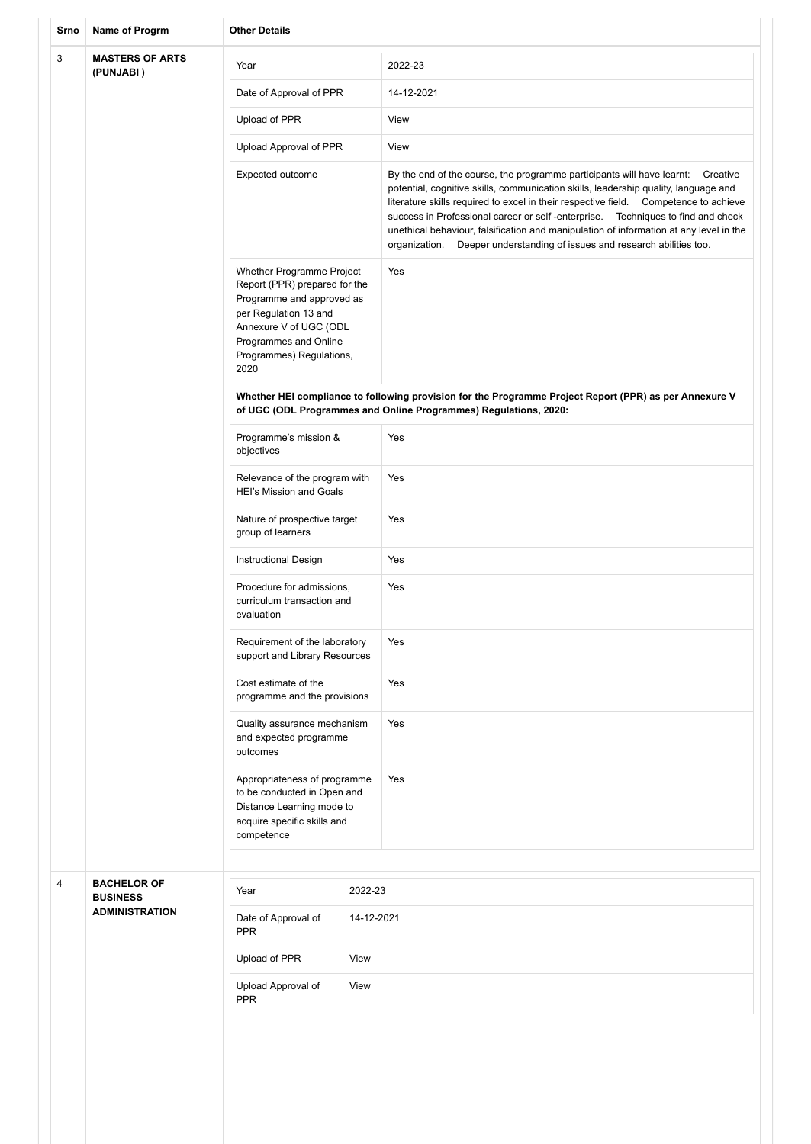| Srno                                     | Name of Progrm                        | <b>Other Details</b>                                                                                                                                                                                    |            |                                                                                                                                                                                                                                                                                                                                                                                                                                                                                                                             |  |
|------------------------------------------|---------------------------------------|---------------------------------------------------------------------------------------------------------------------------------------------------------------------------------------------------------|------------|-----------------------------------------------------------------------------------------------------------------------------------------------------------------------------------------------------------------------------------------------------------------------------------------------------------------------------------------------------------------------------------------------------------------------------------------------------------------------------------------------------------------------------|--|
| 3<br><b>MASTERS OF ARTS</b><br>(PUNJABI) |                                       | Year                                                                                                                                                                                                    |            | 2022-23                                                                                                                                                                                                                                                                                                                                                                                                                                                                                                                     |  |
|                                          |                                       | Date of Approval of PPR                                                                                                                                                                                 |            | 14-12-2021                                                                                                                                                                                                                                                                                                                                                                                                                                                                                                                  |  |
|                                          |                                       | Upload of PPR                                                                                                                                                                                           |            | View                                                                                                                                                                                                                                                                                                                                                                                                                                                                                                                        |  |
|                                          |                                       | Upload Approval of PPR                                                                                                                                                                                  |            | View                                                                                                                                                                                                                                                                                                                                                                                                                                                                                                                        |  |
|                                          |                                       | Expected outcome                                                                                                                                                                                        |            | By the end of the course, the programme participants will have learnt: Creative<br>potential, cognitive skills, communication skills, leadership quality, language and<br>literature skills required to excel in their respective field.  Competence to achieve<br>success in Professional career or self-enterprise. Techniques to find and check<br>unethical behaviour, falsification and manipulation of information at any level in the<br>Deeper understanding of issues and research abilities too.<br>organization. |  |
|                                          |                                       | Whether Programme Project<br>Report (PPR) prepared for the<br>Programme and approved as<br>per Regulation 13 and<br>Annexure V of UGC (ODL<br>Programmes and Online<br>Programmes) Regulations,<br>2020 |            | Yes                                                                                                                                                                                                                                                                                                                                                                                                                                                                                                                         |  |
|                                          |                                       |                                                                                                                                                                                                         |            | Whether HEI compliance to following provision for the Programme Project Report (PPR) as per Annexure V<br>of UGC (ODL Programmes and Online Programmes) Regulations, 2020:                                                                                                                                                                                                                                                                                                                                                  |  |
|                                          |                                       | Programme's mission &<br>objectives                                                                                                                                                                     |            | Yes                                                                                                                                                                                                                                                                                                                                                                                                                                                                                                                         |  |
|                                          |                                       | Relevance of the program with<br><b>HEI's Mission and Goals</b>                                                                                                                                         |            | Yes                                                                                                                                                                                                                                                                                                                                                                                                                                                                                                                         |  |
|                                          |                                       | Nature of prospective target<br>group of learners                                                                                                                                                       |            | Yes                                                                                                                                                                                                                                                                                                                                                                                                                                                                                                                         |  |
|                                          |                                       | <b>Instructional Design</b>                                                                                                                                                                             |            | Yes                                                                                                                                                                                                                                                                                                                                                                                                                                                                                                                         |  |
|                                          |                                       | Procedure for admissions,<br>curriculum transaction and<br>evaluation                                                                                                                                   |            | Yes                                                                                                                                                                                                                                                                                                                                                                                                                                                                                                                         |  |
|                                          |                                       | Requirement of the laboratory<br>support and Library Resources                                                                                                                                          |            | Yes                                                                                                                                                                                                                                                                                                                                                                                                                                                                                                                         |  |
|                                          |                                       | Cost estimate of the<br>programme and the provisions                                                                                                                                                    |            | Yes                                                                                                                                                                                                                                                                                                                                                                                                                                                                                                                         |  |
|                                          |                                       | Quality assurance mechanism<br>and expected programme<br>outcomes                                                                                                                                       |            | Yes                                                                                                                                                                                                                                                                                                                                                                                                                                                                                                                         |  |
|                                          |                                       | Appropriateness of programme<br>to be conducted in Open and<br>Distance Learning mode to<br>acquire specific skills and<br>competence                                                                   |            | Yes                                                                                                                                                                                                                                                                                                                                                                                                                                                                                                                         |  |
|                                          |                                       |                                                                                                                                                                                                         |            |                                                                                                                                                                                                                                                                                                                                                                                                                                                                                                                             |  |
| 4                                        | <b>BACHELOR OF</b><br><b>BUSINESS</b> | Year                                                                                                                                                                                                    | 2022-23    |                                                                                                                                                                                                                                                                                                                                                                                                                                                                                                                             |  |
|                                          | <b>ADMINISTRATION</b>                 | Date of Approval of<br><b>PPR</b>                                                                                                                                                                       | 14-12-2021 |                                                                                                                                                                                                                                                                                                                                                                                                                                                                                                                             |  |
|                                          |                                       | Upload of PPR                                                                                                                                                                                           | View       |                                                                                                                                                                                                                                                                                                                                                                                                                                                                                                                             |  |
|                                          |                                       | Upload Approval of<br><b>PPR</b>                                                                                                                                                                        | View       |                                                                                                                                                                                                                                                                                                                                                                                                                                                                                                                             |  |
|                                          |                                       |                                                                                                                                                                                                         |            |                                                                                                                                                                                                                                                                                                                                                                                                                                                                                                                             |  |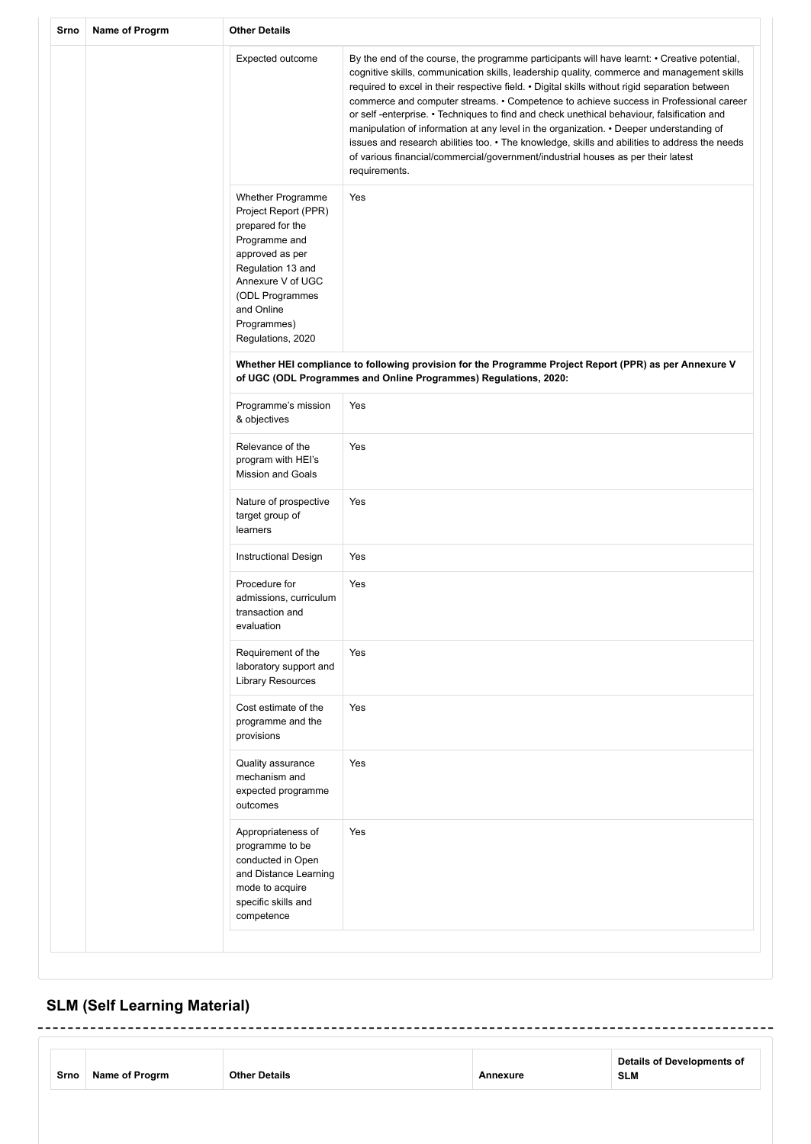| Srno | Name of Progrm | <b>Other Details</b>                                                                                                                                                                                                    |                                                                                                                                                                                                                                                                                                                                                                                                                                                                                                                                                                                                                                                                                                                                                                                     |  |  |  |
|------|----------------|-------------------------------------------------------------------------------------------------------------------------------------------------------------------------------------------------------------------------|-------------------------------------------------------------------------------------------------------------------------------------------------------------------------------------------------------------------------------------------------------------------------------------------------------------------------------------------------------------------------------------------------------------------------------------------------------------------------------------------------------------------------------------------------------------------------------------------------------------------------------------------------------------------------------------------------------------------------------------------------------------------------------------|--|--|--|
|      |                | Expected outcome                                                                                                                                                                                                        | By the end of the course, the programme participants will have learnt: • Creative potential,<br>cognitive skills, communication skills, leadership quality, commerce and management skills<br>required to excel in their respective field. • Digital skills without rigid separation between<br>commerce and computer streams. • Competence to achieve success in Professional career<br>or self-enterprise. • Techniques to find and check unethical behaviour, falsification and<br>manipulation of information at any level in the organization. • Deeper understanding of<br>issues and research abilities too. • The knowledge, skills and abilities to address the needs<br>of various financial/commercial/government/industrial houses as per their latest<br>requirements. |  |  |  |
|      |                | <b>Whether Programme</b><br>Project Report (PPR)<br>prepared for the<br>Programme and<br>approved as per<br>Regulation 13 and<br>Annexure V of UGC<br>(ODL Programmes<br>and Online<br>Programmes)<br>Regulations, 2020 | Yes                                                                                                                                                                                                                                                                                                                                                                                                                                                                                                                                                                                                                                                                                                                                                                                 |  |  |  |
|      |                |                                                                                                                                                                                                                         | Whether HEI compliance to following provision for the Programme Project Report (PPR) as per Annexure V<br>of UGC (ODL Programmes and Online Programmes) Regulations, 2020:                                                                                                                                                                                                                                                                                                                                                                                                                                                                                                                                                                                                          |  |  |  |
|      |                | Programme's mission<br>Yes<br>& objectives                                                                                                                                                                              |                                                                                                                                                                                                                                                                                                                                                                                                                                                                                                                                                                                                                                                                                                                                                                                     |  |  |  |
|      |                | Relevance of the<br>program with HEI's<br><b>Mission and Goals</b>                                                                                                                                                      | Yes                                                                                                                                                                                                                                                                                                                                                                                                                                                                                                                                                                                                                                                                                                                                                                                 |  |  |  |
|      |                | Nature of prospective<br>target group of<br>learners                                                                                                                                                                    | Yes                                                                                                                                                                                                                                                                                                                                                                                                                                                                                                                                                                                                                                                                                                                                                                                 |  |  |  |
|      |                | Instructional Design                                                                                                                                                                                                    | Yes                                                                                                                                                                                                                                                                                                                                                                                                                                                                                                                                                                                                                                                                                                                                                                                 |  |  |  |
|      |                | Procedure for<br>admissions, curriculum<br>transaction and<br>evaluation                                                                                                                                                | Yes                                                                                                                                                                                                                                                                                                                                                                                                                                                                                                                                                                                                                                                                                                                                                                                 |  |  |  |
|      |                | Requirement of the<br>laboratory support and<br><b>Library Resources</b>                                                                                                                                                | Yes                                                                                                                                                                                                                                                                                                                                                                                                                                                                                                                                                                                                                                                                                                                                                                                 |  |  |  |
|      |                | Cost estimate of the<br>programme and the<br>provisions                                                                                                                                                                 | Yes                                                                                                                                                                                                                                                                                                                                                                                                                                                                                                                                                                                                                                                                                                                                                                                 |  |  |  |
|      |                | Quality assurance<br>mechanism and<br>expected programme<br>outcomes                                                                                                                                                    | Yes                                                                                                                                                                                                                                                                                                                                                                                                                                                                                                                                                                                                                                                                                                                                                                                 |  |  |  |
|      |                | Appropriateness of<br>programme to be<br>conducted in Open<br>and Distance Learning<br>mode to acquire<br>specific skills and<br>competence                                                                             | Yes                                                                                                                                                                                                                                                                                                                                                                                                                                                                                                                                                                                                                                                                                                                                                                                 |  |  |  |
|      |                |                                                                                                                                                                                                                         |                                                                                                                                                                                                                                                                                                                                                                                                                                                                                                                                                                                                                                                                                                                                                                                     |  |  |  |

# **SLM (Self Learning Material)**

| Details of Developments of<br><b>Other Details</b><br>Name of Progrm<br>Srno<br>SLM<br>Annexure |
|-------------------------------------------------------------------------------------------------|
|-------------------------------------------------------------------------------------------------|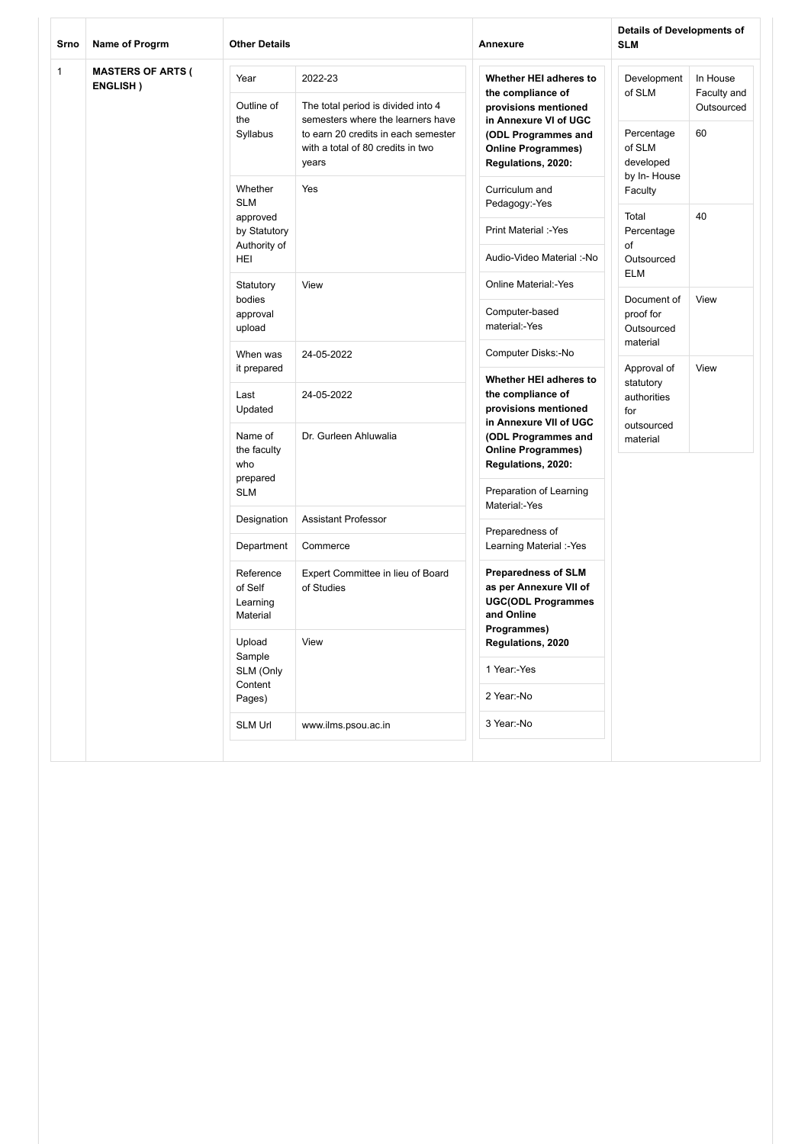| Srno         | Name of Progrm                       | <b>Other Details</b>                                    |                                                                                                                        | Annexure                                                                                        | <b>Details of Developments of</b><br><b>SLM</b>  |                                       |  |
|--------------|--------------------------------------|---------------------------------------------------------|------------------------------------------------------------------------------------------------------------------------|-------------------------------------------------------------------------------------------------|--------------------------------------------------|---------------------------------------|--|
| $\mathbf{1}$ | <b>MASTERS OF ARTS (</b><br>ENGLISH) | Year<br>Outline of                                      | 2022-23<br>The total period is divided into 4                                                                          | Whether HEI adheres to<br>the compliance of<br>provisions mentioned                             | Development<br>of SLM                            | In House<br>Faculty and<br>Outsourced |  |
|              |                                      | the<br>Syllabus                                         | semesters where the learners have<br>to earn 20 credits in each semester<br>with a total of 80 credits in two<br>years | in Annexure VI of UGC<br>(ODL Programmes and<br><b>Online Programmes)</b><br>Regulations, 2020: | Percentage<br>of SLM<br>developed<br>by In-House | 60                                    |  |
|              |                                      | Whether<br><b>SLM</b>                                   | Yes                                                                                                                    | Curriculum and<br>Pedagogy:-Yes                                                                 | Faculty                                          |                                       |  |
|              | approved<br>by Statutory             |                                                         | Print Material :- Yes                                                                                                  | 40<br>Total<br>Percentage<br>of<br>Outsourced<br><b>ELM</b>                                     |                                                  |                                       |  |
|              | Authority of<br>HEI                  |                                                         | Audio-Video Material :- No                                                                                             |                                                                                                 |                                                  |                                       |  |
|              | Statutory                            | View                                                    | <b>Online Material:-Yes</b>                                                                                            |                                                                                                 |                                                  |                                       |  |
|              | bodies<br>approval<br>upload         |                                                         | Computer-based<br>material:-Yes                                                                                        | Document of<br>View<br>proof for<br>Outsourced<br>material                                      |                                                  |                                       |  |
|              |                                      | When was                                                | 24-05-2022                                                                                                             | Computer Disks:-No                                                                              |                                                  |                                       |  |
|              |                                      | it prepared<br>Last<br>Updated                          | 24-05-2022                                                                                                             | Whether HEI adheres to<br>the compliance of<br>provisions mentioned<br>in Annexure VII of UGC   | Approval of<br>statutory<br>authorities<br>for   | View                                  |  |
|              |                                      | Name of<br>the faculty<br>who<br>prepared<br><b>SLM</b> | Dr. Gurleen Ahluwalia                                                                                                  | (ODL Programmes and<br><b>Online Programmes)</b><br>Regulations, 2020:                          | outsourced<br>material                           |                                       |  |
|              |                                      |                                                         |                                                                                                                        | Preparation of Learning<br>Material:-Yes                                                        |                                                  |                                       |  |
|              |                                      | Designation                                             | <b>Assistant Professor</b>                                                                                             | Preparedness of                                                                                 |                                                  |                                       |  |
|              |                                      | Department                                              | Commerce                                                                                                               | Learning Material :-Yes                                                                         |                                                  |                                       |  |
|              |                                      | Reference<br>of Self<br>Learning<br>Material            | Expert Committee in lieu of Board<br>of Studies                                                                        | <b>Preparedness of SLM</b><br>as per Annexure VII of<br><b>UGC(ODL Programmes</b><br>and Online |                                                  |                                       |  |
|              | Upload<br>Sample                     | View                                                    | Programmes)<br>Regulations, 2020                                                                                       |                                                                                                 |                                                  |                                       |  |
|              |                                      | SLM (Only<br>Content                                    |                                                                                                                        | 1 Year:-Yes                                                                                     |                                                  |                                       |  |
|              |                                      | Pages)                                                  |                                                                                                                        | 2 Year:-No                                                                                      |                                                  |                                       |  |
|              |                                      | <b>SLM Url</b>                                          | www.ilms.psou.ac.in                                                                                                    | 3 Year:-No                                                                                      |                                                  |                                       |  |
|              |                                      |                                                         |                                                                                                                        |                                                                                                 |                                                  |                                       |  |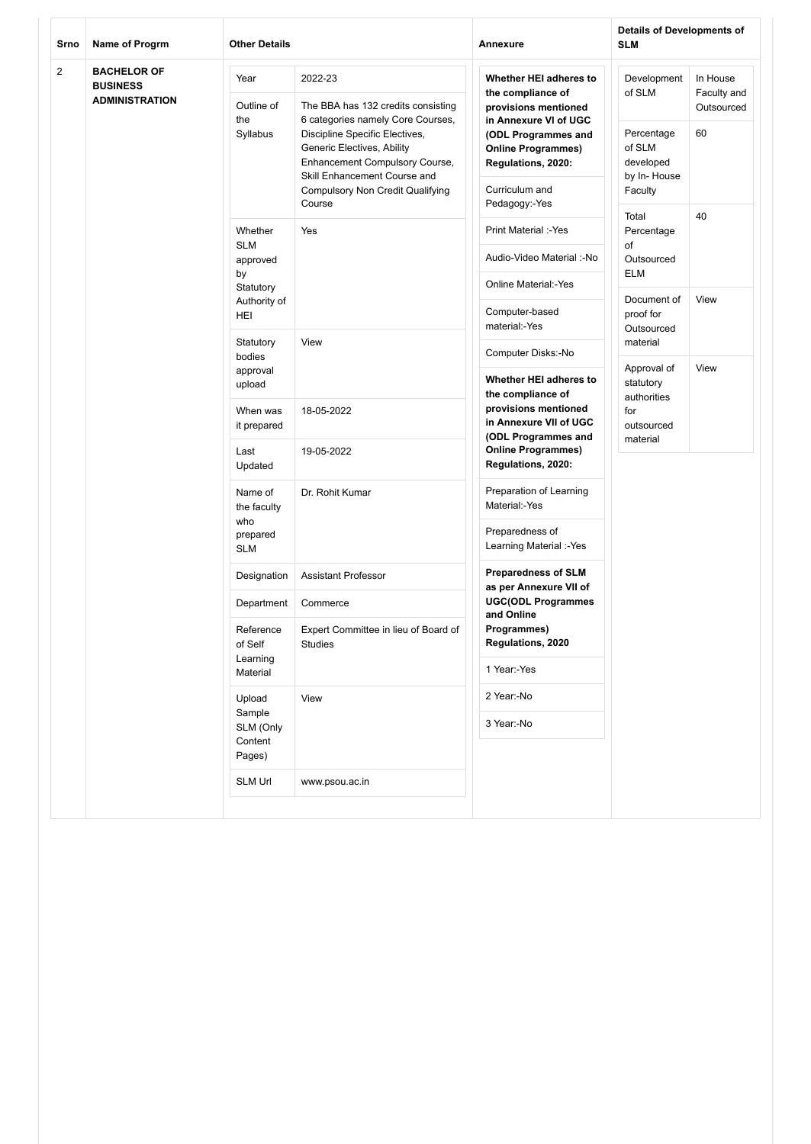| Srno           | <b>Name of Progrm</b>                                          | <b>Other Details</b>                                    |                                                                                                                                                                                  | Annexure                                                                                     | <b>Details of Developments of</b><br><b>SLM</b>             |                                       |
|----------------|----------------------------------------------------------------|---------------------------------------------------------|----------------------------------------------------------------------------------------------------------------------------------------------------------------------------------|----------------------------------------------------------------------------------------------|-------------------------------------------------------------|---------------------------------------|
| $\overline{2}$ | <b>BACHELOR OF</b><br><b>BUSINESS</b><br><b>ADMINISTRATION</b> | Year<br>Outline of<br>the                               | 2022-23<br>The BBA has 132 credits consisting<br>6 categories namely Core Courses,                                                                                               | Whether HEI adheres to<br>the compliance of<br>provisions mentioned<br>in Annexure VI of UGC | Development<br>of SLM                                       | In House<br>Faculty and<br>Outsourced |
|                |                                                                | Syllabus                                                | Discipline Specific Electives,<br>Generic Electives, Ability<br><b>Enhancement Compulsory Course,</b><br>Skill Enhancement Course and<br><b>Compulsory Non Credit Qualifying</b> | (ODL Programmes and<br><b>Online Programmes)</b><br>Regulations, 2020:<br>Curriculum and     | Percentage<br>of SLM<br>developed<br>by In-House<br>Faculty | 60                                    |
|                |                                                                |                                                         | Course                                                                                                                                                                           | Pedagogy:-Yes                                                                                | Total                                                       | 40                                    |
|                |                                                                | Whether<br><b>SLM</b>                                   | Yes                                                                                                                                                                              | Print Material :- Yes                                                                        | Percentage<br>of                                            |                                       |
|                |                                                                | approved<br>by                                          |                                                                                                                                                                                  | Audio-Video Material :- No                                                                   | Outsourced<br><b>ELM</b>                                    |                                       |
|                |                                                                | Statutory                                               |                                                                                                                                                                                  | <b>Online Material:-Yes</b>                                                                  | Document of                                                 | View                                  |
|                |                                                                | Authority of<br>HEI                                     |                                                                                                                                                                                  | Computer-based<br>material:-Yes                                                              | proof for<br>Outsourced                                     |                                       |
|                |                                                                | Statutory<br>bodies                                     | View                                                                                                                                                                             | Computer Disks:-No                                                                           | material                                                    |                                       |
|                |                                                                | approval<br>upload                                      |                                                                                                                                                                                  | Whether HEI adheres to<br>the compliance of                                                  | Approval of<br>statutory<br>authorities                     | View                                  |
|                |                                                                | When was<br>it prepared                                 | 18-05-2022                                                                                                                                                                       | provisions mentioned<br>in Annexure VII of UGC<br>(ODL Programmes and                        | for<br>outsourced<br>material                               |                                       |
|                | Last<br>Updated                                                | 19-05-2022                                              | <b>Online Programmes)</b><br>Regulations, 2020:                                                                                                                                  |                                                                                              |                                                             |                                       |
|                |                                                                | Name of<br>the faculty<br>who<br>prepared<br><b>SLM</b> | Dr. Rohit Kumar                                                                                                                                                                  | Preparation of Learning<br>Material:-Yes                                                     |                                                             |                                       |
|                |                                                                |                                                         |                                                                                                                                                                                  | Preparedness of<br>Learning Material :-Yes                                                   |                                                             |                                       |
|                |                                                                | Designation                                             | <b>Assistant Professor</b>                                                                                                                                                       | <b>Preparedness of SLM</b><br>as per Annexure VII of                                         |                                                             |                                       |
|                |                                                                | Department                                              | Commerce                                                                                                                                                                         | <b>UGC(ODL Programmes</b><br>and Online                                                      |                                                             |                                       |
|                |                                                                | Reference<br>of Self                                    | Expert Committee in lieu of Board of<br><b>Studies</b>                                                                                                                           | Programmes)<br>Regulations, 2020                                                             |                                                             |                                       |
|                | Learning<br>Material                                           |                                                         | 1 Year:-Yes                                                                                                                                                                      |                                                                                              |                                                             |                                       |
|                | Upload                                                         | View                                                    | 2 Year:-No                                                                                                                                                                       |                                                                                              |                                                             |                                       |
|                |                                                                | Sample<br>SLM (Only<br>Content                          |                                                                                                                                                                                  | 3 Year:-No                                                                                   |                                                             |                                       |
|                | Pages)                                                         |                                                         |                                                                                                                                                                                  |                                                                                              |                                                             |                                       |
|                |                                                                | SLM Url                                                 | www.psou.ac.in                                                                                                                                                                   |                                                                                              |                                                             |                                       |
|                |                                                                |                                                         |                                                                                                                                                                                  |                                                                                              |                                                             |                                       |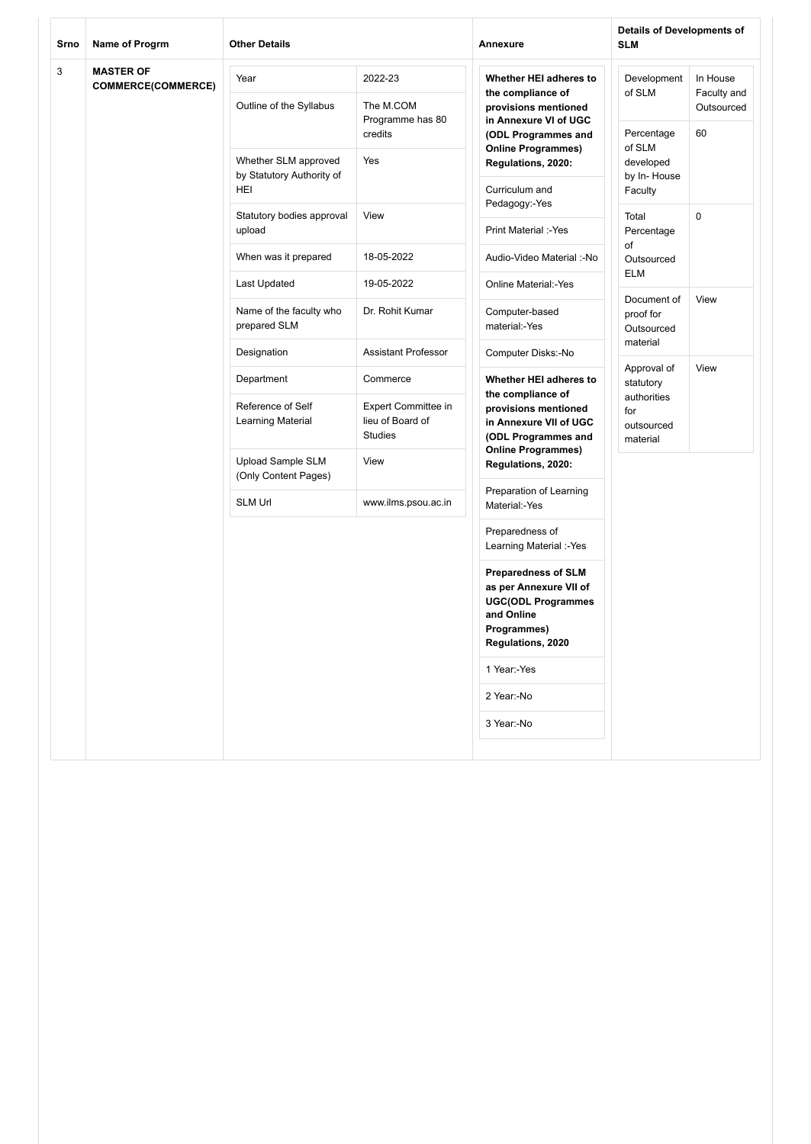| Srno<br>Name of Progrm                             |                                 | <b>Other Details</b>                                     |                                                                     | Annexure                                                                                                                            | <b>Details of Developments of</b><br><b>SLM</b> |      |  |
|----------------------------------------------------|---------------------------------|----------------------------------------------------------|---------------------------------------------------------------------|-------------------------------------------------------------------------------------------------------------------------------------|-------------------------------------------------|------|--|
| 3<br><b>MASTER OF</b><br><b>COMMERCE(COMMERCE)</b> | Year<br>Outline of the Syllabus | 2022-23<br>The M.COM                                     | Whether HEI adheres to<br>the compliance of<br>provisions mentioned | Development<br>of SLM                                                                                                               | In House<br>Faculty and<br>Outsourced           |      |  |
|                                                    |                                 |                                                          | Programme has 80<br>credits                                         | in Annexure VI of UGC<br>(ODL Programmes and<br><b>Online Programmes)</b>                                                           | Percentage<br>of SLM                            | 60   |  |
|                                                    |                                 | Whether SLM approved<br>by Statutory Authority of<br>HEI | Yes                                                                 | Regulations, 2020:<br>Curriculum and                                                                                                | developed<br>by In-House<br>Faculty             |      |  |
|                                                    |                                 | Statutory bodies approval<br>upload                      | View                                                                | Pedagogy:-Yes<br>Print Material :- Yes                                                                                              | Total<br>Percentage                             | 0    |  |
|                                                    |                                 | When was it prepared                                     | 18-05-2022                                                          | Audio-Video Material :-No                                                                                                           | of<br>Outsourced                                |      |  |
|                                                    |                                 | Last Updated                                             | 19-05-2022                                                          | Online Material:-Yes                                                                                                                | <b>ELM</b>                                      |      |  |
|                                                    |                                 | Name of the faculty who<br>prepared SLM                  | Dr. Rohit Kumar                                                     | Computer-based<br>material:-Yes                                                                                                     | Document of<br>proof for<br>Outsourced          | View |  |
|                                                    |                                 | Designation                                              | Assistant Professor                                                 | Computer Disks:-No                                                                                                                  | material                                        |      |  |
|                                                    |                                 | Department                                               | Commerce                                                            | Whether HEI adheres to<br>the compliance of                                                                                         | Approval of<br>statutory<br>authorities         | View |  |
|                                                    |                                 | Reference of Self<br>Learning Material                   | <b>Expert Committee in</b><br>lieu of Board of<br><b>Studies</b>    | provisions mentioned<br>in Annexure VII of UGC<br>(ODL Programmes and                                                               | for<br>outsourced<br>material                   |      |  |
|                                                    |                                 | <b>Upload Sample SLM</b><br>(Only Content Pages)         | View                                                                | <b>Online Programmes)</b><br>Regulations, 2020:                                                                                     |                                                 |      |  |
|                                                    |                                 | <b>SLM Url</b>                                           | www.ilms.psou.ac.in                                                 | Preparation of Learning<br>Material:-Yes                                                                                            |                                                 |      |  |
|                                                    |                                 |                                                          |                                                                     | Preparedness of<br>Learning Material :-Yes                                                                                          |                                                 |      |  |
|                                                    |                                 |                                                          |                                                                     | <b>Preparedness of SLM</b><br>as per Annexure VII of<br><b>UGC(ODL Programmes</b><br>and Online<br>Programmes)<br>Regulations, 2020 |                                                 |      |  |
|                                                    |                                 |                                                          |                                                                     | 1 Year:-Yes                                                                                                                         |                                                 |      |  |
|                                                    |                                 |                                                          |                                                                     | 2 Year:-No                                                                                                                          |                                                 |      |  |
|                                                    |                                 |                                                          |                                                                     | 3 Year:-No                                                                                                                          |                                                 |      |  |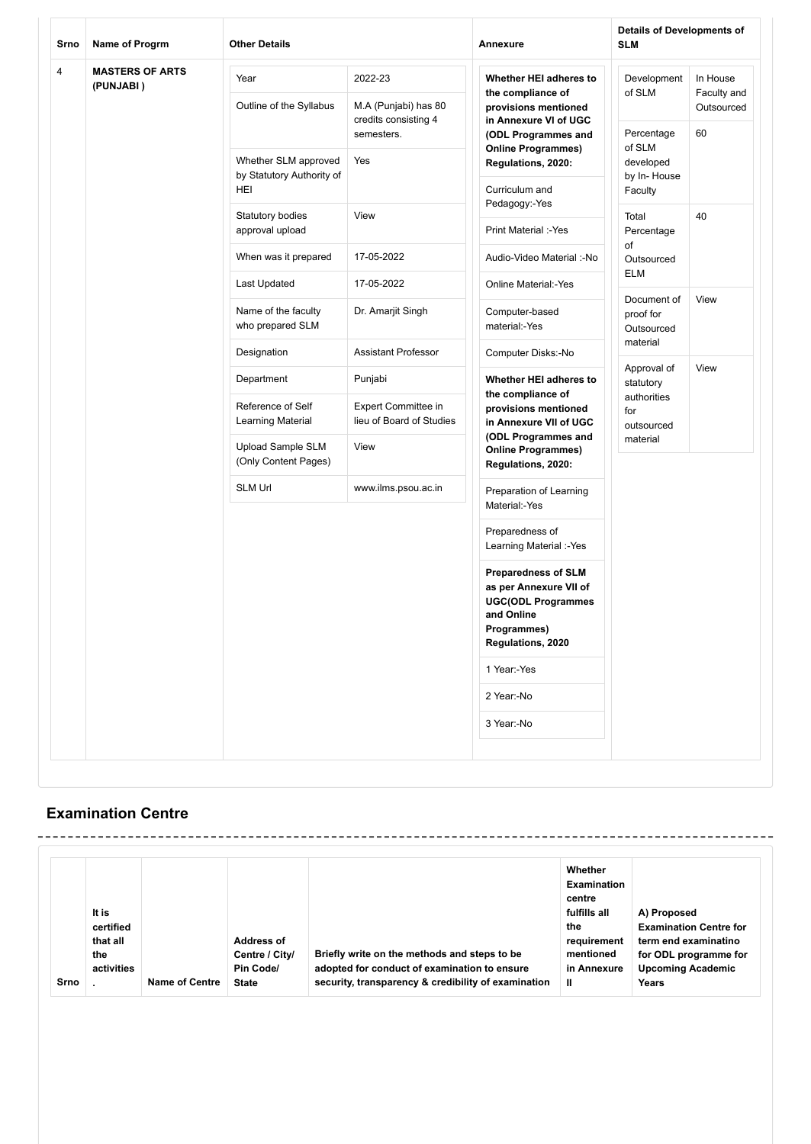| Srno<br>Name of Progrm |                                                                 | <b>Other Details</b>                             |                                                 | Annexure                                                                                                                            | <b>Details of Developments of</b><br><b>SLM</b> |                                       |  |
|------------------------|-----------------------------------------------------------------|--------------------------------------------------|-------------------------------------------------|-------------------------------------------------------------------------------------------------------------------------------------|-------------------------------------------------|---------------------------------------|--|
| 4                      | <b>MASTERS OF ARTS</b><br>(PUNJABI)                             | Year<br>Outline of the Syllabus                  | 2022-23<br>M.A (Punjabi) has 80                 | Whether HEI adheres to<br>the compliance of<br>provisions mentioned                                                                 | Development<br>of SLM                           | In House<br>Faculty and<br>Outsourced |  |
|                        |                                                                 |                                                  | credits consisting 4<br>semesters.              | in Annexure VI of UGC<br>(ODL Programmes and<br><b>Online Programmes)</b>                                                           | Percentage<br>of SLM                            | 60                                    |  |
|                        | Whether SLM approved<br>by Statutory Authority of<br><b>HEI</b> | Yes                                              | Regulations, 2020:<br>Curriculum and            | developed<br>by In-House<br>Faculty                                                                                                 |                                                 |                                       |  |
|                        | Statutory bodies<br>approval upload                             | View                                             | Pedagogy:-Yes<br>Print Material :- Yes          | Total<br>Percentage                                                                                                                 | 40                                              |                                       |  |
|                        | When was it prepared                                            | 17-05-2022                                       | Audio-Video Material :- No                      | of<br>Outsourced                                                                                                                    |                                                 |                                       |  |
|                        | Last Updated                                                    | 17-05-2022                                       | Online Material:-Yes                            | <b>ELM</b>                                                                                                                          |                                                 |                                       |  |
|                        | Name of the faculty<br>who prepared SLM                         | Dr. Amarjit Singh                                | Computer-based<br>material:-Yes                 | Document of<br>proof for<br>Outsourced                                                                                              | View                                            |                                       |  |
|                        | Designation                                                     | <b>Assistant Professor</b>                       | Computer Disks:-No                              | material                                                                                                                            |                                                 |                                       |  |
|                        | Department                                                      | Punjabi                                          | Whether HEI adheres to<br>the compliance of     | Approval of<br>statutory                                                                                                            | View                                            |                                       |  |
|                        |                                                                 | Reference of Self<br>Learning Material           | Expert Committee in<br>lieu of Board of Studies | provisions mentioned<br>in Annexure VII of UGC<br>(ODL Programmes and                                                               | authorities<br>for<br>outsourced                |                                       |  |
|                        |                                                                 | <b>Upload Sample SLM</b><br>(Only Content Pages) | View                                            | material<br><b>Online Programmes)</b><br>Regulations, 2020:                                                                         |                                                 |                                       |  |
|                        |                                                                 | <b>SLM Url</b>                                   | www.ilms.psou.ac.in                             | Preparation of Learning<br>Material:-Yes                                                                                            |                                                 |                                       |  |
|                        |                                                                 |                                                  | Preparedness of<br>Learning Material :-Yes      |                                                                                                                                     |                                                 |                                       |  |
|                        |                                                                 |                                                  |                                                 | <b>Preparedness of SLM</b><br>as per Annexure VII of<br><b>UGC(ODL Programmes</b><br>and Online<br>Programmes)<br>Regulations, 2020 |                                                 |                                       |  |
|                        |                                                                 |                                                  |                                                 | 1 Year:-Yes                                                                                                                         |                                                 |                                       |  |
|                        |                                                                 |                                                  |                                                 | 2 Year:-No                                                                                                                          |                                                 |                                       |  |
|                        |                                                                 |                                                  |                                                 | 3 Year:-No                                                                                                                          |                                                 |                                       |  |
|                        |                                                                 |                                                  |                                                 |                                                                                                                                     |                                                 |                                       |  |

## **Examination Centre**

| Srno | It is<br>certified<br>that all<br>the<br>activities | Name of Centre | Address of<br>Centre / City/<br>Pin Code/<br><b>State</b> | Briefly write on the methods and steps to be<br>adopted for conduct of examination to ensure<br>security, transparency & credibility of examination | Whether<br><b>Examination</b><br>centre<br>fulfills all<br>the<br>requirement<br>mentioned<br>in Annexure<br>$\mathbf{I}$ | A) Proposed<br><b>Examination Centre for</b><br>term end examinatino<br>for ODL programme for<br><b>Upcoming Academic</b><br>Years |
|------|-----------------------------------------------------|----------------|-----------------------------------------------------------|-----------------------------------------------------------------------------------------------------------------------------------------------------|---------------------------------------------------------------------------------------------------------------------------|------------------------------------------------------------------------------------------------------------------------------------|
|------|-----------------------------------------------------|----------------|-----------------------------------------------------------|-----------------------------------------------------------------------------------------------------------------------------------------------------|---------------------------------------------------------------------------------------------------------------------------|------------------------------------------------------------------------------------------------------------------------------------|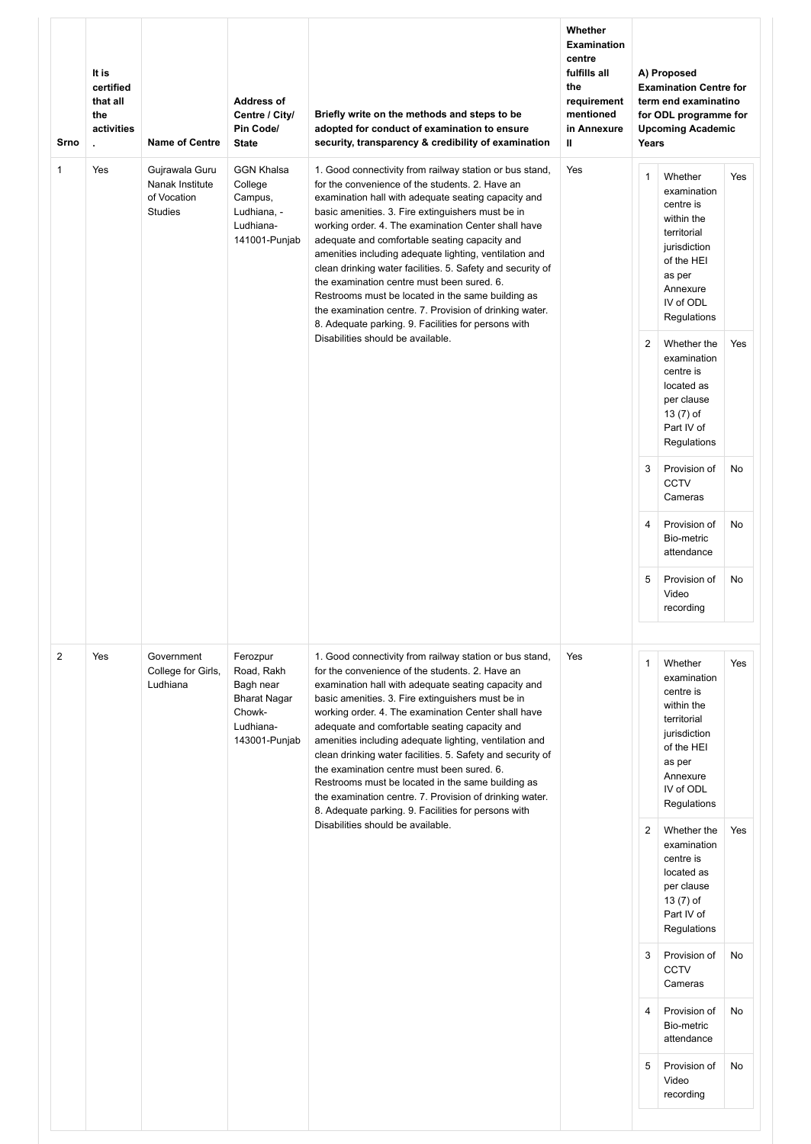| Srno           | It is<br>certified<br>that all<br>the<br>activities<br>ä. | <b>Name of Centre</b>                                              | <b>Address of</b><br>Centre / City/<br>Pin Code/<br><b>State</b>                                   | Briefly write on the methods and steps to be<br>adopted for conduct of examination to ensure<br>security, transparency & credibility of examination                                                                                                                                                                                                                                                                                                                                                                                                                                                                                                                         | Whether<br><b>Examination</b><br>centre<br>fulfills all<br>the<br>requirement<br>mentioned<br>in Annexure<br>Ш | Years          | A) Proposed<br><b>Examination Centre for</b><br>term end examinatino<br>for ODL programme for<br><b>Upcoming Academic</b>                        |     |
|----------------|-----------------------------------------------------------|--------------------------------------------------------------------|----------------------------------------------------------------------------------------------------|-----------------------------------------------------------------------------------------------------------------------------------------------------------------------------------------------------------------------------------------------------------------------------------------------------------------------------------------------------------------------------------------------------------------------------------------------------------------------------------------------------------------------------------------------------------------------------------------------------------------------------------------------------------------------------|----------------------------------------------------------------------------------------------------------------|----------------|--------------------------------------------------------------------------------------------------------------------------------------------------|-----|
| $\mathbf{1}$   | Yes                                                       | Gujrawala Guru<br>Nanak Institute<br>of Vocation<br><b>Studies</b> | <b>GGN Khalsa</b><br>College<br>Campus,<br>Ludhiana, -<br>Ludhiana-<br>141001-Punjab               | 1. Good connectivity from railway station or bus stand,<br>for the convenience of the students, 2. Have an<br>examination hall with adequate seating capacity and<br>basic amenities. 3. Fire extinguishers must be in<br>working order. 4. The examination Center shall have<br>adequate and comfortable seating capacity and<br>amenities including adequate lighting, ventilation and<br>clean drinking water facilities. 5. Safety and security of<br>the examination centre must been sured, 6.<br>Restrooms must be located in the same building as<br>the examination centre. 7. Provision of drinking water.<br>8. Adequate parking. 9. Facilities for persons with | Yes                                                                                                            | $\mathbf{1}$   | Whether<br>examination<br>centre is<br>within the<br>territorial<br>jurisdiction<br>of the HEI<br>as per<br>Annexure<br>IV of ODL<br>Regulations | Yes |
|                |                                                           |                                                                    |                                                                                                    | Disabilities should be available.                                                                                                                                                                                                                                                                                                                                                                                                                                                                                                                                                                                                                                           |                                                                                                                | $\overline{2}$ | Whether the<br>examination<br>centre is<br>located as<br>per clause<br>13 (7) of<br>Part IV of<br>Regulations                                    | Yes |
|                |                                                           |                                                                    |                                                                                                    |                                                                                                                                                                                                                                                                                                                                                                                                                                                                                                                                                                                                                                                                             |                                                                                                                | 3              | Provision of<br><b>CCTV</b><br>Cameras                                                                                                           | No  |
|                |                                                           |                                                                    |                                                                                                    |                                                                                                                                                                                                                                                                                                                                                                                                                                                                                                                                                                                                                                                                             |                                                                                                                | $\overline{4}$ | Provision of<br>Bio-metric<br>attendance                                                                                                         | No  |
|                |                                                           |                                                                    |                                                                                                    |                                                                                                                                                                                                                                                                                                                                                                                                                                                                                                                                                                                                                                                                             |                                                                                                                | 5              | Provision of<br>Video<br>recording                                                                                                               | No  |
| $\overline{2}$ | Yes                                                       | Government<br>College for Girls,<br>Ludhiana                       | Ferozpur<br>Road, Rakh<br>Bagh near<br><b>Bharat Nagar</b><br>Chowk-<br>Ludhiana-<br>143001-Punjab | 1. Good connectivity from railway station or bus stand,<br>for the convenience of the students. 2. Have an<br>examination hall with adequate seating capacity and<br>basic amenities. 3. Fire extinguishers must be in<br>working order. 4. The examination Center shall have<br>adequate and comfortable seating capacity and<br>amenities including adequate lighting, ventilation and<br>clean drinking water facilities. 5. Safety and security of<br>the examination centre must been sured. 6.<br>Restrooms must be located in the same building as<br>the examination centre. 7. Provision of drinking water.<br>8. Adequate parking. 9. Facilities for persons with | Yes                                                                                                            | $\mathbf{1}$   | Whether<br>examination<br>centre is<br>within the<br>territorial<br>jurisdiction<br>of the HEI<br>as per<br>Annexure<br>IV of ODL<br>Regulations | Yes |
|                |                                                           |                                                                    |                                                                                                    | Disabilities should be available.                                                                                                                                                                                                                                                                                                                                                                                                                                                                                                                                                                                                                                           |                                                                                                                | $\overline{2}$ | Whether the<br>examination<br>centre is<br>located as<br>per clause<br>13 (7) of<br>Part IV of<br>Regulations                                    | Yes |
|                |                                                           |                                                                    |                                                                                                    |                                                                                                                                                                                                                                                                                                                                                                                                                                                                                                                                                                                                                                                                             |                                                                                                                | 3              | Provision of<br><b>CCTV</b><br>Cameras                                                                                                           | No  |
|                |                                                           |                                                                    |                                                                                                    |                                                                                                                                                                                                                                                                                                                                                                                                                                                                                                                                                                                                                                                                             |                                                                                                                | $\overline{4}$ | Provision of<br>Bio-metric<br>attendance                                                                                                         | No  |
|                |                                                           |                                                                    |                                                                                                    |                                                                                                                                                                                                                                                                                                                                                                                                                                                                                                                                                                                                                                                                             |                                                                                                                | 5              | Provision of<br>Video<br>recording                                                                                                               | No  |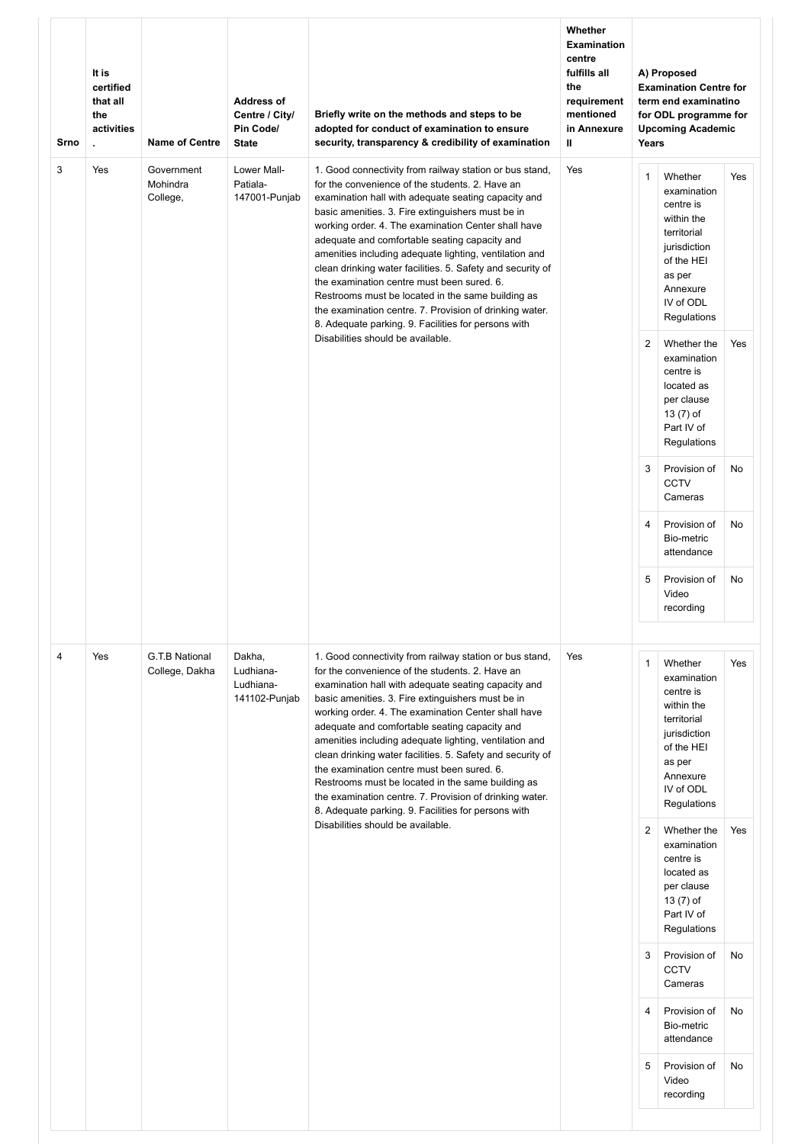| Srno | It is<br>certified<br>that all<br>the<br>activities<br>¥. | <b>Name of Centre</b>              | <b>Address of</b><br>Centre / City/<br>Pin Code/<br><b>State</b> | Briefly write on the methods and steps to be<br>adopted for conduct of examination to ensure<br>security, transparency & credibility of examination                                                                                                                                                                                                                                                                                                                                                                                                                                                                                                                         | Whether<br><b>Examination</b><br>centre<br>fulfills all<br>the<br>requirement<br>mentioned<br>in Annexure<br>Ш | Years          | A) Proposed<br><b>Examination Centre for</b><br>term end examinatino<br>for ODL programme for<br><b>Upcoming Academic</b>                        |     |
|------|-----------------------------------------------------------|------------------------------------|------------------------------------------------------------------|-----------------------------------------------------------------------------------------------------------------------------------------------------------------------------------------------------------------------------------------------------------------------------------------------------------------------------------------------------------------------------------------------------------------------------------------------------------------------------------------------------------------------------------------------------------------------------------------------------------------------------------------------------------------------------|----------------------------------------------------------------------------------------------------------------|----------------|--------------------------------------------------------------------------------------------------------------------------------------------------|-----|
| 3    | Yes                                                       | Government<br>Mohindra<br>College, | Lower Mall-<br>Patiala-<br>147001-Punjab                         | 1. Good connectivity from railway station or bus stand,<br>for the convenience of the students, 2. Have an<br>examination hall with adequate seating capacity and<br>basic amenities. 3. Fire extinguishers must be in<br>working order. 4. The examination Center shall have<br>adequate and comfortable seating capacity and<br>amenities including adequate lighting, ventilation and<br>clean drinking water facilities. 5. Safety and security of<br>the examination centre must been sured. 6.<br>Restrooms must be located in the same building as<br>the examination centre. 7. Provision of drinking water.<br>8. Adequate parking. 9. Facilities for persons with | Yes                                                                                                            | $\mathbf{1}$   | Whether<br>examination<br>centre is<br>within the<br>territorial<br>jurisdiction<br>of the HEI<br>as per<br>Annexure<br>IV of ODL<br>Regulations | Yes |
|      |                                                           |                                    |                                                                  | Disabilities should be available.                                                                                                                                                                                                                                                                                                                                                                                                                                                                                                                                                                                                                                           |                                                                                                                | 2              | Whether the<br>examination<br>centre is<br>located as<br>per clause<br>13 (7) of<br>Part IV of<br>Regulations                                    | Yes |
|      |                                                           |                                    |                                                                  |                                                                                                                                                                                                                                                                                                                                                                                                                                                                                                                                                                                                                                                                             |                                                                                                                | 3              | Provision of<br><b>CCTV</b><br>Cameras                                                                                                           | No  |
|      |                                                           |                                    |                                                                  |                                                                                                                                                                                                                                                                                                                                                                                                                                                                                                                                                                                                                                                                             |                                                                                                                | 4              | Provision of<br>Bio-metric<br>attendance                                                                                                         | No  |
|      |                                                           |                                    |                                                                  |                                                                                                                                                                                                                                                                                                                                                                                                                                                                                                                                                                                                                                                                             |                                                                                                                | 5              | Provision of<br>Video<br>recording                                                                                                               | No  |
| 4    | Yes                                                       | G.T.B National<br>College, Dakha   | Dakha,<br>Ludhiana-<br>Ludhiana-<br>141102-Punjab                | 1. Good connectivity from railway station or bus stand,<br>for the convenience of the students. 2. Have an<br>examination hall with adequate seating capacity and<br>basic amenities. 3. Fire extinguishers must be in<br>working order. 4. The examination Center shall have<br>adequate and comfortable seating capacity and<br>amenities including adequate lighting, ventilation and<br>clean drinking water facilities. 5. Safety and security of<br>the examination centre must been sured. 6.<br>Restrooms must be located in the same building as<br>the examination centre. 7. Provision of drinking water.<br>8. Adequate parking. 9. Facilities for persons with | Yes                                                                                                            | $\mathbf{1}$   | Whether<br>examination<br>centre is<br>within the<br>territorial<br>jurisdiction<br>of the HEI<br>as per<br>Annexure<br>IV of ODL<br>Regulations | Yes |
|      |                                                           |                                    |                                                                  | Disabilities should be available.                                                                                                                                                                                                                                                                                                                                                                                                                                                                                                                                                                                                                                           |                                                                                                                | $\overline{2}$ | Whether the<br>examination<br>centre is<br>located as<br>per clause<br>13 (7) of<br>Part IV of<br>Regulations                                    | Yes |
|      |                                                           |                                    |                                                                  |                                                                                                                                                                                                                                                                                                                                                                                                                                                                                                                                                                                                                                                                             |                                                                                                                | 3              | Provision of<br>CCTV<br>Cameras                                                                                                                  | No  |
|      |                                                           |                                    |                                                                  |                                                                                                                                                                                                                                                                                                                                                                                                                                                                                                                                                                                                                                                                             |                                                                                                                | $\overline{4}$ | Provision of<br>Bio-metric<br>attendance                                                                                                         | No  |
|      |                                                           |                                    |                                                                  |                                                                                                                                                                                                                                                                                                                                                                                                                                                                                                                                                                                                                                                                             |                                                                                                                | 5              | Provision of<br>Video<br>recording                                                                                                               | No  |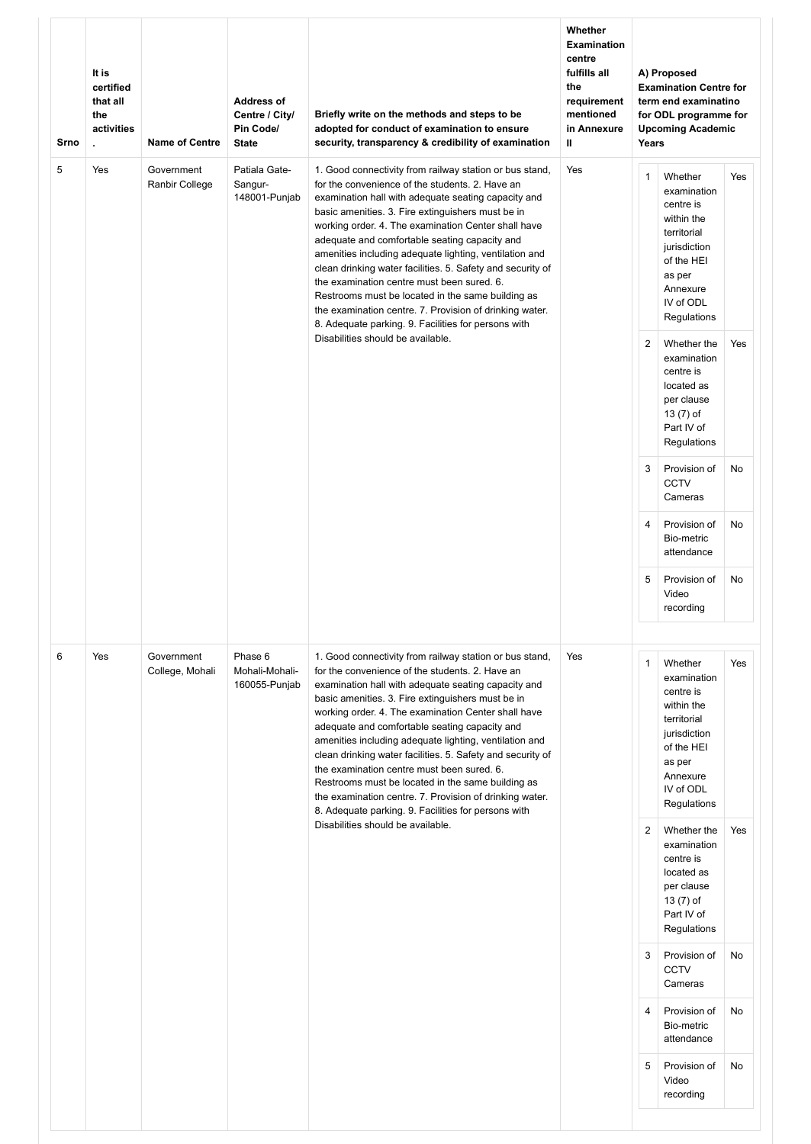| Srno | It is<br>certified<br>that all<br>the<br>activities<br>$\mathbf{r}$ | <b>Name of Centre</b>         | <b>Address of</b><br>Centre / City/<br>Pin Code/<br><b>State</b> | Briefly write on the methods and steps to be<br>adopted for conduct of examination to ensure<br>security, transparency & credibility of examination                                                                                                                                                                                                                                                                                                                                                                                                                                                                                                                         | Whether<br><b>Examination</b><br>centre<br>fulfills all<br>the<br>requirement<br>mentioned<br>in Annexure<br>$\mathbf{u}$ | Years          | A) Proposed<br><b>Examination Centre for</b><br>term end examinatino<br>for ODL programme for<br><b>Upcoming Academic</b>                        |     |
|------|---------------------------------------------------------------------|-------------------------------|------------------------------------------------------------------|-----------------------------------------------------------------------------------------------------------------------------------------------------------------------------------------------------------------------------------------------------------------------------------------------------------------------------------------------------------------------------------------------------------------------------------------------------------------------------------------------------------------------------------------------------------------------------------------------------------------------------------------------------------------------------|---------------------------------------------------------------------------------------------------------------------------|----------------|--------------------------------------------------------------------------------------------------------------------------------------------------|-----|
| 5    | Yes                                                                 | Government<br>Ranbir College  | Patiala Gate-<br>Sangur-<br>148001-Punjab                        | 1. Good connectivity from railway station or bus stand,<br>for the convenience of the students, 2. Have an<br>examination hall with adequate seating capacity and<br>basic amenities. 3. Fire extinguishers must be in<br>working order. 4. The examination Center shall have<br>adequate and comfortable seating capacity and<br>amenities including adequate lighting, ventilation and<br>clean drinking water facilities. 5. Safety and security of<br>the examination centre must been sured. 6.<br>Restrooms must be located in the same building as<br>the examination centre. 7. Provision of drinking water.<br>8. Adequate parking. 9. Facilities for persons with | Yes                                                                                                                       | $\mathbf{1}$   | Whether<br>examination<br>centre is<br>within the<br>territorial<br>jurisdiction<br>of the HEI<br>as per<br>Annexure<br>IV of ODL<br>Regulations | Yes |
|      |                                                                     |                               |                                                                  | Disabilities should be available.                                                                                                                                                                                                                                                                                                                                                                                                                                                                                                                                                                                                                                           |                                                                                                                           | $\overline{2}$ | Whether the<br>examination<br>centre is<br>located as<br>per clause<br>13 (7) of<br>Part IV of<br>Regulations                                    | Yes |
|      |                                                                     |                               |                                                                  |                                                                                                                                                                                                                                                                                                                                                                                                                                                                                                                                                                                                                                                                             |                                                                                                                           | 3              | Provision of<br><b>CCTV</b><br>Cameras                                                                                                           | No  |
|      |                                                                     |                               |                                                                  |                                                                                                                                                                                                                                                                                                                                                                                                                                                                                                                                                                                                                                                                             |                                                                                                                           | $\overline{4}$ | Provision of<br>Bio-metric<br>attendance                                                                                                         | No  |
|      |                                                                     |                               |                                                                  |                                                                                                                                                                                                                                                                                                                                                                                                                                                                                                                                                                                                                                                                             |                                                                                                                           | 5              | Provision of<br>Video<br>recording                                                                                                               | No  |
| 6    | Yes                                                                 | Government<br>College, Mohali | Phase 6<br>Mohali-Mohali-<br>160055-Punjab                       | 1. Good connectivity from railway station or bus stand,<br>for the convenience of the students. 2. Have an<br>examination hall with adequate seating capacity and<br>basic amenities. 3. Fire extinguishers must be in<br>working order. 4. The examination Center shall have<br>adequate and comfortable seating capacity and<br>amenities including adequate lighting, ventilation and<br>clean drinking water facilities. 5. Safety and security of<br>the examination centre must been sured. 6.<br>Restrooms must be located in the same building as<br>the examination centre. 7. Provision of drinking water.<br>8. Adequate parking. 9. Facilities for persons with | Yes                                                                                                                       | $\mathbf{1}$   | Whether<br>examination<br>centre is<br>within the<br>territorial<br>jurisdiction<br>of the HEI<br>as per<br>Annexure<br>IV of ODL<br>Regulations | Yes |
|      |                                                                     |                               |                                                                  | Disabilities should be available.                                                                                                                                                                                                                                                                                                                                                                                                                                                                                                                                                                                                                                           |                                                                                                                           | $\overline{2}$ | Whether the<br>examination<br>centre is<br>located as<br>per clause<br>13 (7) of<br>Part IV of<br>Regulations                                    | Yes |
|      |                                                                     |                               |                                                                  |                                                                                                                                                                                                                                                                                                                                                                                                                                                                                                                                                                                                                                                                             |                                                                                                                           | 3              | Provision of<br><b>CCTV</b><br>Cameras                                                                                                           | No  |
|      |                                                                     |                               |                                                                  |                                                                                                                                                                                                                                                                                                                                                                                                                                                                                                                                                                                                                                                                             |                                                                                                                           | $\overline{4}$ | Provision of<br>Bio-metric<br>attendance                                                                                                         | No  |
|      |                                                                     |                               |                                                                  |                                                                                                                                                                                                                                                                                                                                                                                                                                                                                                                                                                                                                                                                             |                                                                                                                           | 5              | Provision of<br>Video<br>recording                                                                                                               | No  |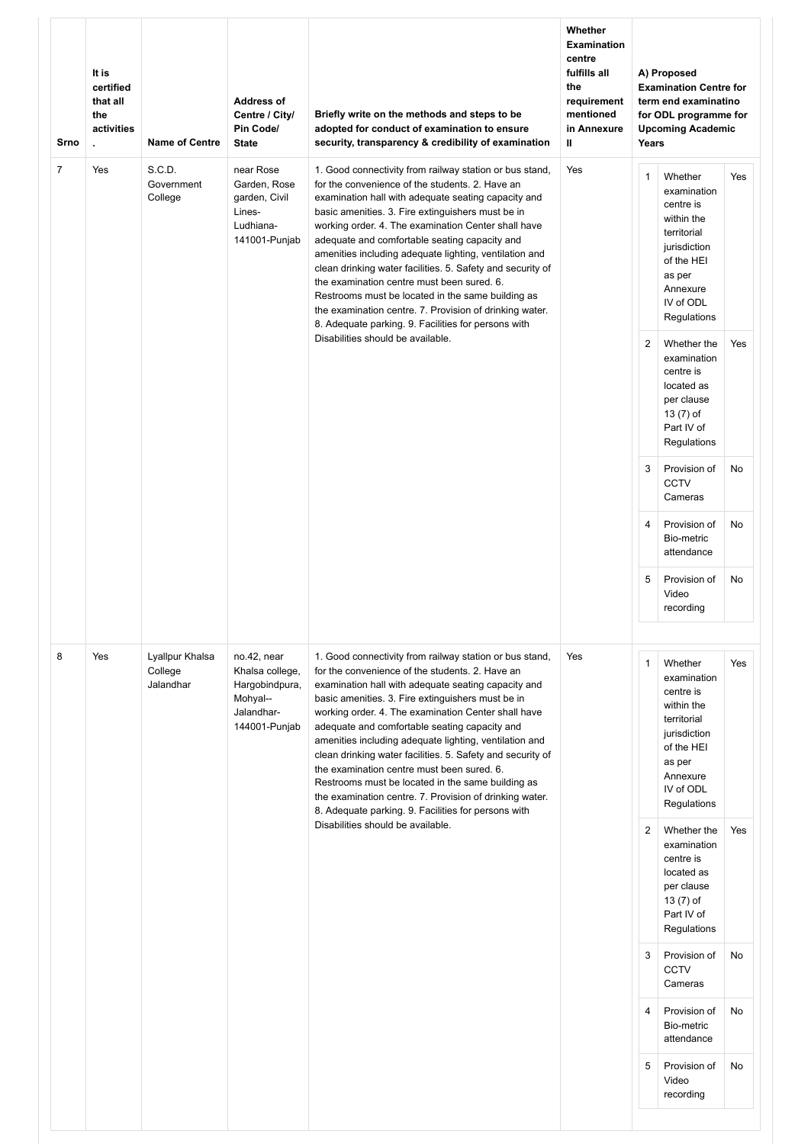| Srno           | It is<br>certified<br>that all<br>the<br>activities<br>$\mathbf{r}$ | <b>Name of Centre</b>                   | <b>Address of</b><br>Centre / City/<br>Pin Code/<br><b>State</b>                            | Briefly write on the methods and steps to be<br>adopted for conduct of examination to ensure<br>security, transparency & credibility of examination                                                                                                                                                                                                                                                                                                                                                                                                                                                                                                                         | Whether<br><b>Examination</b><br>centre<br>fulfills all<br>the<br>requirement<br>mentioned<br>in Annexure<br>$\mathbf{u}$ | Years          | A) Proposed<br><b>Examination Centre for</b><br>term end examinatino<br>for ODL programme for<br><b>Upcoming Academic</b>                        |     |
|----------------|---------------------------------------------------------------------|-----------------------------------------|---------------------------------------------------------------------------------------------|-----------------------------------------------------------------------------------------------------------------------------------------------------------------------------------------------------------------------------------------------------------------------------------------------------------------------------------------------------------------------------------------------------------------------------------------------------------------------------------------------------------------------------------------------------------------------------------------------------------------------------------------------------------------------------|---------------------------------------------------------------------------------------------------------------------------|----------------|--------------------------------------------------------------------------------------------------------------------------------------------------|-----|
| $\overline{7}$ | Yes                                                                 | S.C.D.<br>Government<br>College         | near Rose<br>Garden, Rose<br>garden, Civil<br>Lines-<br>Ludhiana-<br>141001-Punjab          | 1. Good connectivity from railway station or bus stand,<br>for the convenience of the students, 2. Have an<br>examination hall with adequate seating capacity and<br>basic amenities. 3. Fire extinguishers must be in<br>working order. 4. The examination Center shall have<br>adequate and comfortable seating capacity and<br>amenities including adequate lighting, ventilation and<br>clean drinking water facilities. 5. Safety and security of<br>the examination centre must been sured, 6.<br>Restrooms must be located in the same building as<br>the examination centre. 7. Provision of drinking water.<br>8. Adequate parking. 9. Facilities for persons with | Yes                                                                                                                       | $\mathbf{1}$   | Whether<br>examination<br>centre is<br>within the<br>territorial<br>jurisdiction<br>of the HEI<br>as per<br>Annexure<br>IV of ODL<br>Regulations | Yes |
|                |                                                                     |                                         |                                                                                             | Disabilities should be available.                                                                                                                                                                                                                                                                                                                                                                                                                                                                                                                                                                                                                                           |                                                                                                                           | $\overline{2}$ | Whether the<br>examination<br>centre is<br>located as<br>per clause<br>13 (7) of<br>Part IV of<br>Regulations                                    | Yes |
|                |                                                                     |                                         |                                                                                             |                                                                                                                                                                                                                                                                                                                                                                                                                                                                                                                                                                                                                                                                             |                                                                                                                           | 3              | Provision of<br><b>CCTV</b><br>Cameras                                                                                                           | No  |
|                |                                                                     |                                         |                                                                                             |                                                                                                                                                                                                                                                                                                                                                                                                                                                                                                                                                                                                                                                                             |                                                                                                                           | $\overline{4}$ | Provision of<br>Bio-metric<br>attendance                                                                                                         | No  |
|                |                                                                     |                                         |                                                                                             |                                                                                                                                                                                                                                                                                                                                                                                                                                                                                                                                                                                                                                                                             |                                                                                                                           | 5              | Provision of<br>Video<br>recording                                                                                                               | No  |
| 8              | Yes                                                                 | Lyallpur Khalsa<br>College<br>Jalandhar | no.42, near<br>Khalsa college,<br>Hargobindpura,<br>Mohyal--<br>Jalandhar-<br>144001-Punjab | 1. Good connectivity from railway station or bus stand,<br>for the convenience of the students. 2. Have an<br>examination hall with adequate seating capacity and<br>basic amenities. 3. Fire extinguishers must be in<br>working order. 4. The examination Center shall have<br>adequate and comfortable seating capacity and<br>amenities including adequate lighting, ventilation and<br>clean drinking water facilities. 5. Safety and security of<br>the examination centre must been sured. 6.<br>Restrooms must be located in the same building as<br>the examination centre. 7. Provision of drinking water.<br>8. Adequate parking. 9. Facilities for persons with | Yes                                                                                                                       | $\mathbf{1}$   | Whether<br>examination<br>centre is<br>within the<br>territorial<br>jurisdiction<br>of the HEI<br>as per<br>Annexure<br>IV of ODL<br>Regulations | Yes |
|                |                                                                     |                                         |                                                                                             | Disabilities should be available.                                                                                                                                                                                                                                                                                                                                                                                                                                                                                                                                                                                                                                           |                                                                                                                           | $\overline{2}$ | Whether the<br>examination<br>centre is<br>located as<br>per clause<br>13 (7) of<br>Part IV of<br>Regulations                                    | Yes |
|                |                                                                     |                                         |                                                                                             |                                                                                                                                                                                                                                                                                                                                                                                                                                                                                                                                                                                                                                                                             |                                                                                                                           | 3              | Provision of<br><b>CCTV</b><br>Cameras                                                                                                           | No  |
|                |                                                                     |                                         |                                                                                             |                                                                                                                                                                                                                                                                                                                                                                                                                                                                                                                                                                                                                                                                             |                                                                                                                           | $\overline{4}$ | Provision of<br>Bio-metric<br>attendance                                                                                                         | No  |
|                |                                                                     |                                         |                                                                                             |                                                                                                                                                                                                                                                                                                                                                                                                                                                                                                                                                                                                                                                                             |                                                                                                                           | 5              | Provision of<br>Video<br>recording                                                                                                               | No  |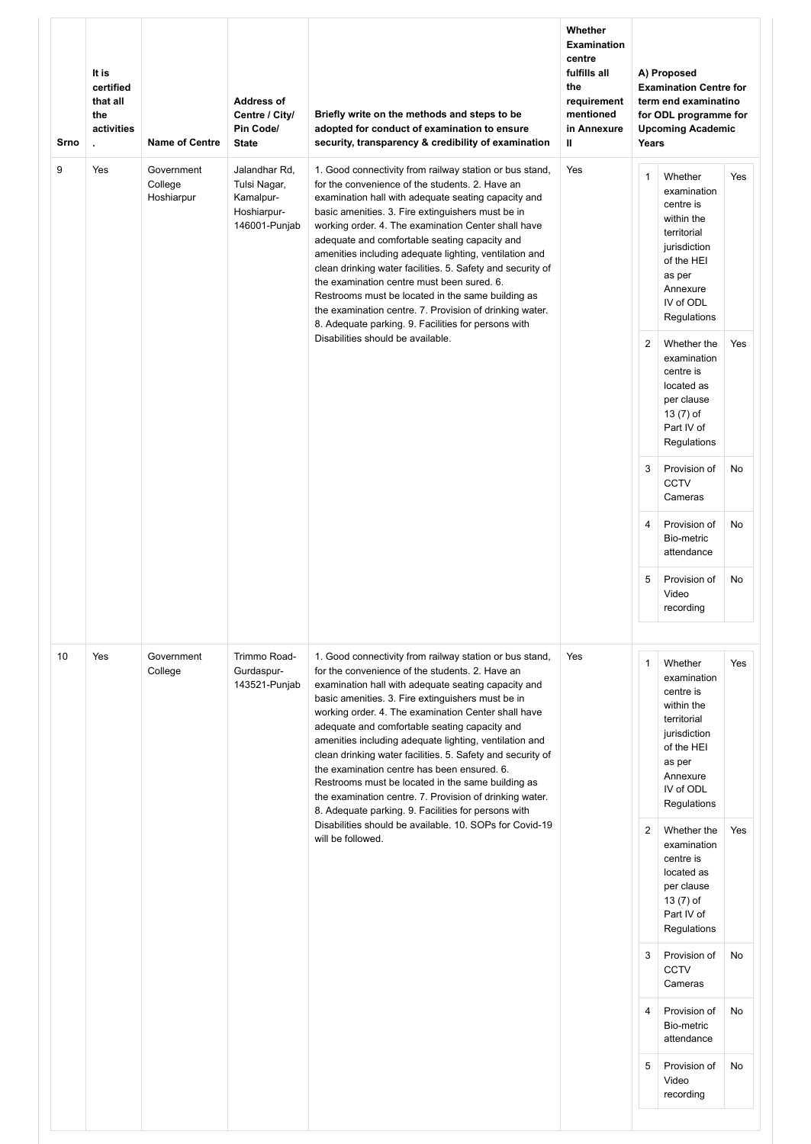| Srno | It is<br>certified<br>that all<br>the<br>activities<br>ä. | <b>Name of Centre</b>               | <b>Address of</b><br>Centre / City/<br>Pin Code/<br><b>State</b>           | Briefly write on the methods and steps to be<br>adopted for conduct of examination to ensure<br>security, transparency & credibility of examination                                                                                                                                                                                                                                                                                                                                                                                                                                                                                                                          | Whether<br><b>Examination</b><br>centre<br>fulfills all<br>the<br>requirement<br>mentioned<br>in Annexure<br>Ш | Years          | A) Proposed<br><b>Examination Centre for</b><br>term end examinatino<br>for ODL programme for<br><b>Upcoming Academic</b>                        |     |
|------|-----------------------------------------------------------|-------------------------------------|----------------------------------------------------------------------------|------------------------------------------------------------------------------------------------------------------------------------------------------------------------------------------------------------------------------------------------------------------------------------------------------------------------------------------------------------------------------------------------------------------------------------------------------------------------------------------------------------------------------------------------------------------------------------------------------------------------------------------------------------------------------|----------------------------------------------------------------------------------------------------------------|----------------|--------------------------------------------------------------------------------------------------------------------------------------------------|-----|
| 9    | Yes                                                       | Government<br>College<br>Hoshiarpur | Jalandhar Rd,<br>Tulsi Nagar,<br>Kamalpur-<br>Hoshiarpur-<br>146001-Punjab | 1. Good connectivity from railway station or bus stand,<br>for the convenience of the students. 2. Have an<br>examination hall with adequate seating capacity and<br>basic amenities. 3. Fire extinguishers must be in<br>working order. 4. The examination Center shall have<br>adequate and comfortable seating capacity and<br>amenities including adequate lighting, ventilation and<br>clean drinking water facilities. 5. Safety and security of<br>the examination centre must been sured, 6.<br>Restrooms must be located in the same building as<br>the examination centre. 7. Provision of drinking water.<br>8. Adequate parking. 9. Facilities for persons with  | Yes                                                                                                            | $\mathbf{1}$   | Whether<br>examination<br>centre is<br>within the<br>territorial<br>jurisdiction<br>of the HEI<br>as per<br>Annexure<br>IV of ODL<br>Regulations | Yes |
|      |                                                           |                                     |                                                                            | Disabilities should be available.                                                                                                                                                                                                                                                                                                                                                                                                                                                                                                                                                                                                                                            |                                                                                                                | $\overline{2}$ | Whether the<br>examination<br>centre is<br>located as<br>per clause<br>13 (7) of<br>Part IV of<br>Regulations                                    | Yes |
|      |                                                           |                                     |                                                                            |                                                                                                                                                                                                                                                                                                                                                                                                                                                                                                                                                                                                                                                                              |                                                                                                                | 3              | Provision of<br><b>CCTV</b><br>Cameras                                                                                                           | No  |
|      |                                                           |                                     |                                                                            |                                                                                                                                                                                                                                                                                                                                                                                                                                                                                                                                                                                                                                                                              |                                                                                                                | $\overline{4}$ | Provision of<br>Bio-metric<br>attendance                                                                                                         | No  |
|      |                                                           |                                     |                                                                            |                                                                                                                                                                                                                                                                                                                                                                                                                                                                                                                                                                                                                                                                              |                                                                                                                | 5              | Provision of<br>Video<br>recording                                                                                                               | No  |
| 10   | Yes                                                       | Government<br>College               | Trimmo Road-<br>Gurdaspur-<br>143521-Punjab                                | 1. Good connectivity from railway station or bus stand,<br>for the convenience of the students. 2. Have an<br>examination hall with adequate seating capacity and<br>basic amenities. 3. Fire extinguishers must be in<br>working order. 4. The examination Center shall have<br>adequate and comfortable seating capacity and<br>amenities including adequate lighting, ventilation and<br>clean drinking water facilities. 5. Safety and security of<br>the examination centre has been ensured. 6.<br>Restrooms must be located in the same building as<br>the examination centre. 7. Provision of drinking water.<br>8. Adequate parking. 9. Facilities for persons with | Yes                                                                                                            | $\mathbf{1}$   | Whether<br>examination<br>centre is<br>within the<br>territorial<br>jurisdiction<br>of the HEI<br>as per<br>Annexure<br>IV of ODL<br>Regulations | Yes |
|      |                                                           |                                     |                                                                            | Disabilities should be available. 10. SOPs for Covid-19<br>will be followed.                                                                                                                                                                                                                                                                                                                                                                                                                                                                                                                                                                                                 |                                                                                                                | $\overline{2}$ | Whether the<br>examination<br>centre is<br>located as<br>per clause<br>13 (7) of<br>Part IV of<br>Regulations                                    | Yes |
|      |                                                           |                                     |                                                                            |                                                                                                                                                                                                                                                                                                                                                                                                                                                                                                                                                                                                                                                                              |                                                                                                                | 3              | Provision of<br><b>CCTV</b><br>Cameras                                                                                                           | No  |
|      |                                                           |                                     |                                                                            |                                                                                                                                                                                                                                                                                                                                                                                                                                                                                                                                                                                                                                                                              |                                                                                                                | $\overline{4}$ | Provision of<br>Bio-metric<br>attendance                                                                                                         | No  |
|      |                                                           |                                     |                                                                            |                                                                                                                                                                                                                                                                                                                                                                                                                                                                                                                                                                                                                                                                              |                                                                                                                | 5              | Provision of<br>Video<br>recording                                                                                                               | No  |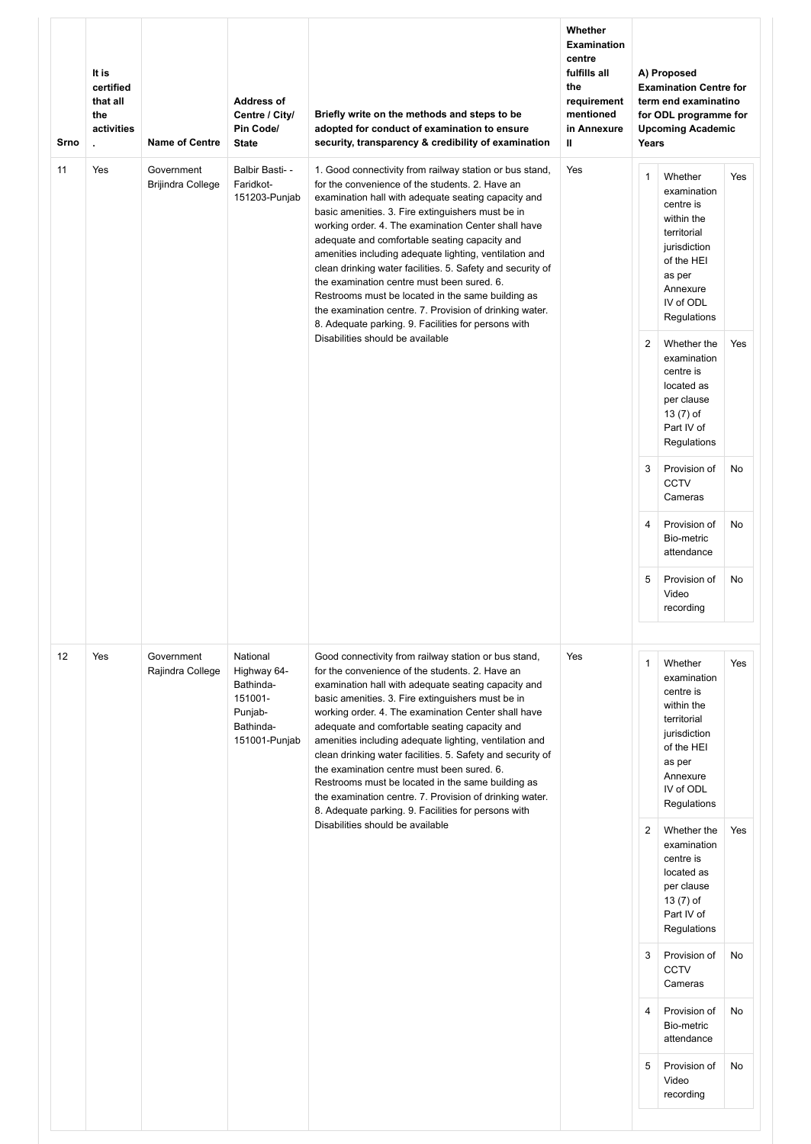| Srno | It is<br>certified<br>that all<br>the<br>activities<br>¥. | <b>Name of Centre</b>           | <b>Address of</b><br>Centre / City/<br>Pin Code/<br><b>State</b>                         | Briefly write on the methods and steps to be<br>adopted for conduct of examination to ensure<br>security, transparency & credibility of examination                                                                                                                                                                                                                                                                                                                                                                                                                                                                                                                         | Whether<br><b>Examination</b><br>centre<br>fulfills all<br>the<br>requirement<br>mentioned<br>in Annexure<br>Ш | Years          | A) Proposed<br><b>Examination Centre for</b><br>term end examinatino<br>for ODL programme for<br><b>Upcoming Academic</b>                        |     |
|------|-----------------------------------------------------------|---------------------------------|------------------------------------------------------------------------------------------|-----------------------------------------------------------------------------------------------------------------------------------------------------------------------------------------------------------------------------------------------------------------------------------------------------------------------------------------------------------------------------------------------------------------------------------------------------------------------------------------------------------------------------------------------------------------------------------------------------------------------------------------------------------------------------|----------------------------------------------------------------------------------------------------------------|----------------|--------------------------------------------------------------------------------------------------------------------------------------------------|-----|
| 11   | Yes                                                       | Government<br>Brijindra College | Balbir Basti- -<br>Faridkot-<br>151203-Punjab                                            | 1. Good connectivity from railway station or bus stand,<br>for the convenience of the students. 2. Have an<br>examination hall with adequate seating capacity and<br>basic amenities. 3. Fire extinguishers must be in<br>working order. 4. The examination Center shall have<br>adequate and comfortable seating capacity and<br>amenities including adequate lighting, ventilation and<br>clean drinking water facilities. 5. Safety and security of<br>the examination centre must been sured. 6.<br>Restrooms must be located in the same building as<br>the examination centre. 7. Provision of drinking water.<br>8. Adequate parking. 9. Facilities for persons with | Yes                                                                                                            | $\mathbf{1}$   | Whether<br>examination<br>centre is<br>within the<br>territorial<br>jurisdiction<br>of the HEI<br>as per<br>Annexure<br>IV of ODL<br>Regulations | Yes |
|      |                                                           |                                 |                                                                                          | Disabilities should be available                                                                                                                                                                                                                                                                                                                                                                                                                                                                                                                                                                                                                                            |                                                                                                                | 2              | Whether the<br>examination<br>centre is<br>located as<br>per clause<br>13 (7) of<br>Part IV of<br>Regulations                                    | Yes |
|      |                                                           |                                 |                                                                                          |                                                                                                                                                                                                                                                                                                                                                                                                                                                                                                                                                                                                                                                                             |                                                                                                                | 3              | Provision of<br><b>CCTV</b><br>Cameras                                                                                                           | No  |
|      |                                                           |                                 |                                                                                          |                                                                                                                                                                                                                                                                                                                                                                                                                                                                                                                                                                                                                                                                             |                                                                                                                | 4              | Provision of<br>Bio-metric<br>attendance                                                                                                         | No  |
|      |                                                           |                                 |                                                                                          |                                                                                                                                                                                                                                                                                                                                                                                                                                                                                                                                                                                                                                                                             |                                                                                                                | 5              | Provision of<br>Video<br>recording                                                                                                               | No  |
| 12   | Yes                                                       | Government<br>Rajindra College  | National<br>Highway 64-<br>Bathinda-<br>151001-<br>Punjab-<br>Bathinda-<br>151001-Punjab | Good connectivity from railway station or bus stand,<br>for the convenience of the students. 2. Have an<br>examination hall with adequate seating capacity and<br>basic amenities. 3. Fire extinguishers must be in<br>working order. 4. The examination Center shall have<br>adequate and comfortable seating capacity and<br>amenities including adequate lighting, ventilation and<br>clean drinking water facilities. 5. Safety and security of<br>the examination centre must been sured. 6.<br>Restrooms must be located in the same building as<br>the examination centre. 7. Provision of drinking water.<br>8. Adequate parking. 9. Facilities for persons with    | Yes                                                                                                            | $\mathbf{1}$   | Whether<br>examination<br>centre is<br>within the<br>territorial<br>jurisdiction<br>of the HEI<br>as per<br>Annexure<br>IV of ODL<br>Regulations | Yes |
|      |                                                           |                                 |                                                                                          | Disabilities should be available                                                                                                                                                                                                                                                                                                                                                                                                                                                                                                                                                                                                                                            |                                                                                                                | $\overline{2}$ | Whether the<br>examination<br>centre is<br>located as<br>per clause<br>13 (7) of<br>Part IV of<br>Regulations                                    | Yes |
|      |                                                           |                                 |                                                                                          |                                                                                                                                                                                                                                                                                                                                                                                                                                                                                                                                                                                                                                                                             |                                                                                                                | 3              | Provision of<br>CCTV<br>Cameras                                                                                                                  | No  |
|      |                                                           |                                 |                                                                                          |                                                                                                                                                                                                                                                                                                                                                                                                                                                                                                                                                                                                                                                                             |                                                                                                                | $\overline{4}$ | Provision of<br>Bio-metric<br>attendance                                                                                                         | No  |
|      |                                                           |                                 |                                                                                          |                                                                                                                                                                                                                                                                                                                                                                                                                                                                                                                                                                                                                                                                             |                                                                                                                | 5              | Provision of<br>Video<br>recording                                                                                                               | No  |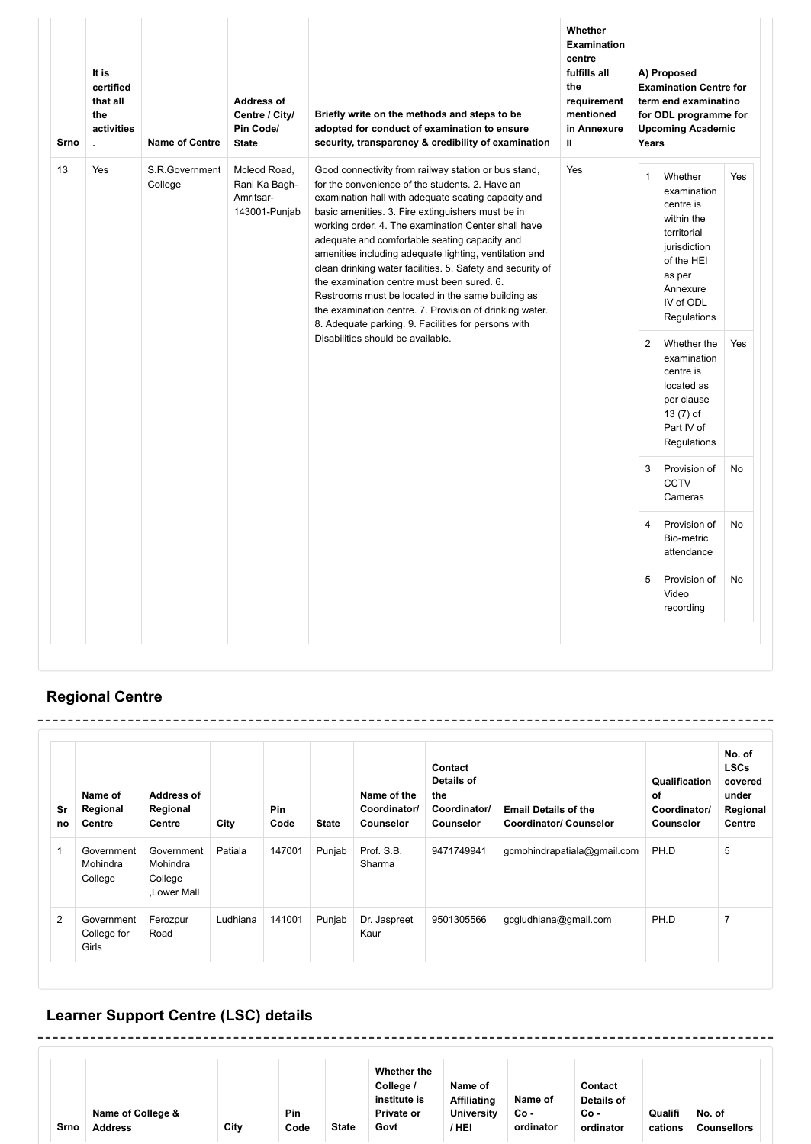| Srno | It is<br>certified<br>that all<br>the<br>activities<br>$\mathbf{r}$ | <b>Name of Centre</b>     | <b>Address of</b><br>Centre / City/<br>Pin Code/<br><b>State</b> | Briefly write on the methods and steps to be<br>adopted for conduct of examination to ensure<br>security, transparency & credibility of examination                                                                                                                                                                                                                                                                                                                                                                                                                                                                                                                                                           | Whether<br><b>Examination</b><br>centre<br>fulfills all<br>the<br>requirement<br>mentioned<br>in Annexure<br>$\mathbf{u}$ |                                                                | A) Proposed<br><b>Examination Centre for</b><br>term end examinatino<br>for ODL programme for<br><b>Upcoming Academic</b>                                                                                                                                         |            |
|------|---------------------------------------------------------------------|---------------------------|------------------------------------------------------------------|---------------------------------------------------------------------------------------------------------------------------------------------------------------------------------------------------------------------------------------------------------------------------------------------------------------------------------------------------------------------------------------------------------------------------------------------------------------------------------------------------------------------------------------------------------------------------------------------------------------------------------------------------------------------------------------------------------------|---------------------------------------------------------------------------------------------------------------------------|----------------------------------------------------------------|-------------------------------------------------------------------------------------------------------------------------------------------------------------------------------------------------------------------------------------------------------------------|------------|
| 13   | Yes                                                                 | S.R.Government<br>College | Mcleod Road.<br>Rani Ka Bagh-<br>Amritsar-<br>143001-Punjab      | Good connectivity from railway station or bus stand,<br>for the convenience of the students. 2. Have an<br>examination hall with adequate seating capacity and<br>basic amenities. 3. Fire extinguishers must be in<br>working order. 4. The examination Center shall have<br>adequate and comfortable seating capacity and<br>amenities including adequate lighting, ventilation and<br>clean drinking water facilities. 5. Safety and security of<br>the examination centre must been sured, 6.<br>Restrooms must be located in the same building as<br>the examination centre. 7. Provision of drinking water.<br>8. Adequate parking. 9. Facilities for persons with<br>Disabilities should be available. | Yes                                                                                                                       | Years<br>$\mathbf{1}$<br>$\overline{2}$<br>3<br>$\overline{4}$ | Whether<br>examination<br>centre is<br>within the<br>territorial<br>jurisdiction<br>of the HEI<br>as per<br>Annexure<br>IV of ODL<br>Regulations<br>Whether the<br>examination<br>centre is<br>located as<br>per clause<br>13 (7) of<br>Part IV of<br>Regulations | Yes<br>Yes |
|      |                                                                     |                           |                                                                  |                                                                                                                                                                                                                                                                                                                                                                                                                                                                                                                                                                                                                                                                                                               |                                                                                                                           |                                                                | Provision of<br><b>CCTV</b><br>Cameras                                                                                                                                                                                                                            | No         |
|      |                                                                     |                           |                                                                  |                                                                                                                                                                                                                                                                                                                                                                                                                                                                                                                                                                                                                                                                                                               |                                                                                                                           |                                                                | Provision of<br>Bio-metric<br>attendance                                                                                                                                                                                                                          | No         |
|      |                                                                     |                           |                                                                  |                                                                                                                                                                                                                                                                                                                                                                                                                                                                                                                                                                                                                                                                                                               |                                                                                                                           | 5                                                              | Provision of<br>Video<br>recording                                                                                                                                                                                                                                | No         |

# **Regional Centre**

| Sr<br>no       | Name of<br>Regional<br>Centre      | Address of<br>Regional<br><b>Centre</b>         | City     | <b>Pin</b><br>Code | <b>State</b> | Name of the<br>Coordinator/<br><b>Counselor</b> | Contact<br>Details of<br>the<br>Coordinator/<br><b>Counselor</b> | <b>Email Details of the</b><br><b>Coordinator/ Counselor</b> | Qualification<br>of<br>Coordinator/<br><b>Counselor</b> | No. of<br><b>LSCs</b><br>covered<br>under<br>Regional<br><b>Centre</b> |
|----------------|------------------------------------|-------------------------------------------------|----------|--------------------|--------------|-------------------------------------------------|------------------------------------------------------------------|--------------------------------------------------------------|---------------------------------------------------------|------------------------------------------------------------------------|
|                | Government<br>Mohindra<br>College  | Government<br>Mohindra<br>College<br>Lower Mall | Patiala  | 147001             | Punjab       | Prof. S.B.<br>Sharma                            | 9471749941                                                       | gcmohindrapatiala@gmail.com                                  | PH.D                                                    | 5                                                                      |
| $\overline{2}$ | Government<br>College for<br>Girls | Ferozpur<br>Road                                | Ludhiana | 141001             | Punjab       | Dr. Jaspreet<br>Kaur                            | 9501305566                                                       | gcgludhiana@gmail.com                                        | PH.D                                                    | $\overline{7}$                                                         |

#### **Learner Support Centre (LSC) details** \_\_\_\_\_\_\_\_\_\_\_\_\_\_\_\_\_\_\_\_\_\_\_\_\_\_\_\_

| Srno | Name of College &<br><b>Address</b> | City | Pin<br>Code | <b>State</b> | Whether the<br>College /<br>institute is<br><b>Private or</b><br>Govt | Name of<br><b>Affiliating</b><br>University<br>' HEI | Name of<br>Co -<br>ordinator | Contact<br>Details of<br>Co -<br>ordinator | Qualifi<br>cations | No. of<br><b>Counsellors</b> |  |
|------|-------------------------------------|------|-------------|--------------|-----------------------------------------------------------------------|------------------------------------------------------|------------------------------|--------------------------------------------|--------------------|------------------------------|--|
|------|-------------------------------------|------|-------------|--------------|-----------------------------------------------------------------------|------------------------------------------------------|------------------------------|--------------------------------------------|--------------------|------------------------------|--|

--------

---------------------------------

-----------

 $\sim$   $\sim$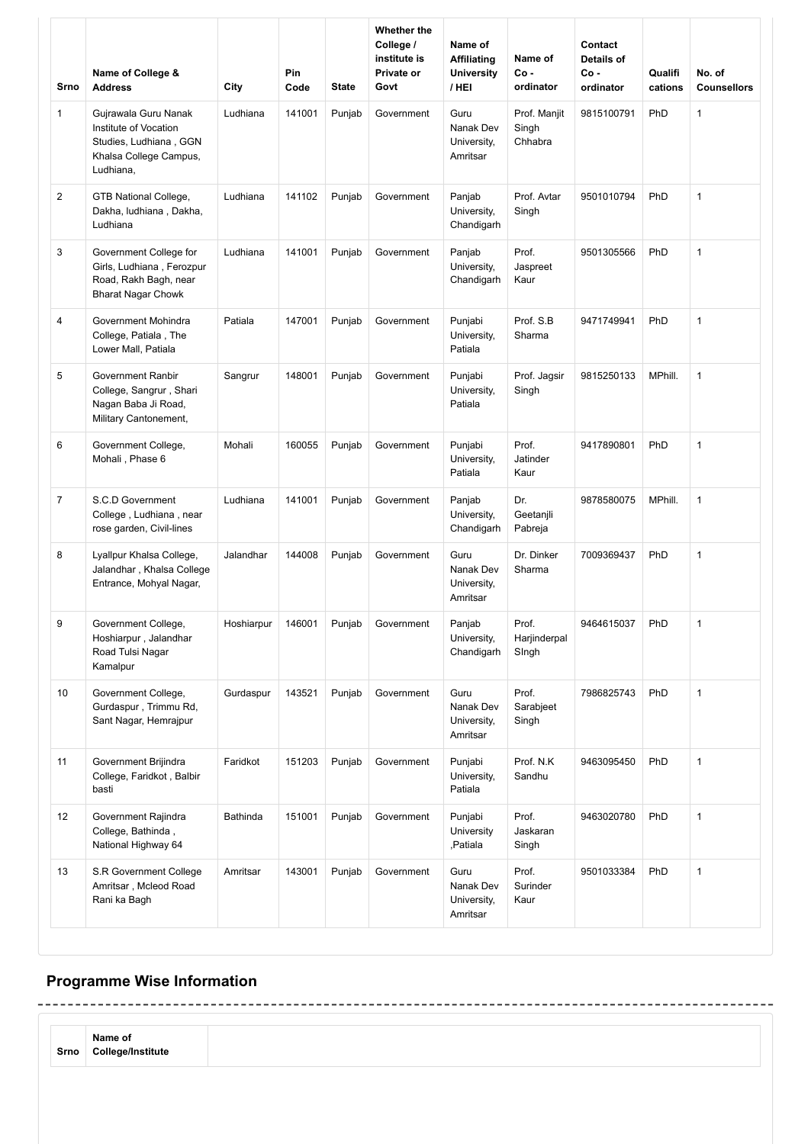| Srno           | Name of College &<br><b>Address</b>                                                                            | City       | <b>Pin</b><br>Code | <b>State</b> | Whether the<br>College /<br>institute is<br>Private or<br>Govt | Name of<br><b>Affiliating</b><br><b>University</b><br>/ HEI | Name of<br>$Co -$<br>ordinator   | Contact<br><b>Details of</b><br>$Co -$<br>ordinator | Qualifi<br>cations | No. of<br><b>Counsellors</b> |
|----------------|----------------------------------------------------------------------------------------------------------------|------------|--------------------|--------------|----------------------------------------------------------------|-------------------------------------------------------------|----------------------------------|-----------------------------------------------------|--------------------|------------------------------|
| $\mathbf{1}$   | Gujrawala Guru Nanak<br>Institute of Vocation<br>Studies, Ludhiana, GGN<br>Khalsa College Campus,<br>Ludhiana, | Ludhiana   | 141001             | Punjab       | Government                                                     | Guru<br>Nanak Dev<br>University,<br>Amritsar                | Prof. Manjit<br>Singh<br>Chhabra | 9815100791                                          | PhD                | $\mathbf{1}$                 |
| 2              | GTB National College,<br>Dakha, ludhiana, Dakha,<br>Ludhiana                                                   | Ludhiana   | 141102             | Punjab       | Government                                                     | Panjab<br>University,<br>Chandigarh                         | Prof. Avtar<br>Singh             | 9501010794                                          | PhD                | 1                            |
| 3              | Government College for<br>Girls, Ludhiana, Ferozpur<br>Road, Rakh Bagh, near<br><b>Bharat Nagar Chowk</b>      | Ludhiana   | 141001             | Punjab       | Government                                                     | Panjab<br>University,<br>Chandigarh                         | Prof.<br>Jaspreet<br>Kaur        | 9501305566                                          | PhD                | $\mathbf{1}$                 |
| 4              | Government Mohindra<br>College, Patiala, The<br>Lower Mall, Patiala                                            | Patiala    | 147001             | Punjab       | Government                                                     | Punjabi<br>University,<br>Patiala                           | Prof. S.B<br>Sharma              | 9471749941                                          | PhD                | 1                            |
| 5              | Government Ranbir<br>College, Sangrur, Shari<br>Nagan Baba Ji Road,<br>Military Cantonement,                   | Sangrur    | 148001             | Punjab       | Government                                                     | Punjabi<br>University,<br>Patiala                           | Prof. Jagsir<br>Singh            | 9815250133                                          | MPhill.            | 1                            |
| 6              | Government College,<br>Mohali, Phase 6                                                                         | Mohali     | 160055             | Punjab       | Government                                                     | Punjabi<br>University,<br>Patiala                           | Prof.<br>Jatinder<br>Kaur        | 9417890801                                          | PhD                | $\mathbf{1}$                 |
| $\overline{7}$ | S.C.D Government<br>College, Ludhiana, near<br>rose garden, Civil-lines                                        | Ludhiana   | 141001             | Punjab       | Government                                                     | Panjab<br>University,<br>Chandigarh                         | Dr.<br>Geetanjli<br>Pabreja      | 9878580075                                          | MPhill.            | $\mathbf{1}$                 |
| 8              | Lyallpur Khalsa College,<br>Jalandhar, Khalsa College<br>Entrance, Mohyal Nagar,                               | Jalandhar  | 144008             | Punjab       | Government                                                     | Guru<br>Nanak Dev<br>University,<br>Amritsar                | Dr. Dinker<br>Sharma             | 7009369437                                          | PhD                | $\mathbf 1$                  |
| 9              | Government College,<br>Hoshiarpur, Jalandhar<br>Road Tulsi Nagar<br>Kamalpur                                   | Hoshiarpur | 146001             | Punjab       | Government                                                     | Panjab<br>University,<br>Chandigarh                         | Prof.<br>Harjinderpal<br>Singh   | 9464615037                                          | PhD                | 1                            |
| 10             | Government College,<br>Gurdaspur, Trimmu Rd,<br>Sant Nagar, Hemrajpur                                          | Gurdaspur  | 143521             | Punjab       | Government                                                     | Guru<br>Nanak Dev<br>University,<br>Amritsar                | Prof.<br>Sarabjeet<br>Singh      | 7986825743                                          | PhD                | $\mathbf{1}$                 |
| 11             | Government Brijindra<br>College, Faridkot, Balbir<br>basti                                                     | Faridkot   | 151203             | Punjab       | Government                                                     | Punjabi<br>University,<br>Patiala                           | Prof. N.K<br>Sandhu              | 9463095450                                          | PhD                | $\mathbf{1}$                 |
| 12             | Government Rajindra<br>College, Bathinda,<br>National Highway 64                                               | Bathinda   | 151001             | Punjab       | Government                                                     | Punjabi<br>University<br>,Patiala                           | Prof.<br>Jaskaran<br>Singh       | 9463020780                                          | PhD                | $\mathbf{1}$                 |
| 13             | S.R Government College<br>Amritsar, Mcleod Road<br>Rani ka Bagh                                                | Amritsar   | 143001             | Punjab       | Government                                                     | Guru<br>Nanak Dev<br>University,<br>Amritsar                | Prof.<br>Surinder<br>Kaur        | 9501033384                                          | PhD                | $\mathbf{1}$                 |

# **Programme Wise Information**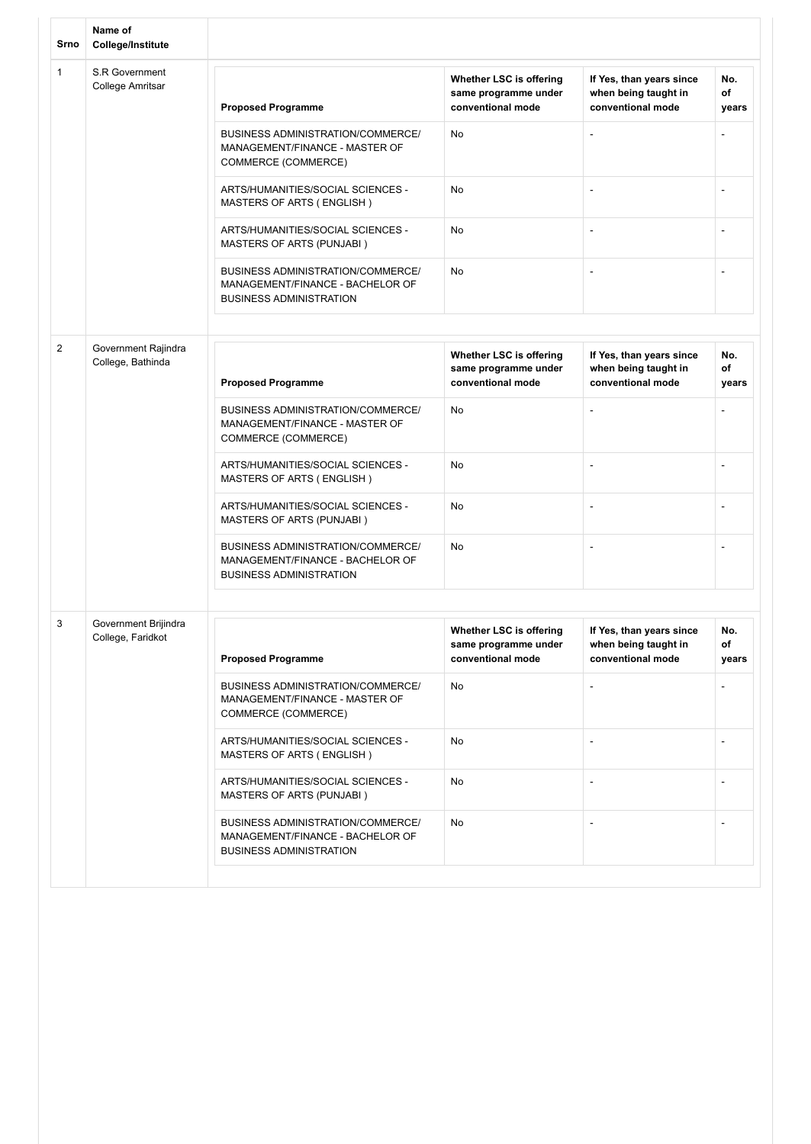| Srno         | Name of<br><b>College/Institute</b>       |                                                                                                                |                                                                      |                                                                       |                    |
|--------------|-------------------------------------------|----------------------------------------------------------------------------------------------------------------|----------------------------------------------------------------------|-----------------------------------------------------------------------|--------------------|
| $\mathbf{1}$ | S.R Government<br>College Amritsar        | <b>Proposed Programme</b>                                                                                      | Whether LSC is offering<br>same programme under<br>conventional mode | If Yes, than years since<br>when being taught in<br>conventional mode | No.<br>of<br>years |
|              |                                           | BUSINESS ADMINISTRATION/COMMERCE/<br>MANAGEMENT/FINANCE - MASTER OF<br>COMMERCE (COMMERCE)                     | No                                                                   | $\overline{a}$                                                        |                    |
|              |                                           | ARTS/HUMANITIES/SOCIAL SCIENCES -<br>MASTERS OF ARTS (ENGLISH)                                                 | No                                                                   |                                                                       |                    |
|              |                                           | ARTS/HUMANITIES/SOCIAL SCIENCES -<br>MASTERS OF ARTS (PUNJABI)                                                 | No                                                                   | ä,                                                                    | $\blacksquare$     |
|              |                                           | BUSINESS ADMINISTRATION/COMMERCE/<br>MANAGEMENT/FINANCE - BACHELOR OF<br><b>BUSINESS ADMINISTRATION</b>        | No                                                                   |                                                                       |                    |
|              |                                           |                                                                                                                |                                                                      |                                                                       |                    |
| 2            | Government Rajindra<br>College, Bathinda  | <b>Proposed Programme</b>                                                                                      | Whether LSC is offering<br>same programme under<br>conventional mode | If Yes, than years since<br>when being taught in<br>conventional mode | No.<br>of<br>years |
|              |                                           | <b>BUSINESS ADMINISTRATION/COMMERCE/</b><br>MANAGEMENT/FINANCE - MASTER OF<br>COMMERCE (COMMERCE)              | No                                                                   | $\blacksquare$                                                        |                    |
|              |                                           | ARTS/HUMANITIES/SOCIAL SCIENCES -<br>MASTERS OF ARTS (ENGLISH)                                                 | No                                                                   | $\overline{a}$                                                        |                    |
|              |                                           | ARTS/HUMANITIES/SOCIAL SCIENCES -<br>MASTERS OF ARTS (PUNJABI)                                                 | No                                                                   | ٠                                                                     |                    |
|              |                                           | <b>BUSINESS ADMINISTRATION/COMMERCE/</b><br>MANAGEMENT/FINANCE - BACHELOR OF<br><b>BUSINESS ADMINISTRATION</b> | No                                                                   | $\blacksquare$                                                        | $\blacksquare$     |
|              |                                           |                                                                                                                |                                                                      |                                                                       |                    |
| 3            | Government Brijindra<br>College, Faridkot | <b>Proposed Programme</b>                                                                                      | Whether LSC is offering<br>same programme under<br>conventional mode | If Yes, than years since<br>when being taught in<br>conventional mode | No.<br>of<br>years |
|              |                                           | BUSINESS ADMINISTRATION/COMMERCE/<br>MANAGEMENT/FINANCE - MASTER OF<br>COMMERCE (COMMERCE)                     | No                                                                   |                                                                       |                    |
|              |                                           | ARTS/HUMANITIES/SOCIAL SCIENCES -<br>MASTERS OF ARTS (ENGLISH)                                                 | No                                                                   |                                                                       |                    |
|              |                                           | ARTS/HUMANITIES/SOCIAL SCIENCES -<br>MASTERS OF ARTS (PUNJABI)                                                 | <b>No</b>                                                            |                                                                       |                    |
|              |                                           | BUSINESS ADMINISTRATION/COMMERCE/<br>MANAGEMENT/FINANCE - BACHELOR OF<br><b>BUSINESS ADMINISTRATION</b>        | No                                                                   |                                                                       |                    |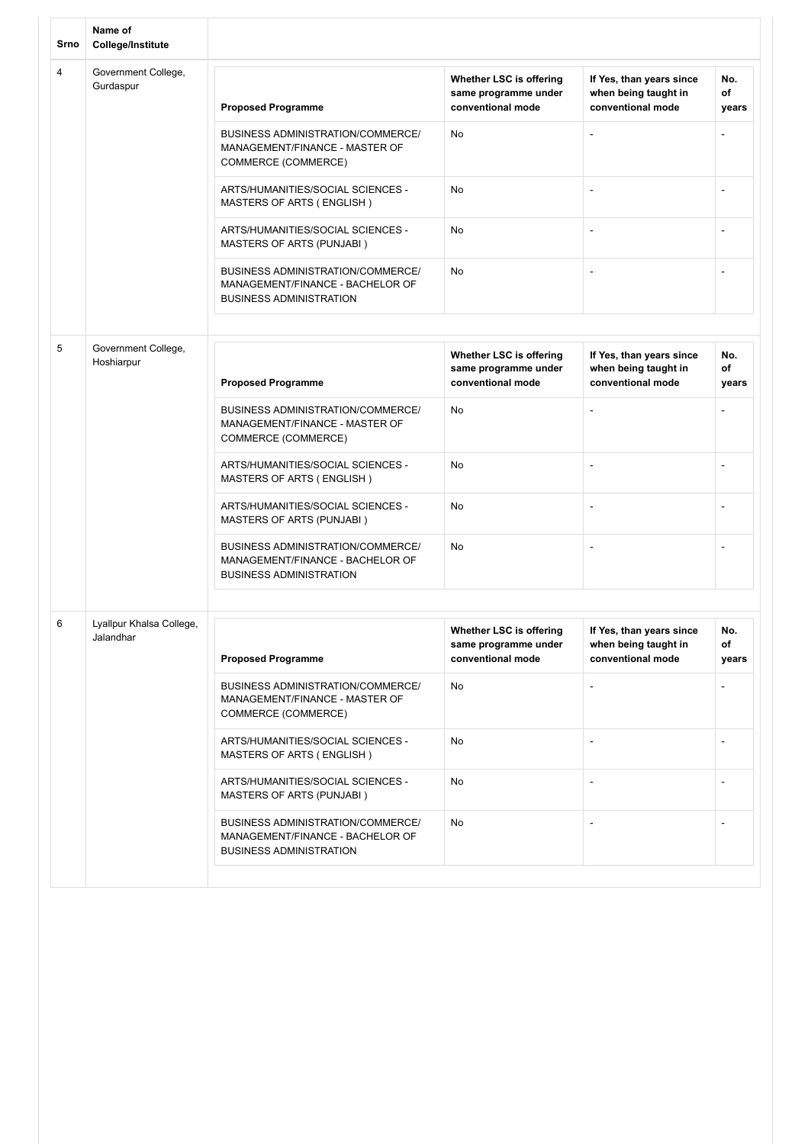| Srno           | Name of<br><b>College/Institute</b>   |                                                                                                                |                                                                      |                                                                       |                    |
|----------------|---------------------------------------|----------------------------------------------------------------------------------------------------------------|----------------------------------------------------------------------|-----------------------------------------------------------------------|--------------------|
| $\overline{4}$ | Government College,<br>Gurdaspur      | <b>Proposed Programme</b>                                                                                      | Whether LSC is offering<br>same programme under<br>conventional mode | If Yes, than years since<br>when being taught in<br>conventional mode | No.<br>of<br>years |
|                |                                       | BUSINESS ADMINISTRATION/COMMERCE/<br>MANAGEMENT/FINANCE - MASTER OF<br>COMMERCE (COMMERCE)                     | No                                                                   | $\overline{a}$                                                        |                    |
|                |                                       | ARTS/HUMANITIES/SOCIAL SCIENCES -<br>MASTERS OF ARTS (ENGLISH)                                                 | No                                                                   |                                                                       |                    |
|                |                                       | ARTS/HUMANITIES/SOCIAL SCIENCES -<br>MASTERS OF ARTS (PUNJABI)                                                 | No                                                                   | ä,                                                                    | $\blacksquare$     |
|                |                                       | BUSINESS ADMINISTRATION/COMMERCE/<br>MANAGEMENT/FINANCE - BACHELOR OF<br><b>BUSINESS ADMINISTRATION</b>        | No                                                                   |                                                                       |                    |
|                |                                       |                                                                                                                |                                                                      |                                                                       |                    |
| 5              | Government College,<br>Hoshiarpur     | <b>Proposed Programme</b>                                                                                      | Whether LSC is offering<br>same programme under<br>conventional mode | If Yes, than years since<br>when being taught in<br>conventional mode | No.<br>of<br>years |
|                |                                       | BUSINESS ADMINISTRATION/COMMERCE/<br>MANAGEMENT/FINANCE - MASTER OF<br>COMMERCE (COMMERCE)                     | No                                                                   | $\blacksquare$                                                        |                    |
|                |                                       | ARTS/HUMANITIES/SOCIAL SCIENCES -<br>MASTERS OF ARTS (ENGLISH)                                                 | No                                                                   | -                                                                     |                    |
|                |                                       | ARTS/HUMANITIES/SOCIAL SCIENCES -<br>MASTERS OF ARTS (PUNJABI)                                                 | No                                                                   | ٠                                                                     | $\blacksquare$     |
|                |                                       | <b>BUSINESS ADMINISTRATION/COMMERCE/</b><br>MANAGEMENT/FINANCE - BACHELOR OF<br><b>BUSINESS ADMINISTRATION</b> | No                                                                   | $\blacksquare$                                                        | $\blacksquare$     |
|                |                                       |                                                                                                                |                                                                      |                                                                       |                    |
| 6              | Lyallpur Khalsa College,<br>Jalandhar | <b>Proposed Programme</b>                                                                                      | Whether LSC is offering<br>same programme under<br>conventional mode | If Yes, than years since<br>when being taught in<br>conventional mode | No.<br>of<br>years |
|                |                                       | BUSINESS ADMINISTRATION/COMMERCE/<br>MANAGEMENT/FINANCE - MASTER OF<br>COMMERCE (COMMERCE)                     | No                                                                   |                                                                       |                    |
|                |                                       | ARTS/HUMANITIES/SOCIAL SCIENCES -<br>MASTERS OF ARTS (ENGLISH)                                                 | No                                                                   |                                                                       |                    |
|                |                                       | ARTS/HUMANITIES/SOCIAL SCIENCES -<br>MASTERS OF ARTS (PUNJABI)                                                 | No                                                                   |                                                                       |                    |
|                |                                       | BUSINESS ADMINISTRATION/COMMERCE/<br>MANAGEMENT/FINANCE - BACHELOR OF<br><b>BUSINESS ADMINISTRATION</b>        | No                                                                   |                                                                       |                    |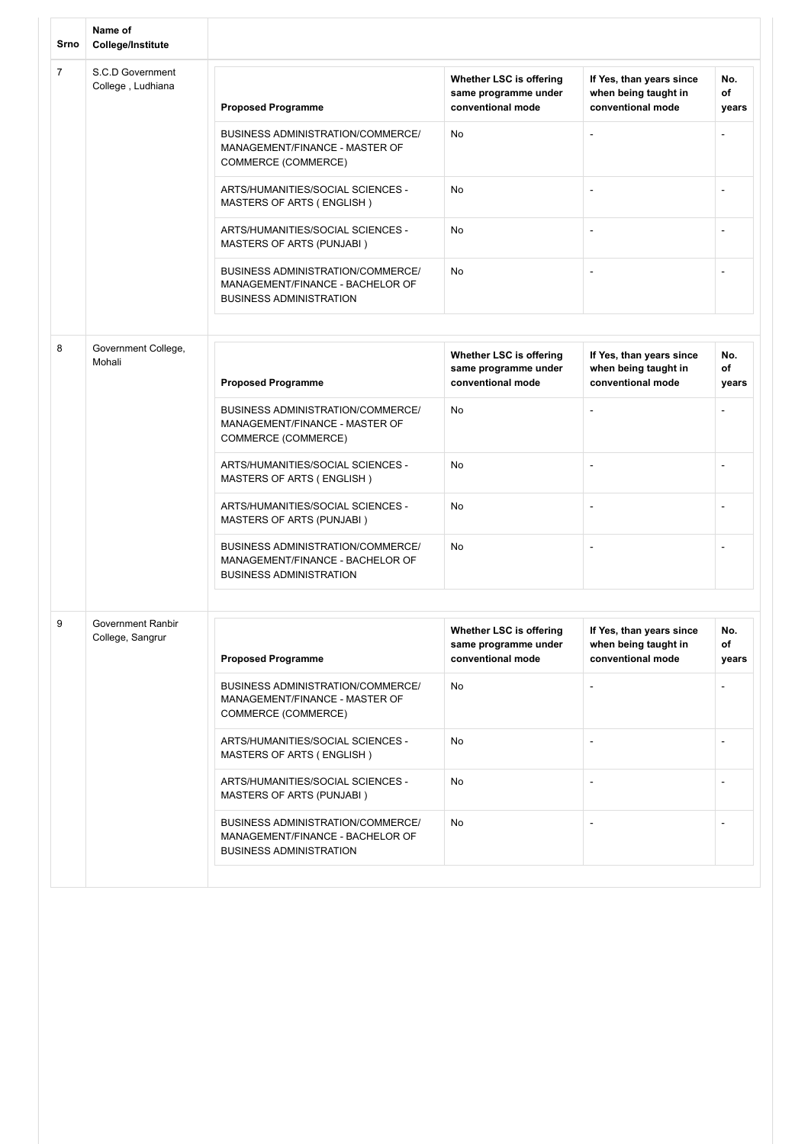| Srno           | Name of<br>College/Institute          |                                                                                                         |                                                                      |                                                                       |                          |
|----------------|---------------------------------------|---------------------------------------------------------------------------------------------------------|----------------------------------------------------------------------|-----------------------------------------------------------------------|--------------------------|
| $\overline{7}$ | S.C.D Government<br>College, Ludhiana | <b>Proposed Programme</b>                                                                               | Whether LSC is offering<br>same programme under<br>conventional mode | If Yes, than years since<br>when being taught in<br>conventional mode | No.<br>of<br>years       |
|                |                                       | BUSINESS ADMINISTRATION/COMMERCE/<br>MANAGEMENT/FINANCE - MASTER OF<br>COMMERCE (COMMERCE)              | No                                                                   | $\overline{\phantom{a}}$                                              |                          |
|                |                                       | ARTS/HUMANITIES/SOCIAL SCIENCES -<br>MASTERS OF ARTS (ENGLISH)                                          | No                                                                   |                                                                       |                          |
|                |                                       | ARTS/HUMANITIES/SOCIAL SCIENCES -<br>MASTERS OF ARTS (PUNJABI)                                          | No                                                                   | $\overline{\phantom{a}}$                                              | $\overline{\phantom{a}}$ |
|                |                                       | BUSINESS ADMINISTRATION/COMMERCE/<br>MANAGEMENT/FINANCE - BACHELOR OF<br><b>BUSINESS ADMINISTRATION</b> | No                                                                   |                                                                       |                          |
|                |                                       |                                                                                                         |                                                                      |                                                                       |                          |
| 8              | Government College,<br>Mohali         | <b>Proposed Programme</b>                                                                               | Whether LSC is offering<br>same programme under<br>conventional mode | If Yes, than years since<br>when being taught in<br>conventional mode | No.<br>of<br>years       |
|                |                                       | BUSINESS ADMINISTRATION/COMMERCE/<br>MANAGEMENT/FINANCE - MASTER OF<br>COMMERCE (COMMERCE)              | No                                                                   | $\blacksquare$                                                        |                          |
|                |                                       | ARTS/HUMANITIES/SOCIAL SCIENCES -<br>MASTERS OF ARTS (ENGLISH)                                          | No                                                                   | $\overline{\phantom{a}}$                                              | $\blacksquare$           |
|                |                                       | ARTS/HUMANITIES/SOCIAL SCIENCES -<br>MASTERS OF ARTS (PUNJABI)                                          | No                                                                   | $\overline{\phantom{a}}$                                              |                          |
|                |                                       | BUSINESS ADMINISTRATION/COMMERCE/<br>MANAGEMENT/FINANCE - BACHELOR OF<br><b>BUSINESS ADMINISTRATION</b> | No                                                                   |                                                                       |                          |
|                |                                       |                                                                                                         |                                                                      |                                                                       |                          |
| 9              | Government Ranbir<br>College, Sangrur | <b>Proposed Programme</b>                                                                               | Whether LSC is offering<br>same programme under<br>conventional mode | If Yes, than years since<br>when being taught in<br>conventional mode | No.<br>of<br>years       |
|                |                                       | BUSINESS ADMINISTRATION/COMMERCE/<br>MANAGEMENT/FINANCE - MASTER OF<br>COMMERCE (COMMERCE)              | No                                                                   |                                                                       |                          |
|                |                                       | ARTS/HUMANITIES/SOCIAL SCIENCES -<br>MASTERS OF ARTS (ENGLISH)                                          | No                                                                   |                                                                       |                          |
|                |                                       | ARTS/HUMANITIES/SOCIAL SCIENCES -<br>MASTERS OF ARTS (PUNJABI)                                          | No                                                                   |                                                                       |                          |
|                |                                       | BUSINESS ADMINISTRATION/COMMERCE/<br>MANAGEMENT/FINANCE - BACHELOR OF<br><b>BUSINESS ADMINISTRATION</b> | No                                                                   |                                                                       |                          |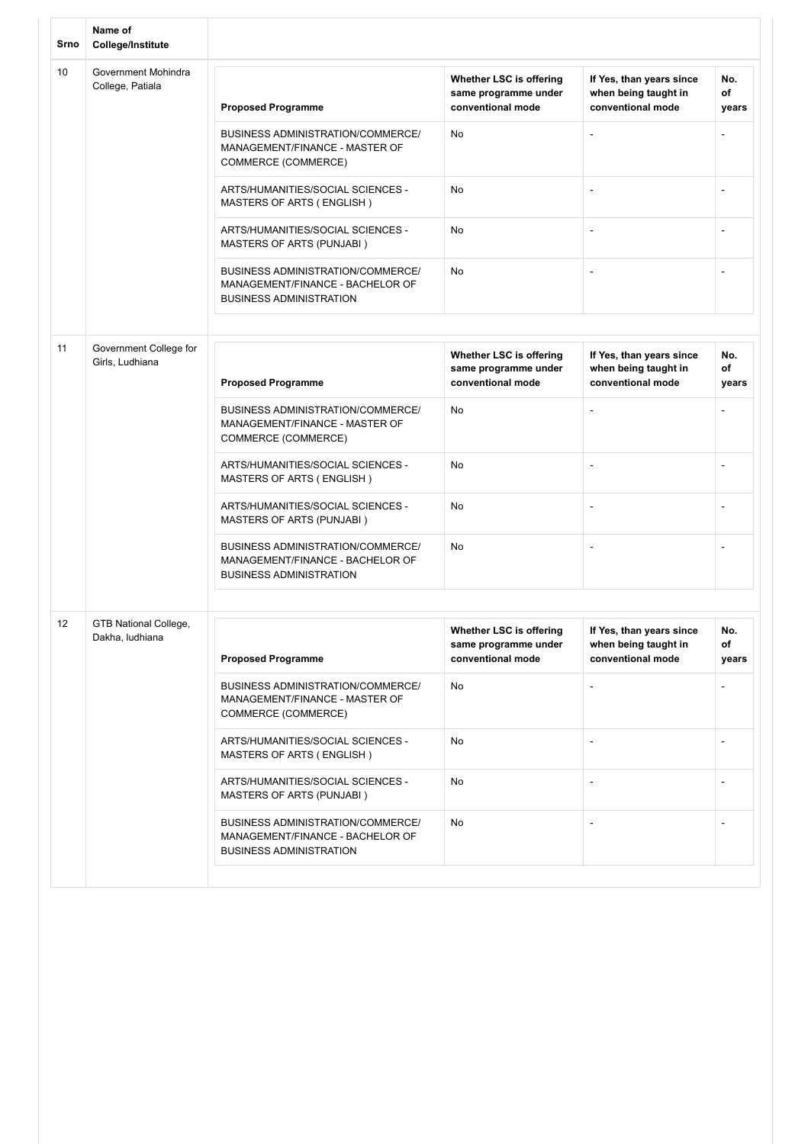| Srno | Name of<br>College/Institute              |                                                                                                                |                                                                      |                                                                       |                    |
|------|-------------------------------------------|----------------------------------------------------------------------------------------------------------------|----------------------------------------------------------------------|-----------------------------------------------------------------------|--------------------|
| 10   | Government Mohindra<br>College, Patiala   | <b>Proposed Programme</b>                                                                                      | Whether LSC is offering<br>same programme under<br>conventional mode | If Yes, than years since<br>when being taught in<br>conventional mode | No.<br>of<br>years |
|      |                                           | BUSINESS ADMINISTRATION/COMMERCE/<br>MANAGEMENT/FINANCE - MASTER OF<br>COMMERCE (COMMERCE)                     | No                                                                   | $\overline{\phantom{a}}$                                              |                    |
|      |                                           | ARTS/HUMANITIES/SOCIAL SCIENCES -<br>MASTERS OF ARTS (ENGLISH)                                                 | No                                                                   |                                                                       |                    |
|      |                                           | ARTS/HUMANITIES/SOCIAL SCIENCES -<br>MASTERS OF ARTS (PUNJABI)                                                 | No                                                                   | $\overline{\phantom{a}}$                                              |                    |
|      |                                           | BUSINESS ADMINISTRATION/COMMERCE/<br>MANAGEMENT/FINANCE - BACHELOR OF<br><b>BUSINESS ADMINISTRATION</b>        | No                                                                   |                                                                       |                    |
|      |                                           |                                                                                                                |                                                                      |                                                                       |                    |
| 11   | Government College for<br>Girls, Ludhiana | <b>Proposed Programme</b>                                                                                      | Whether LSC is offering<br>same programme under<br>conventional mode | If Yes, than years since<br>when being taught in<br>conventional mode | No.<br>of<br>years |
|      |                                           | <b>BUSINESS ADMINISTRATION/COMMERCE/</b><br>MANAGEMENT/FINANCE - MASTER OF<br>COMMERCE (COMMERCE)              | No                                                                   |                                                                       |                    |
|      |                                           | ARTS/HUMANITIES/SOCIAL SCIENCES -<br>MASTERS OF ARTS (ENGLISH)                                                 | No                                                                   | $\overline{a}$                                                        |                    |
|      |                                           | ARTS/HUMANITIES/SOCIAL SCIENCES -<br>MASTERS OF ARTS (PUNJABI)                                                 | No                                                                   | ٠                                                                     | $\blacksquare$     |
|      |                                           | <b>BUSINESS ADMINISTRATION/COMMERCE/</b><br>MANAGEMENT/FINANCE - BACHELOR OF<br><b>BUSINESS ADMINISTRATION</b> | No                                                                   | ۰                                                                     | $\blacksquare$     |
|      |                                           |                                                                                                                |                                                                      |                                                                       |                    |
| 12   | GTB National College,<br>Dakha, ludhiana  | <b>Proposed Programme</b>                                                                                      | Whether LSC is offering<br>same programme under<br>conventional mode | If Yes, than years since<br>when being taught in<br>conventional mode | No.<br>of<br>years |
|      |                                           | <b>BUSINESS ADMINISTRATION/COMMERCE/</b><br>MANAGEMENT/FINANCE - MASTER OF<br>COMMERCE (COMMERCE)              | No                                                                   | -                                                                     |                    |
|      |                                           | ARTS/HUMANITIES/SOCIAL SCIENCES -<br>MASTERS OF ARTS (ENGLISH)                                                 | No                                                                   |                                                                       |                    |
|      |                                           | ARTS/HUMANITIES/SOCIAL SCIENCES -<br>MASTERS OF ARTS (PUNJABI)                                                 | No                                                                   |                                                                       |                    |
|      |                                           | BUSINESS ADMINISTRATION/COMMERCE/<br>MANAGEMENT/FINANCE - BACHELOR OF<br><b>BUSINESS ADMINISTRATION</b>        | <b>No</b>                                                            |                                                                       |                    |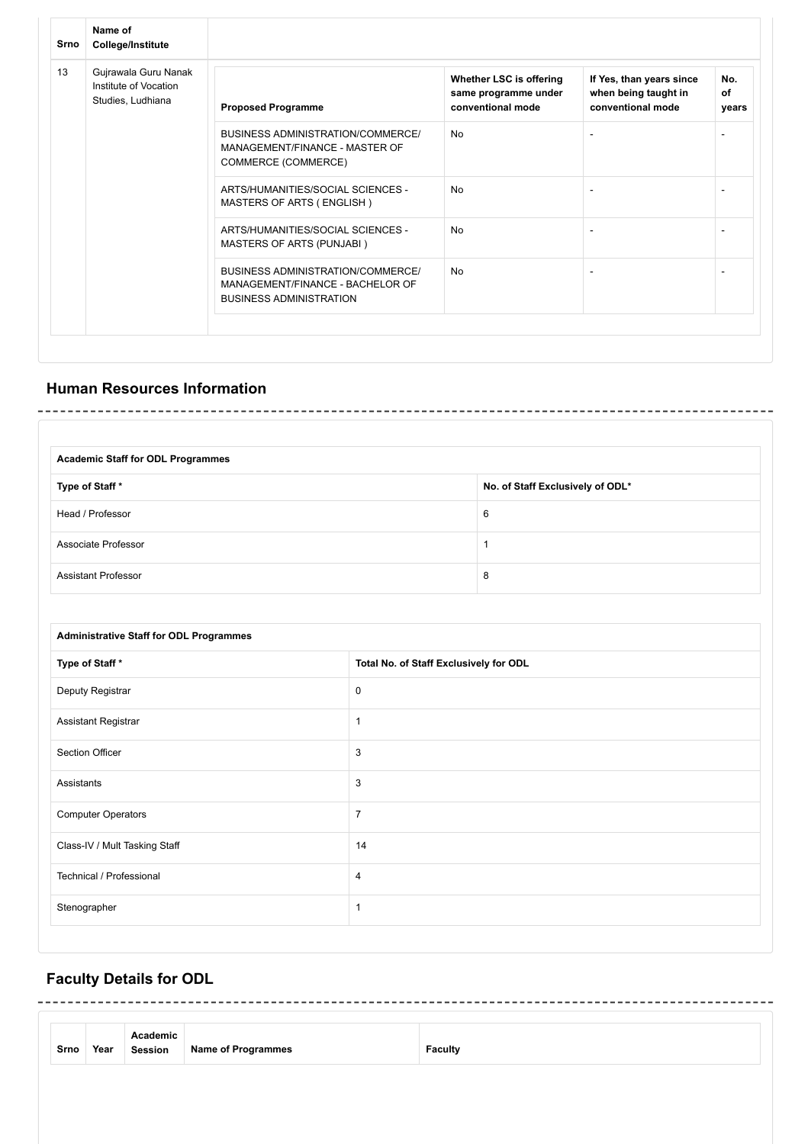| Name of<br>College/Institute                                       |                                                                                                         |                                                                      |                                                                       |                    |
|--------------------------------------------------------------------|---------------------------------------------------------------------------------------------------------|----------------------------------------------------------------------|-----------------------------------------------------------------------|--------------------|
| Gujrawala Guru Nanak<br>Institute of Vocation<br>Studies, Ludhiana | <b>Proposed Programme</b>                                                                               | Whether LSC is offering<br>same programme under<br>conventional mode | If Yes, than years since<br>when being taught in<br>conventional mode | No.<br>of<br>years |
|                                                                    | BUSINESS ADMINISTRATION/COMMERCE/<br>MANAGEMENT/FINANCE - MASTER OF<br>COMMERCE (COMMERCE)              | No                                                                   |                                                                       |                    |
|                                                                    | ARTS/HUMANITIES/SOCIAL SCIENCES -<br>MASTERS OF ARTS (ENGLISH)                                          | <b>No</b>                                                            |                                                                       |                    |
|                                                                    | ARTS/HUMANITIES/SOCIAL SCIENCES -<br><b>MASTERS OF ARTS (PUNJABI)</b>                                   | <b>No</b>                                                            | $\blacksquare$                                                        |                    |
|                                                                    | BUSINESS ADMINISTRATION/COMMERCE/<br>MANAGEMENT/FINANCE - BACHELOR OF<br><b>BUSINESS ADMINISTRATION</b> | <b>No</b>                                                            |                                                                       |                    |
|                                                                    |                                                                                                         |                                                                      |                                                                       |                    |

## **Human Resources Information**

| <b>Academic Staff for ODL Programmes</b> |                                  |
|------------------------------------------|----------------------------------|
| Type of Staff *                          | No. of Staff Exclusively of ODL* |
| Head / Professor                         | 6                                |
| Associate Professor                      |                                  |
| <b>Assistant Professor</b>               | 8                                |

| <b>Administrative Staff for ODL Programmes</b> |                                        |  |
|------------------------------------------------|----------------------------------------|--|
| Type of Staff*                                 | Total No. of Staff Exclusively for ODL |  |
| Deputy Registrar                               | 0                                      |  |
| Assistant Registrar                            | $\mathbf{1}$                           |  |
| <b>Section Officer</b>                         | 3                                      |  |
| Assistants                                     | 3                                      |  |
| <b>Computer Operators</b>                      | $\overline{7}$                         |  |
| Class-IV / Mult Tasking Staff                  | 14                                     |  |
| Technical / Professional                       | $\overline{4}$                         |  |
| Stenographer                                   | $\mathbf{1}$                           |  |
|                                                |                                        |  |

# **Faculty Details for ODL**

| Srno | Year | Academic<br>Session | <b>Name of Programmes</b> | <b>Faculty</b> |
|------|------|---------------------|---------------------------|----------------|
|      |      |                     |                           |                |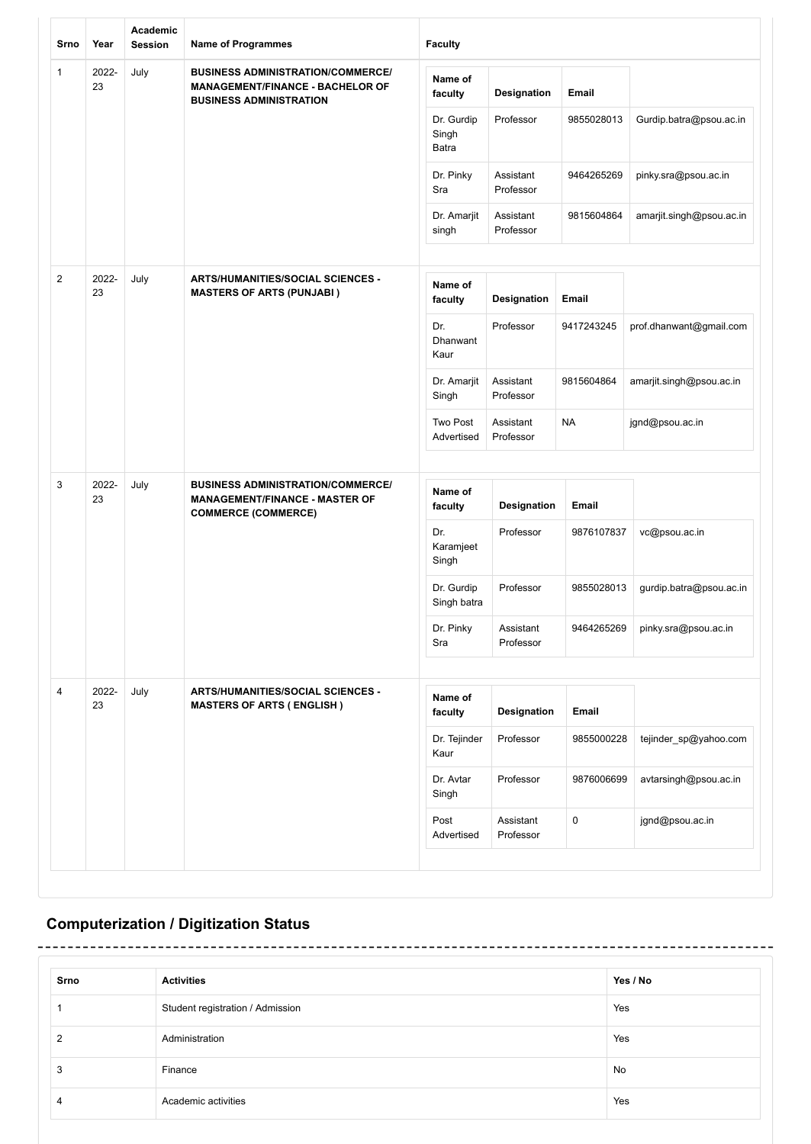| Srno           | Year        | Academic<br><b>Session</b> | <b>Name of Programmes</b>                                                                                             | <b>Faculty</b>                 |                        |            |                          |
|----------------|-------------|----------------------------|-----------------------------------------------------------------------------------------------------------------------|--------------------------------|------------------------|------------|--------------------------|
| 1              | 2022-<br>23 | July                       | <b>BUSINESS ADMINISTRATION/COMMERCE/</b><br><b>MANAGEMENT/FINANCE - BACHELOR OF</b><br><b>BUSINESS ADMINISTRATION</b> | Name of<br>faculty             | Designation            | Email      |                          |
|                |             |                            |                                                                                                                       | Dr. Gurdip<br>Singh<br>Batra   | Professor              | 9855028013 | Gurdip.batra@psou.ac.in  |
|                |             |                            |                                                                                                                       | Dr. Pinky<br>Sra               | Assistant<br>Professor | 9464265269 | pinky.sra@psou.ac.in     |
|                |             |                            |                                                                                                                       | Dr. Amarjit<br>singh           | Assistant<br>Professor | 9815604864 | amarjit.singh@psou.ac.in |
| $\overline{2}$ | 2022-<br>23 | July                       | <b>ARTS/HUMANITIES/SOCIAL SCIENCES -</b><br><b>MASTERS OF ARTS (PUNJABI)</b>                                          | Name of<br>faculty             | Designation            | Email      |                          |
|                |             |                            |                                                                                                                       | Dr.<br><b>Dhanwant</b><br>Kaur | Professor              | 9417243245 | prof.dhanwant@gmail.com  |
|                |             |                            |                                                                                                                       | Dr. Amarjit<br>Singh           | Assistant<br>Professor | 9815604864 | amarjit.singh@psou.ac.in |
|                |             |                            |                                                                                                                       | Two Post<br>Advertised         | Assistant<br>Professor | <b>NA</b>  | jgnd@psou.ac.in          |
| 3              | 2022-<br>23 | July                       | <b>BUSINESS ADMINISTRATION/COMMERCE/</b><br><b>MANAGEMENT/FINANCE - MASTER OF</b><br><b>COMMERCE (COMMERCE)</b>       | Name of<br>faculty             | <b>Designation</b>     | Email      |                          |
|                |             |                            |                                                                                                                       | Dr.<br>Karamjeet<br>Singh      | Professor              | 9876107837 | vc@psou.ac.in            |
|                |             |                            |                                                                                                                       | Dr. Gurdip<br>Singh batra      | Professor              | 9855028013 | gurdip.batra@psou.ac.in  |
|                |             |                            |                                                                                                                       | Dr. Pinky<br>Sra               | Assistant<br>Professor | 9464265269 | pinky.sra@psou.ac.in     |
| 4              | 2022-       | July                       | ARTS/HUMANITIES/SOCIAL SCIENCES -                                                                                     | Name of                        |                        |            |                          |
|                | 23          |                            | <b>MASTERS OF ARTS (ENGLISH)</b>                                                                                      | faculty                        | <b>Designation</b>     | Email      |                          |
|                |             |                            |                                                                                                                       | Dr. Tejinder<br>Kaur           | Professor              | 9855000228 | tejinder_sp@yahoo.com    |
|                |             |                            |                                                                                                                       | Dr. Avtar<br>Singh             | Professor              | 9876006699 | avtarsingh@psou.ac.in    |
|                |             |                            |                                                                                                                       | Post<br>Advertised             | Assistant<br>Professor | 0          | jgnd@psou.ac.in          |
|                |             |                            |                                                                                                                       |                                |                        |            |                          |

# **Computerization / Digitization Status**

| Srno | <b>Activities</b>                | Yes / No |
|------|----------------------------------|----------|
|      | Student registration / Admission | Yes      |
| ົ    | Administration                   | Yes      |
| 3    | Finance                          | No       |
|      | Academic activities              | Yes      |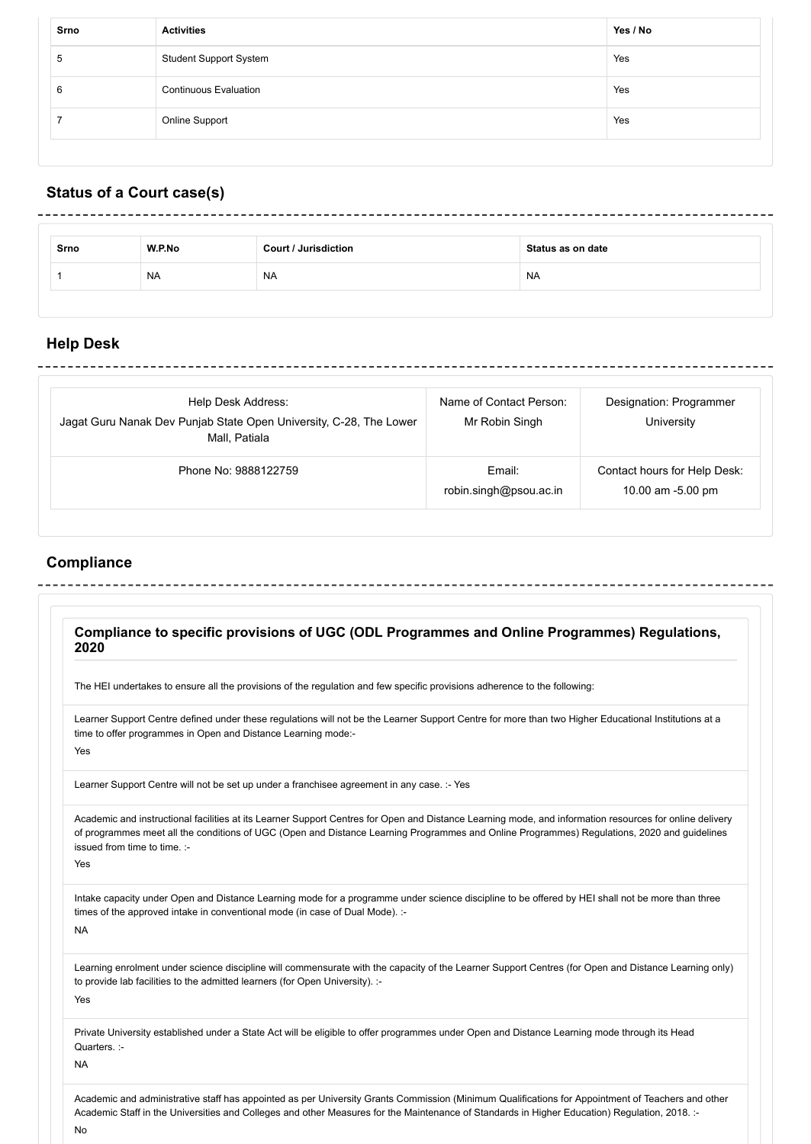| <b>Student Support System</b><br>Yes<br>$\mathbf b$<br><b>Continuous Evaluation</b><br>Yes<br>6<br><b>Online Support</b><br>Yes | Srno | <b>Activities</b> | Yes / No |
|---------------------------------------------------------------------------------------------------------------------------------|------|-------------------|----------|
|                                                                                                                                 |      |                   |          |
|                                                                                                                                 |      |                   |          |
|                                                                                                                                 |      |                   |          |

# **Status of a Court case(s)**

| Srno | W.P.No    | <b>Court / Jurisdiction</b> | Status as on date |
|------|-----------|-----------------------------|-------------------|
|      | <b>NA</b> | NA                          | <b>NA</b>         |

---------------

## **Help Desk**

| Help Desk Address:<br>Jagat Guru Nanak Dev Punjab State Open University, C-28, The Lower<br>Mall. Patiala | Name of Contact Person:<br>Mr Robin Singh | Designation: Programmer<br>University             |
|-----------------------------------------------------------------------------------------------------------|-------------------------------------------|---------------------------------------------------|
| Phone No: 9888122759                                                                                      | Email:<br>robin.singh@psou.ac.in          | Contact hours for Help Desk:<br>10.00 am -5.00 pm |

 $- - - - - - - -$ 

# **Compliance**

|                              | The HEI undertakes to ensure all the provisions of the regulation and few specific provisions adherence to the following:                               |
|------------------------------|---------------------------------------------------------------------------------------------------------------------------------------------------------|
|                              |                                                                                                                                                         |
|                              | Learner Support Centre defined under these regulations will not be the Learner Support Centre for more than two Higher Educational Institutions at a    |
|                              | time to offer programmes in Open and Distance Learning mode:-                                                                                           |
| Yes                          |                                                                                                                                                         |
|                              | Learner Support Centre will not be set up under a franchisee agreement in any case. :- Yes                                                              |
|                              | Academic and instructional facilities at its Learner Support Centres for Open and Distance Learning mode, and information resources for online delivery |
|                              | of programmes meet all the conditions of UGC (Open and Distance Learning Programmes and Online Programmes) Regulations, 2020 and guidelines             |
| issued from time to time. :- |                                                                                                                                                         |
| Yes                          |                                                                                                                                                         |
|                              | Intake capacity under Open and Distance Learning mode for a programme under science discipline to be offered by HEI shall not be more than three        |
|                              | times of the approved intake in conventional mode (in case of Dual Mode). :-                                                                            |
| <b>NA</b>                    |                                                                                                                                                         |
|                              | Learning enrolment under science discipline will commensurate with the capacity of the Learner Support Centres (for Open and Distance Learning only)    |
|                              | to provide lab facilities to the admitted learners (for Open University). :-                                                                            |
| Yes                          |                                                                                                                                                         |
|                              | Private University established under a State Act will be eligible to offer programmes under Open and Distance Learning mode through its Head            |
| Quarters. :-                 |                                                                                                                                                         |
| <b>NA</b>                    |                                                                                                                                                         |